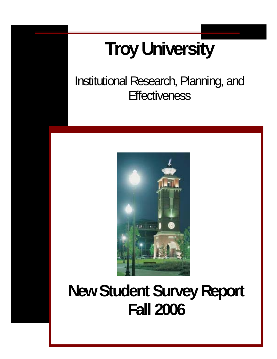# **Troy University**

Institutional Research, Planning, and **Effectiveness** 



# **New Student Survey Report Fall 2006**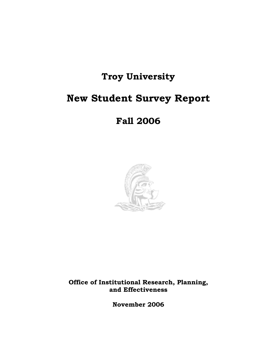# **Troy University**

# **New Student Survey Report**

# **Fall 2006**



**Office of Institutional Research, Planning, and Effectiveness** 

**November 2006**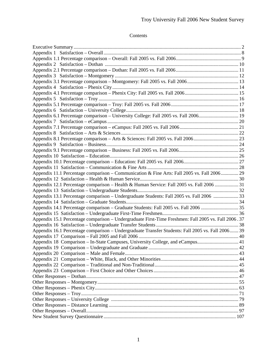## Contents

| Appendix 6.1 Percentage comparison - University College: Fall 2005 vs. Fall 2006 19                 |  |
|-----------------------------------------------------------------------------------------------------|--|
|                                                                                                     |  |
|                                                                                                     |  |
|                                                                                                     |  |
| Appendix 8.1 Percentage comparison - Arts & Sciences: Fall 2005 vs. Fall 200623                     |  |
|                                                                                                     |  |
|                                                                                                     |  |
|                                                                                                     |  |
|                                                                                                     |  |
|                                                                                                     |  |
| Appendix 11.1 Percentage comparison - Communication & Fine Arts: Fall 2005 vs. Fall 2006 29         |  |
|                                                                                                     |  |
| Appendix 12.1 Percentage comparison - Health & Human Service: Fall 2005 vs. Fall 2006  31           |  |
|                                                                                                     |  |
| Appendix 13.1 Percentage comparison - Undergraduate Students: Fall 2005 vs. Fall 2006  33           |  |
|                                                                                                     |  |
| Appendix 14.1 Percentage comparison - Graduate Students: Fall 2005 vs. Fall 2006  35                |  |
|                                                                                                     |  |
| Appendix 15.1 Percentage comparison - Undergraduate First-Time Freshmen: Fall 2005 vs. Fall 2006.37 |  |
|                                                                                                     |  |
| Appendix 16.1 Percentage comparison - Undergraduate Transfer Students: Fall 2005 vs. Fall 2006 39   |  |
|                                                                                                     |  |
| Appendix 18 Comparison – In-State Campuses, University College, and eCampus 41                      |  |
|                                                                                                     |  |
|                                                                                                     |  |
|                                                                                                     |  |
|                                                                                                     |  |
|                                                                                                     |  |
|                                                                                                     |  |
|                                                                                                     |  |
|                                                                                                     |  |
|                                                                                                     |  |
|                                                                                                     |  |
|                                                                                                     |  |
|                                                                                                     |  |
|                                                                                                     |  |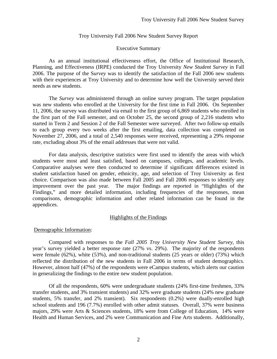#### Executive Summary

 As an annual institutional effectiveness effort, the Office of Institutional Research, Planning, and Effectiveness (IRPE) conducted the Troy University *New Student Survey* in Fall 2006. The purpose of the S*urvey* was to identify the satisfaction of the Fall 2006 new students with their experiences at Troy University and to determine how well the University served their needs as new students.

The *Survey* was administered through an online survey program. The target population was new students who enrolled at the University for the first time in Fall 2006. On September 11, 2006, the survey was distributed via email to the first group of 6,869 students who enrolled in the first part of the Fall semester, and on October 25, the second group of 2,216 students who started in Term 2 and Session 2 of the Fall Semester were surveyed. After two follow-up emails to each group every two weeks after the first emailing, data collection was completed on November 27, 2006, and a total of 2,540 responses were received, representing a 29% response rate, excluding about 3% of the email addresses that were not valid.

For data analysis, descriptive statistics were first used to identify the areas with which students were most and least satisfied, based on campuses, colleges, and academic levels. Comparative analyses were then conducted to determine if significant differences existed in student satisfaction based on gender, ethnicity, age, and selection of Troy University as first choice. Comparison was also made between Fall 2005 and Fall 2006 responses to identify any improvement over the past year. The major findings are reported in "Highlights of the Findings," and more detailed information, including frequencies of the responses, mean comparisons, demographic information and other related information can be found in the appendices.

#### Highlights of the Findings

#### Demographic Information:

 Compared with responses to the *Fall 2005 Troy University New Student Survey*, this year's survey yielded a better response rate (27% vs. 29%). The majority of the respondents were female (62%), white (53%), and non-traditional students (25 years or older) (73%) which reflected the distribution of the new students in Fall 2006 in terms of student demographics. However, almost half (47%) of the respondents were eCampus students, which alerts our caution in generalizing the findings to the entire new student population.

 Of all the respondents, 60% were undergraduate students (24% first-time freshmen, 33% transfer students, and 3% transient students) and 32% were graduate students (24% new graduate students, 5% transfer, and 2% transient). Six respondents (0.2%) were dually-enrolled high school students and 196 (7.7%) enrolled with other admit statuses. Overall, 37% were business majors, 29% were Arts & Sciences students, 18% were from College of Education, 14% were Health and Human Services, and 2% were Communication and Fine Arts students. Additionally,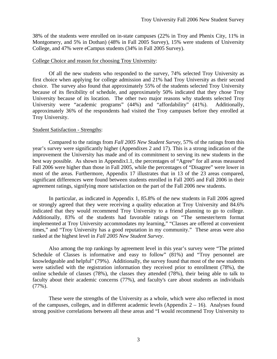38% of the students were enrolled on in-state campuses (22% in Troy and Phenix City, 11% in Montgomery, and 5% in Dothan) (48% in Fall 2005 Survey), 15% were students of University College, and 47% were eCampus students (34% in Fall 2005 Survey).

#### College Choice and reason for choosing Troy University:

 Of all the new students who responded to the survey, 74% selected Troy University as first choice when applying for college admission and 21% had Troy University as their second choice. The survey also found that approximately 55% of the students selected Troy University because of its flexibility of schedule, and approximately 50% indicated that they chose Troy University because of its location. The other two major reasons why students selected Troy University were "academic programs" (44%) and "affordability" (41%). Additionally, approximately 36% of the respondents had visited the Troy campuses before they enrolled at Troy University.

#### Student Satisfaction - Strengths:

Compared to the ratings from *Fall 2005 New Student Survey*, 57% of the ratings from this year's survey were significantly higher (Appendixes 2 and 17). This is a strong indication of the improvement the University has made and of its commitment to serving its new students in the best way possible. As shown in Appendix1.1, the percentages of "Agree" for all areas measured Fall 2006 were higher than those in Fall 2005, while the percentages of "Disagree" were lower in most of the areas. Furthermore, Appendix 17 illustrates that in 13 of the 23 areas compared, significant differences were found between students enrolled in Fall 2005 and Fall 2006 in their agreement ratings, signifying more satisfaction on the part of the Fall 2006 new students.

In particular, as indicated in Appendix 1, 85.8% of the new students in Fall 2006 agreed or strongly agreed that they were receiving a quality education at Troy University and 84.6% indicated that they would recommend Troy University to a friend planning to go to college. Additionally, 83% of the students had favorable ratings on "The semester/term format implemented at Troy University accommodates my learning," "Classes are offered at convenient times," and "Troy University has a good reputation in my community." These areas were also ranked at the highest level in *Fall 2005 New Student Survey*.

Also among the top rankings by agreement level in this year's survey were "The printed Schedule of Classes is informative and easy to follow" (81%) and "Troy personnel are knowledgeable and helpful" (79%). Additionally, the survey found that most of the new students were satisfied with the registration information they received prior to enrollment (78%), the online schedule of classes (78%), the classes they attended (78%), their being able to talk to faculty about their academic concerns (77%), and faculty's care about students as individuals (77%).

These were the strengths of the University as a whole, which were also reflected in most of the campuses, colleges, and in different academic levels (Appendix  $2 - 16$ ). Analyses found strong positive correlations between all these areas and "I would recommend Troy University to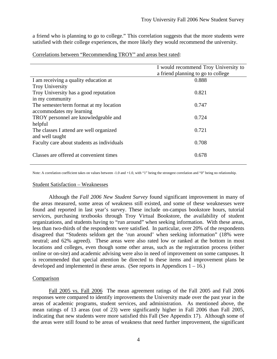a friend who is planning to go to college." This correlation suggests that the more students were satisfied with their college experiences, the more likely they would recommend the university.

|                                            | I would recommend Troy University to |
|--------------------------------------------|--------------------------------------|
|                                            | a friend planning to go to college   |
| I am receiving a quality education at      | 0.888                                |
| <b>Troy University</b>                     |                                      |
| Troy University has a good reputation      | 0.821                                |
| in my community                            |                                      |
| The semester/term format at my location    | 0.747                                |
| accommodates my learning                   |                                      |
| TROY personnel are knowledgeable and       | 0.724                                |
| helpful                                    |                                      |
| The classes I attend are well organized    | 0.721                                |
| and well taught                            |                                      |
| Faculty care about students as individuals | 0.708                                |
|                                            |                                      |
| Classes are offered at convenient times    | 0.678                                |
|                                            |                                      |

Correlations between "Recommending TROY" and areas best rated:

Note: A correlation coefficient takes on values between -1.0 and +1.0, with "1" being the strongest correlation and "0" being no relationship.

#### Student Satisfaction – Weaknesses

 Although the *Fall 2006 New Student Survey* found significant improvement in many of the areas measured, some areas of weakness still existed, and some of these weaknesses were found and reported in last year's survey. These include on-campus bookstore hours, tutorial services, purchasing textbooks through Troy Virtual Bookstore, the availability of student organizations, and students having to "run around" when seeking information. With these areas, less than two-thirds of the respondents were satisfied. In particular, over 20% of the respondents disagreed that "Students seldom get the 'run around' when seeking information" (18% were neutral; and 62% agreed). These areas were also rated low or ranked at the bottom in most locations and colleges, even though some other areas, such as the registration process (either online or on-site) and academic advising were also in need of improvement on some campuses. It is recommended that special attention be directed to these items and improvement plans be developed and implemented in these areas. (See reports in Appendices  $1 - 16$ .)

#### Comparison

Fall 2005 vs. Fall 2006 The mean agreement ratings of the Fall 2005 and Fall 2006 responses were compared to identify improvements the University made over the past year in the areas of academic programs, student services, and administration. As mentioned above, the mean ratings of 13 areas (out of 23) were significantly higher in Fall 2006 than Fall 2005, indicating that new students were more satisfied this Fall (See Appendix 17). Although some of the areas were still found to be areas of weakness that need further improvement, the significant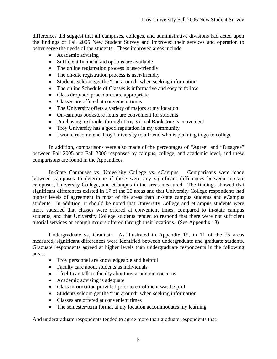differences did suggest that all campuses, colleges, and administrative divisions had acted upon the findings of Fall 2005 New Student Survey and improved their services and operation to better serve the needs of the students. These improved areas include:

- Academic advising
- Sufficient financial aid options are available
- The online registration process is user-friendly
- The on-site registration process is user-friendly
- Students seldom get the "run around" when seeking information
- The online Schedule of Classes is informative and easy to follow
- Class drop/add procedures are appropriate
- Classes are offered at convenient times
- The University offers a variety of majors at my location
- On-campus bookstore hours are convenient for students
- Purchasing textbooks through Troy Virtual Bookstore is convenient
- Troy University has a good reputation in my community
- I would recommend Troy University to a friend who is planning to go to college

 In addition, comparisons were also made of the percentages of "Agree" and "Disagree" between Fall 2005 and Fall 2006 responses by campus, college, and academic level, and these comparisons are found in the Appendices.

In-State Campuses vs. University College vs. eCampus Comparisons were made between campuses to determine if there were any significant differences between in-state campuses, University College, and eCampus in the areas measured. The findings showed that significant differences existed in 17 of the 25 areas and that University College respondents had higher levels of agreement in most of the areas than in-state campus students and eCampus students. In addition, it should be noted that University College and eCampus students were more satisfied that classes were offered at convenient times, compared to in-state campus students, and that University College students tended to respond that there were not sufficient tutorial services or enough majors offered through their locations. (See Appendix 18)

Undergraduate vs. Graduate As illustrated in Appendix 19, in 11 of the 25 areas measured, significant differences were identified between undergraduate and graduate students. Graduate respondents agreed at higher levels than undergraduate respondents in the following areas:

- Troy personnel are knowledgeable and helpful
- Faculty care about students as individuals
- I feel I can talk to faculty about my academic concerns
- Academic advising is adequate
- Class information provided prior to enrollment was helpful
- Students seldom get the "run around" when seeking information
- Classes are offered at convenient times
- The semester/term format at my location accommodates my learning

And undergraduate respondents tended to agree more than graduate respondents that: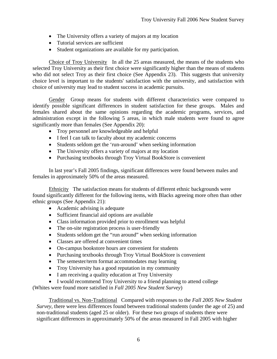- The University offers a variety of majors at my location
- Tutorial services are sufficient
- Student organizations are available for my participation.

Choice of Troy University In all the 25 areas measured, the means of the students who selected Troy University as their first choice were significantly higher than the means of students who did not select Troy as their first choice (See Appendix 23). This suggests that university choice level is important to the students' satisfaction with the university, and satisfaction with choice of university may lead to student success in academic pursuits.

Gender Group means for students with different characteristics were compared to identify possible significant differences in student satisfaction for these groups. Males and females shared about the same opinions regarding the academic programs, services, and administration except in the following 5 areas, in which male students were found to agree significantly more than females (See Appendix 20):

- Troy personnel are knowledgeable and helpful
- I feel I can talk to faculty about my academic concerns
- Students seldom get the 'run-around' when seeking information
- The University offers a variety of majors at my location
- Purchasing textbooks through Troy Virtual BookStore is convenient

 In last year's Fall 2005 findings, significant differences were found between males and females in approximately 50% of the areas measured.

 Ethnicity The satisfaction means for students of different ethnic backgrounds were found significantly different for the following items, with Blacks agreeing more often than other ethnic groups (See Appendix 21):

- Academic advising is adequate
- Sufficient financial aid options are available
- Class information provided prior to enrollment was helpful
- The on-site registration process is user-friendly
- Students seldom get the "run around" when seeking information
- Classes are offered at convenient times
- On-campus bookstore hours are convenient for students
- Purchasing textbooks through Troy Virtual BookStore is convenient
- The semester/term format accommodates may learning
- Troy University has a good reputation in my community
- I am receiving a quality education at Troy University
- I would recommend Troy University to a friend planning to attend college

(Whites were found more satisfied in *Fall 2005 New Student Survey*)

 Traditional vs. Non-Traditional Compared with responses to the *Fall 2005 New Student Survey*, there were less differences found between traditional students (under the age of 25) and non-traditional students (aged 25 or older). For these two groups of students there were significant differences in approximately 50% of the areas measured in Fall 2005 with higher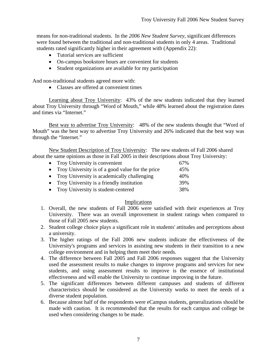means for non-traditional students. In the *2006 New Student Survey*, significant differences were found between the traditional and non-traditional students in only 4 areas. Traditional students rated significantly higher in their agreement with (Appendix 22):

- Tutorial services are sufficient
- On-campus bookstore hours are convenient for students
- Student organizations are available for my participation

And non-traditional students agreed more with:

• Classes are offered at convenient times

 Learning about Troy University: 43% of the new students indicated that they learned about Troy University through "Word of Mouth," while 48% learned about the registration dates and times via "Internet."

 Best way to advertise Troy University: 48% of the new students thought that "Word of Mouth" was the best way to advertise Troy University and 26% indicated that the best way was through the "Internet."

 New Student Description of Troy University: The new students of Fall 2006 shared about the same opinions as those in Fall 2005 in their descriptions about Troy University:

| • Troy University is convenient                    | 67% |
|----------------------------------------------------|-----|
| • Troy University is of a good value for the price | 45% |
| • Troy University is academically challenging      | 40% |
| • Troy University is a friendly institution        | 39% |
| • Troy University is student-centered              | 38% |

#### Implications

- 1. Overall, the new students of Fall 2006 were satisfied with their experiences at Troy University. There was an overall improvement in student ratings when compared to those of Fall 2005 new students.
- 2. Student college choice plays a significant role in students' attitudes and perceptions about a university.
- 3. The higher ratings of the Fall 2006 new students indicate the effectiveness of the University's programs and services in assisting new students in their transition to a new college environment and in helping them meet their needs.
- 4. The difference between Fall 2005 and Fall 2006 responses suggest that the University used the assessment results to make changes to improve programs and services for new students, and using assessment results to improve is the essence of institutional effectiveness and will enable the University to continue improving in the future.
- 5. The significant differences between different campuses and students of different characteristics should be considered as the University works to meet the needs of a diverse student population.
- 6. Because almost half of the respondents were eCampus students, generalizations should be made with caution. It is recommended that the results for each campus and college be used when considering changes to be made.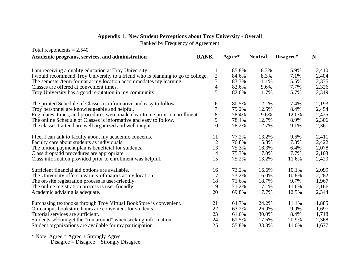| Total respondents $= 2,540$                                                                                                               |                     |          |                |           |       |
|-------------------------------------------------------------------------------------------------------------------------------------------|---------------------|----------|----------------|-----------|-------|
| Academic programs, services, and administration                                                                                           | <b>RANK</b>         | $Agree*$ | <b>Neutral</b> | Disagree* | N     |
|                                                                                                                                           |                     | 85.8%    | 8.3%           | 5.9%      | 2,410 |
| I am receiving a quality education at Troy University.<br>I would recommend Troy University to a friend who is planning to go to college. | 1<br>$\overline{c}$ | 84.6%    | 8.3%           | 7.1%      | 2,404 |
| The semester/term format at my location accommodates my learning.                                                                         | 3                   | 83.3%    | 11.1%          | 5.5%      | 2,335 |
| Classes are offered at convenient times.                                                                                                  | $\overline{4}$      | 82.6%    | 9.6%           | 7.7%      | 2,326 |
| Troy University has a good reputation in my community.                                                                                    | 5                   | 82.6%    | 11.7%          | 5.7%      | 2,319 |
| The printed Schedule of Classes is informative and easy to follow.                                                                        | 6                   | 80.5%    | 12.1%          | 7.4%      | 2,193 |
| Troy personnel are knowledgeable and helpful.                                                                                             | 7                   | 79.2%    | 12.5%          | 8.4%      | 2,454 |
| Reg. dates, times, and procedures were made clear to me prior to enrollment.                                                              | 8                   | 78.4%    | 9.6%           | 12.0%     | 2,425 |
| The online Schedule of Classes is informative and easy to follow.                                                                         | 9                   | 78.4%    | 12.7%          | 8.9%      | 2,306 |
| The classes I attend are well organized and well taught.                                                                                  | 10                  | 78.2%    | 12.7%          | 9.1%      | 2,361 |
| I feel I can talk to faculty about my academic concerns.                                                                                  | 11                  | 77.2%    | 13.2%          | 9.6%      | 2,411 |
| Faculty care about students as individuals.                                                                                               | 12                  | 76.8%    | 15.8%          | 7.3%      | 2,422 |
| The tuition payment plan is beneficial for students.                                                                                      | 13                  | 75.3%    | 18.3%          | 6.4%      | 2,078 |
| Class drop/add procedures are appropriate.                                                                                                | 14                  | 75.3%    | 17.0%          | 7.7%      | 2,103 |
| Class information provided prior to enrollment was helpful.                                                                               | 15                  | 75.2%    | 13.2%          | 11.6%     | 2,420 |
| Sufficient financial aid options are available.                                                                                           | 16                  | 73.2%    | 16.6%          | 10.1%     | 2,099 |
| The University offers a variety of majors at my location.                                                                                 | 17                  | 73.2%    | 16.0%          | 10.8%     | 2,282 |
| The on-site registration process is user-friendly.                                                                                        | 18                  | 71.6%    | 18.7%          | 9.7%      | 1,967 |
| The online registration process is user-friendly.                                                                                         | 19                  | 71.2%    | 17.1%          | 11.6%     | 2,166 |
| Academic advising is adequate.                                                                                                            | 20                  | 69.8%    | 17.7%          | 12.5%     | 2,344 |
| Purchasing textbooks through Troy Virtual BookStore is convenient.                                                                        | 21                  | 64.7%    | 24.2%          | 11.1%     | 1,885 |
| On-campus bookstore hours are convenient for students.                                                                                    | 22                  | 63.2%    | 26.9%          | 9.9%      | 1,697 |
| Tutorial services are sufficient.                                                                                                         | 23                  | 61.6%    | 30.0%          | 8.4%      | 1,718 |
| Students seldom get the "run around" when seeking information.                                                                            | 24                  | 61.5%    | 17.6%          | 20.9%     | 2,368 |
| Student organizations are available for my participation.                                                                                 | 25                  | 55.8%    | 33.3%          | 11.0%     | 1,677 |

# **Appendix 1. New Student Perceptions about Troy University - Overall**

Ranked by Frequency of Agreement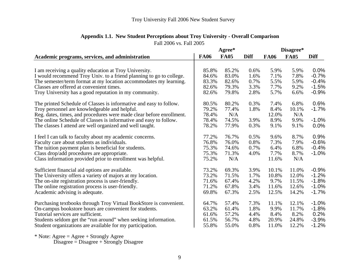| <b>FA06</b><br><b>FA05</b><br><b>Diff</b><br><b>Diff</b><br><b>FA05</b><br>Academic programs, services, and administration<br><b>FA06</b><br>0.0%<br>85.8%<br>85.2%<br>5.9%<br>5.9%<br>I am receiving a quality education at Troy University.<br>0.6%<br>I would recommend Troy Univ. to a friend planning to go to college.<br>83.0%<br>1.6%<br>7.1%<br>7.8%<br>$-0.7%$<br>84.6%<br>The semester/term format at my location accommodates my learning.<br>83.3%<br>82.6%<br>0.7%<br>5.5%<br>5.9%<br>$-0.4%$<br>Classes are offered at convenient times.<br>79.3%<br>3.3%<br>7.7%<br>9.2%<br>$-1.5%$<br>82.6%<br>Troy University has a good reputation in my community.<br>79.8%<br>2.8%<br>5.7%<br>$-0.9%$<br>82.6%<br>6.6%<br>0.6%<br>The printed Schedule of Classes is informative and easy to follow.<br>80.2%<br>0.3%<br>7.4%<br>6.8%<br>80.5% |
|-----------------------------------------------------------------------------------------------------------------------------------------------------------------------------------------------------------------------------------------------------------------------------------------------------------------------------------------------------------------------------------------------------------------------------------------------------------------------------------------------------------------------------------------------------------------------------------------------------------------------------------------------------------------------------------------------------------------------------------------------------------------------------------------------------------------------------------------------------|
|                                                                                                                                                                                                                                                                                                                                                                                                                                                                                                                                                                                                                                                                                                                                                                                                                                                     |
|                                                                                                                                                                                                                                                                                                                                                                                                                                                                                                                                                                                                                                                                                                                                                                                                                                                     |
|                                                                                                                                                                                                                                                                                                                                                                                                                                                                                                                                                                                                                                                                                                                                                                                                                                                     |
|                                                                                                                                                                                                                                                                                                                                                                                                                                                                                                                                                                                                                                                                                                                                                                                                                                                     |
|                                                                                                                                                                                                                                                                                                                                                                                                                                                                                                                                                                                                                                                                                                                                                                                                                                                     |
|                                                                                                                                                                                                                                                                                                                                                                                                                                                                                                                                                                                                                                                                                                                                                                                                                                                     |
|                                                                                                                                                                                                                                                                                                                                                                                                                                                                                                                                                                                                                                                                                                                                                                                                                                                     |
|                                                                                                                                                                                                                                                                                                                                                                                                                                                                                                                                                                                                                                                                                                                                                                                                                                                     |
| Troy personnel are knowledgeable and helpful.<br>79.2%<br>1.8%<br>8.4%<br>$-1.7%$<br>77.4%<br>10.1%                                                                                                                                                                                                                                                                                                                                                                                                                                                                                                                                                                                                                                                                                                                                                 |
| N/A<br>Reg. dates, times, and procedures were made clear before enrollment.<br>78.4%<br>12.0%<br>N/A                                                                                                                                                                                                                                                                                                                                                                                                                                                                                                                                                                                                                                                                                                                                                |
| 3.9%<br>The online Schedule of Classes is informative and easy to follow.<br>9.9%<br>$-1.0%$<br>78.4%<br>74.5%<br>8.9%                                                                                                                                                                                                                                                                                                                                                                                                                                                                                                                                                                                                                                                                                                                              |
| The classes I attend are well organized and well taught.<br>78.2%<br>0.3%<br>9.1%<br>9.1%<br>$0.0\%$<br>77.9%                                                                                                                                                                                                                                                                                                                                                                                                                                                                                                                                                                                                                                                                                                                                       |
| 76.7%<br>8.7%<br>0.9%<br>77.2%<br>0.5%<br>I feel I can talk to faculty about my academic concerns.<br>9.6%                                                                                                                                                                                                                                                                                                                                                                                                                                                                                                                                                                                                                                                                                                                                          |
| Faculty care about students as individuals.<br>76.8%<br>76.0%<br>0.8%<br>7.3%<br>7.9%<br>$-0.6%$                                                                                                                                                                                                                                                                                                                                                                                                                                                                                                                                                                                                                                                                                                                                                    |
| The tuition payment plan is beneficial for students.<br>75.3%<br>0.7%<br>6.4%<br>74.6%<br>6.8%<br>$-0.4%$                                                                                                                                                                                                                                                                                                                                                                                                                                                                                                                                                                                                                                                                                                                                           |
| Class drop/add procedures are appropriate.<br>75.3%<br>71.3%<br>4.0%<br>7.7%<br>8.7%<br>$-1.0%$                                                                                                                                                                                                                                                                                                                                                                                                                                                                                                                                                                                                                                                                                                                                                     |
| Class information provided prior to enrollment was helpful.<br>N/A<br>N/A<br>75.2%<br>11.6%                                                                                                                                                                                                                                                                                                                                                                                                                                                                                                                                                                                                                                                                                                                                                         |
| $-0.9%$<br>Sufficient financial aid options are available.<br>73.2%<br>69.3%<br>3.9%<br>10.1%<br>11.0%                                                                                                                                                                                                                                                                                                                                                                                                                                                                                                                                                                                                                                                                                                                                              |
| $-1.2%$<br>The University offers a variety of majors at my location.<br>73.2%<br>71.5%<br>1.7%<br>10.8%<br>12.0%                                                                                                                                                                                                                                                                                                                                                                                                                                                                                                                                                                                                                                                                                                                                    |
| $-1.8%$<br>The on-site registration process is user-friendly.<br>71.6%<br>67.4%<br>9.7%<br>11.5%<br>4.2%                                                                                                                                                                                                                                                                                                                                                                                                                                                                                                                                                                                                                                                                                                                                            |
| The online registration process is user-friendly.<br>71.2%<br>67.8%<br>3.4%<br>$-1.0%$<br>11.6%<br>12.6%                                                                                                                                                                                                                                                                                                                                                                                                                                                                                                                                                                                                                                                                                                                                            |
| $-1.7%$<br>Academic advising is adequate.<br>69.8%<br>67.3%<br>2.5%<br>12.5%<br>14.2%                                                                                                                                                                                                                                                                                                                                                                                                                                                                                                                                                                                                                                                                                                                                                               |
|                                                                                                                                                                                                                                                                                                                                                                                                                                                                                                                                                                                                                                                                                                                                                                                                                                                     |
| $-1.0%$<br>Purchasing textbooks through Troy Virtual BookStore is convenient.<br>57.4%<br>7.3%<br>11.1%<br>12.1%<br>64.7%                                                                                                                                                                                                                                                                                                                                                                                                                                                                                                                                                                                                                                                                                                                           |
| 63.2%<br>1.8%<br>11.7%<br>$-1.8%$<br>On-campus bookstore hours are convenient for students.<br>61.4%<br>9.9%                                                                                                                                                                                                                                                                                                                                                                                                                                                                                                                                                                                                                                                                                                                                        |
| 0.2%<br>Tutorial services are sufficient.<br>57.2%<br>4.4%<br>8.4%<br>8.2%<br>61.6%                                                                                                                                                                                                                                                                                                                                                                                                                                                                                                                                                                                                                                                                                                                                                                 |
| $-3.9%$<br>Students seldom get the "run around" when seeking information.<br>56.7%<br>4.8%<br>20.9%<br>24.8%<br>61.5%                                                                                                                                                                                                                                                                                                                                                                                                                                                                                                                                                                                                                                                                                                                               |
| 55.8%<br>55.0%<br>0.8%<br>12.2%<br>$-1.2%$<br>Student organizations are available for my participation.<br>11.0%                                                                                                                                                                                                                                                                                                                                                                                                                                                                                                                                                                                                                                                                                                                                    |

# **Appendix 1.1. New Student Perceptions about Troy University - Overall Comparison**

Fall 2006 vs. Fall 2005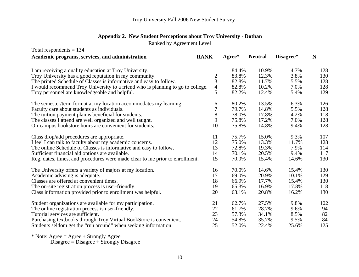|  |  |  | Appendix 2. New Student Perceptions about Troy University - Dothan |
|--|--|--|--------------------------------------------------------------------|
|--|--|--|--------------------------------------------------------------------|

Ranked by Agreement Level

| Total respondents $= 134$                                                       |                          |        |                |           |     |
|---------------------------------------------------------------------------------|--------------------------|--------|----------------|-----------|-----|
| Academic programs, services, and administration                                 | <b>RANK</b>              | Agree* | <b>Neutral</b> | Disagree* | N   |
|                                                                                 |                          |        |                |           |     |
| I am receiving a quality education at Troy University.                          | 1                        | 84.4%  | 10.9%          | 4.7%      | 128 |
| Troy University has a good reputation in my community.                          | $\overline{c}$           | 83.8%  | 12.3%          | 3.8%      | 130 |
| The printed Schedule of Classes is informative and easy to follow.              | 3                        | 82.8%  | 11.7%          | 5.5%      | 128 |
| I would recommend Troy University to a friend who is planning to go to college. | $\overline{\mathcal{A}}$ | 82.8%  | 10.2%          | 7.0%      | 128 |
| Troy personnel are knowledgeable and helpful.                                   | 5                        | 82.2%  | 12.4%          | 5.4%      | 129 |
| The semester/term format at my location accommodates my learning.               | 6                        | 80.2%  | 13.5%          | 6.3%      | 126 |
| Faculty care about students as individuals.                                     | 7                        | 79.7%  | 14.8%          | 5.5%      | 128 |
| The tuition payment plan is beneficial for students.                            | 8                        | 78.0%  | 17.8%          | 4.2%      | 118 |
| The classes I attend are well organized and well taught.                        | 9                        | 75.8%  | 17.2%          | 7.0%      | 128 |
| On-campus bookstore hours are convenient for students.                          | 10                       | 75.8%  | 14.8%          | 9.4%      | 128 |
| Class drop/add procedures are appropriate.                                      | 11                       | 75.7%  | 15.0%          | 9.3%      | 107 |
| I feel I can talk to faculty about my academic concerns.                        | 12                       | 75.0%  | 13.3%          | 11.7%     | 128 |
| The online Schedule of Classes is informative and easy to follow.               | 13                       | 72.8%  | 19.3%          | 7.9%      | 114 |
| Sufficient financial aid options are available.                                 | 14                       | 70.1%  | 20.5%          | 9.4%      | 117 |
| Reg. dates, times, and procedures were made clear to me prior to enrollment.    | 15                       | 70.0%  | 15.4%          | 14.6%     | 130 |
| The University offers a variety of majors at my location.                       | 16                       | 70.0%  | 14.6%          | 15.4%     | 130 |
| Academic advising is adequate.                                                  | 17                       | 69.0%  | 20.9%          | 10.1%     | 129 |
| Classes are offered at convenient times.                                        | 18                       | 66.9%  | 17.7%          | 15.4%     | 130 |
| The on-site registration process is user-friendly.                              | 19                       | 65.3%  | 16.9%          | 17.8%     | 118 |
| Class information provided prior to enrollment was helpful.                     | 20                       | 63.1%  | 20.8%          | 16.2%     | 130 |
| Student organizations are available for my participation.                       | 21                       | 62.7%  | 27.5%          | 9.8%      | 102 |
| The online registration process is user-friendly.                               | 22                       | 61.7%  | 28.7%          | 9.6%      | 94  |
| Tutorial services are sufficient.                                               | 23                       | 57.3%  | 34.1%          | 8.5%      | 82  |
| Purchasing textbooks through Troy Virtual BookStore is convenient.              | 24                       | 54.8%  | 35.7%          | 9.5%      | 84  |
| Students seldom get the "run around" when seeking information.                  | 25                       | 52.0%  | 22.4%          | 25.6%     | 125 |

\* Note: Agree = Agree + Strongly Agree

Disagree = Disagree + Strongly Disagree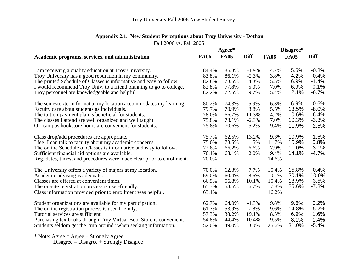|  |  | <b>Appendix 2.1. New Student Perceptions about Troy University - Dothan</b> |  |  |  |
|--|--|-----------------------------------------------------------------------------|--|--|--|
|--|--|-----------------------------------------------------------------------------|--|--|--|

| Fall 2006 vs. Fall 2005                                                                                          |             |             |             |             |             |             |
|------------------------------------------------------------------------------------------------------------------|-------------|-------------|-------------|-------------|-------------|-------------|
|                                                                                                                  |             | Agree*      |             |             | Disagree*   |             |
| Academic programs, services, and administration                                                                  | <b>FA06</b> | <b>FA05</b> | <b>Diff</b> | <b>FA06</b> | <b>FA05</b> | <b>Diff</b> |
|                                                                                                                  | 84.4%       | 86.3%       | $-1.9%$     | 4.7%        | 5.5%        | $-0.8%$     |
| I am receiving a quality education at Troy University.<br>Troy University has a good reputation in my community. | 83.8%       | 86.1%       | $-2.3%$     | 3.8%        | 4.2%        | $-0.4%$     |
| The printed Schedule of Classes is informative and easy to follow.                                               | 82.8%       | 78.5%       | 4.3%        | 5.5%        | 6.9%        | $-1.4%$     |
| I would recommend Troy Univ. to a friend planning to go to college.                                              | 82.8%       | 77.8%       | 5.0%        | 7.0%        | 6.9%        | 0.1%        |
| Troy personnel are knowledgeable and helpful.                                                                    | 82.2%       | 72.5%       | 9.7%        | 5.4%        | 12.1%       | $-6.7%$     |
| The semester/term format at my location accommodates my learning.                                                | 80.2%       | 74.3%       | 5.9%        | 6.3%        | 6.9%        | $-0.6%$     |
| Faculty care about students as individuals.                                                                      | 79.7%       | 70.9%       | 8.8%        | 5.5%        | 13.5%       | $-8.0%$     |
| The tuition payment plan is beneficial for students.                                                             | 78.0%       | 66.7%       | 11.3%       | 4.2%        | 10.6%       | $-6.4%$     |
| The classes I attend are well organized and well taught.                                                         | 75.8%       | 78.1%       | $-2.3%$     | 7.0%        | 10.3%       | $-3.3%$     |
| On-campus bookstore hours are convenient for students.                                                           | 75.8%       | 70.6%       | 5.2%        | 9.4%        | 11.9%       | $-2.5%$     |
| Class drop/add procedures are appropriate.                                                                       | 75.7%       | 62.5%       | 13.2%       | 9.3%        | 10.9%       | $-1.6%$     |
| I feel I can talk to faculty about my academic concerns.                                                         | 75.0%       | 73.5%       | 1.5%        | 11.7%       | 10.9%       | 0.8%        |
| The online Schedule of Classes is informative and easy to follow.                                                | 72.8%       | 66.2%       | 6.6%        | 7.9%        | 11.0%       | $-3.1%$     |
| Sufficient financial aid options are available.                                                                  | 70.1%       | 68.1%       | 2.0%        | 9.4%        | 14.1%       | $-4.7\%$    |
| Reg. dates, times, and procedures were made clear prior to enrollment.                                           | 70.0%       |             |             | 14.6%       |             |             |
| The University offers a variety of majors at my location.                                                        | 70.0%       | 62.3%       | 7.7%        | 15.4%       | 15.8%       | $-0.4%$     |
| Academic advising is adequate.                                                                                   | 69.0%       | 60.4%       | 8.6%        | 10.1%       | 20.1%       | $-10.0%$    |
| Classes are offered at convenient times.                                                                         | 66.9%       | 56.8%       | 10.1%       | 15.4%       | 18.9%       | $-3.5%$     |
| The on-site registration process is user-friendly.                                                               | 65.3%       | 58.6%       | 6.7%        | 17.8%       | 25.6%       | $-7.8%$     |
| Class information provided prior to enrollment was helpful.                                                      | 63.1%       |             |             | 16.2%       |             |             |
| Student organizations are available for my participation.                                                        | 62.7%       | 64.0%       | $-1.3%$     | 9.8%        | 9.6%        | 0.2%        |
| The online registration process is user-friendly.                                                                | 61.7%       | 53.9%       | 7.8%        | 9.6%        | 14.8%       | $-5.2%$     |
| Tutorial services are sufficient.                                                                                | 57.3%       | 38.2%       | 19.1%       | 8.5%        | 6.9%        | 1.6%        |
| Purchasing textbooks through Troy Virtual BookStore is convenient.                                               | 54.8%       | 44.4%       | 10.4%       | 9.5%        | 8.1%        | 1.4%        |
| Students seldom get the "run around" when seeking information.                                                   | 52.0%       | 49.0%       | 3.0%        | 25.6%       | 31.0%       | $-5.4%$     |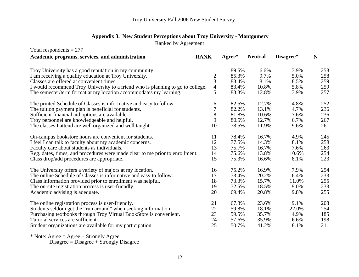#### **Appendix 3. New Student Perceptions about Troy University - Mont gomer y**

Ranked by Agreement

| Total respondents $= 277$                                                       |                |          |                |           |     |
|---------------------------------------------------------------------------------|----------------|----------|----------------|-----------|-----|
| Academic programs, services, and administration                                 | <b>RANK</b>    | $Agree*$ | <b>Neutral</b> | Disagree* | N   |
|                                                                                 |                |          |                |           |     |
| Troy University has a good reputation in my community.                          |                | 89.5%    | 6.6%           | 3.9%      | 258 |
| I am receiving a quality education at Troy University.                          | $\overline{c}$ | 85.3%    | 9.7%           | 5.0%      | 258 |
| Classes are offered at convenient times.                                        | 3              | 83.4%    | 8.1%           | 8.5%      | 259 |
| I would recommend Troy University to a friend who is planning to go to college. | $\overline{4}$ | 83.4%    | 10.8%          | 5.8%      | 259 |
| The semester/term format at my location accommodates my learning.               | 5              | 83.3%    | 12.8%          | 3.9%      | 257 |
| The printed Schedule of Classes is informative and easy to follow.              | 6              | 82.5%    | 12.7%          | 4.8%      | 252 |
| The tuition payment plan is beneficial for students.                            | 7              | 82.2%    | 13.1%          | 4.7%      | 236 |
| Sufficient financial aid options are available.                                 | $8\,$          | 81.8%    | 10.6%          | 7.6%      | 236 |
| Troy personnel are knowledgeable and helpful.                                   | 9              | 80.5%    | 12.7%          | 6.7%      | 267 |
| The classes I attend are well organized and well taught.                        | 10             | 78.5%    | 11.9%          | 9.6%      | 261 |
| On-campus bookstore hours are convenient for students.                          | 11             | 78.4%    | 16.7%          | 4.9%      | 245 |
| I feel I can talk to faculty about my academic concerns.                        | 12             | 77.5%    | 14.3%          | 8.1%      | 258 |
| Faculty care about students as individuals.                                     | 13             | 75.7%    | 16.7%          | 7.6%      | 263 |
| Reg. dates, times, and procedures were made clear to me prior to enrollment.    | 14             | 75.6%    | 13.8%          | 10.6%     | 254 |
| Class drop/add procedures are appropriate.                                      | 15             | 75.3%    | 16.6%          | 8.1%      | 223 |
| The University offers a variety of majors at my location.                       | 16             | 75.2%    | 16.9%          | 7.9%      | 254 |
| The online Schedule of Classes is informative and easy to follow.               | 17             | 73.4%    | 20.2%          | 6.4%      | 233 |
| Class information provided prior to enrollment was helpful.                     | 18             | 73.3%    | 15.7%          | 11.0%     | 255 |
| The on-site registration process is user-friendly.                              | 19             | 72.5%    | 18.5%          | 9.0%      | 233 |
| Academic advising is adequate.                                                  | 20             | 69.4%    | 20.8%          | 9.8%      | 255 |
| The online registration process is user-friendly.                               | 21             | 67.3%    | 23.6%          | 9.1%      | 208 |
| Students seldom get the "run around" when seeking information.                  | 22             | 59.8%    | 18.1%          | 22.0%     | 254 |
| Purchasing textbooks through Troy Virtual BookStore is convenient.              | 23             | 59.5%    | 35.7%          | 4.9%      | 185 |
| Tutorial services are sufficient.                                               | 24             | 57.6%    | 35.9%          | 6.6%      | 198 |
| Student organizations are available for my participation.                       | 25             | 50.7%    | 41.2%          | 8.1%      | 211 |

\* Note: Agree = Agree + Strongly Agree

Disagree = Disagree + Strongly Disagree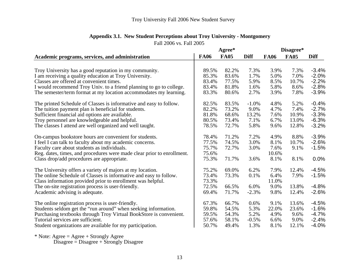| <b>Appendix 3.1. New Student Perceptions about Troy University - Montgomery</b> |  |
|---------------------------------------------------------------------------------|--|
|                                                                                 |  |

Fall 2006 vs. Fall 2005

|                                                                        |             | Agree*      |             |             | Disagree*   |             |
|------------------------------------------------------------------------|-------------|-------------|-------------|-------------|-------------|-------------|
| Academic programs, services, and administration                        | <b>FA06</b> | <b>FA05</b> | <b>Diff</b> | <b>FA06</b> | <b>FA05</b> | <b>Diff</b> |
|                                                                        |             |             |             |             |             |             |
| Troy University has a good reputation in my community.                 | 89.5%       | 82.2%       | 7.3%        | 3.9%        | 7.3%        | $-3.4%$     |
| I am receiving a quality education at Troy University.                 | 85.3%       | 83.6%       | 1.7%        | 5.0%        | 7.0%        | $-2.0%$     |
| Classes are offered at convenient times.                               | 83.4%       | 77.5%       | 5.9%        | 8.5%        | 10.7%       | $-2.2%$     |
| I would recommend Troy Univ. to a friend planning to go to college.    | 83.4%       | 81.8%       | 1.6%        | 5.8%        | 8.6%        | $-2.8%$     |
| The semester/term format at my location accommodates my learning.      | 83.3%       | 80.6%       | 2.7%        | 3.9%        | 7.8%        | $-3.9%$     |
| The printed Schedule of Classes is informative and easy to follow.     | 82.5%       | 83.5%       | $-1.0%$     | 4.8%        | 5.2%        | $-0.4%$     |
| The tuition payment plan is beneficial for students.                   | 82.2%       | 73.2%       | 9.0%        | 4.7%        | 7.4%        | $-2.7%$     |
| Sufficient financial aid options are available.                        | 81.8%       | 68.6%       | 13.2%       | 7.6%        | 10.9%       | $-3.3%$     |
| Troy personnel are knowledgeable and helpful.                          | 80.5%       | 73.4%       | 7.1%        | 6.7%        | 13.0%       | $-6.3%$     |
| The classes I attend are well organized and well taught.               | 78.5%       | 72.7%       | 5.8%        | 9.6%        | 12.8%       | $-3.2%$     |
| On-campus bookstore hours are convenient for students.                 | 78.4%       | 71.2%       | 7.2%        | 4.9%        | 8.8%        | $-3.9%$     |
| I feel I can talk to faculty about my academic concerns.               | 77.5%       | 74.5%       | 3.0%        | 8.1%        | 10.7%       | $-2.6%$     |
| Faculty care about students as individuals.                            | 75.7%       | 72.7%       | 3.0%        | 7.6%        | 9.1%        | $-1.5%$     |
| Reg. dates, times, and procedures were made clear prior to enrollment. | 75.6%       |             |             | 10.6%       |             |             |
| Class drop/add procedures are appropriate.                             | 75.3%       | 71.7%       | 3.6%        | 8.1%        | 8.1%        | 0.0%        |
| The University offers a variety of majors at my location.              | 75.2%       | 69.0%       | 6.2%        | 7.9%        | 12.4%       | $-4.5%$     |
| The online Schedule of Classes is informative and easy to follow.      | 73.4%       | 73.3%       | 0.1%        | 6.4%        | 7.9%        | $-1.5%$     |
| Class information provided prior to enrollment was helpful.            | 73.3%       |             |             | 11.0%       |             |             |
| The on-site registration process is user-friendly.                     | 72.5%       | 66.5%       | 6.0%        | 9.0%        | 13.8%       | $-4.8%$     |
| Academic advising is adequate.                                         | 69.4%       | 71.7%       | $-2.3%$     | 9.8%        | 12.4%       | $-2.6%$     |
| The online registration process is user-friendly.                      | 67.3%       | 66.7%       | 0.6%        | 9.1%        | 13.6%       | $-4.5%$     |
| Students seldom get the "run around" when seeking information.         | 59.8%       | 54.5%       | 5.3%        | 22.0%       | 23.6%       | $-1.6%$     |
| Purchasing textbooks through Troy Virtual BookStore is convenient.     | 59.5%       | 54.3%       | 5.2%        | 4.9%        | 9.6%        | $-4.7%$     |
| Tutorial services are sufficient.                                      | 57.6%       | 58.1%       | $-0.5%$     | 6.6%        | 9.0%        | $-2.4%$     |
| Student organizations are available for my participation.              | 50.7%       | 49.4%       | 1.3%        | 8.1%        | 12.1%       | $-4.0%$     |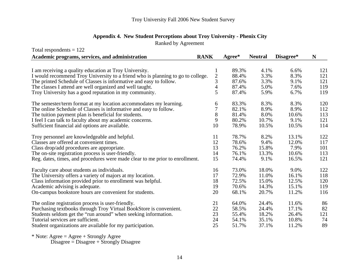Ranked by Agreement

| Total respondents $= 122$                                                       |                  |              |                |           |     |
|---------------------------------------------------------------------------------|------------------|--------------|----------------|-----------|-----|
| Academic programs, services, and administration                                 | <b>RANK</b>      | $A$ gree $*$ | <b>Neutral</b> | Disagree* | N   |
|                                                                                 |                  |              |                |           |     |
| I am receiving a quality education at Troy University.                          | 1                | 89.3%        | 4.1%           | 6.6%      | 121 |
| I would recommend Troy University to a friend who is planning to go to college. | $\boldsymbol{2}$ | 88.4%        | 3.3%           | 8.3%      | 121 |
| The printed Schedule of Classes is informative and easy to follow.              | 3                | 87.6%        | 3.3%           | 9.1%      | 121 |
| The classes I attend are well organized and well taught.                        | $\overline{4}$   | 87.4%        | 5.0%           | 7.6%      | 119 |
| Troy University has a good reputation in my community.                          | 5                | 87.4%        | 5.9%           | 6.7%      | 119 |
| The semester/term format at my location accommodates my learning.               | 6                | 83.3%        | 8.3%           | 8.3%      | 120 |
| The online Schedule of Classes is informative and easy to follow.               | 7                | 82.1%        | 8.9%           | 8.9%      | 112 |
| The tuition payment plan is beneficial for students.                            | 8                | 81.4%        | 8.0%           | 10.6%     | 113 |
| I feel I can talk to faculty about my academic concerns.                        | 9                | 80.2%        | 10.7%          | 9.1%      | 121 |
| Sufficient financial aid options are available.                                 | 10               | 78.9%        | 10.5%          | 10.5%     | 114 |
| Troy personnel are knowledgeable and helpful.                                   | 11               | 78.7%        | 8.2%           | 13.1%     | 122 |
| Classes are offered at convenient times.                                        | 12               | 78.6%        | 9.4%           | 12.0%     | 117 |
| Class drop/add procedures are appropriate.                                      | 13               | 76.2%        | 15.8%          | 7.9%      | 101 |
| The on-site registration process is user-friendly.                              | 14               | 76.1%        | 13.3%          | 10.6%     | 113 |
| Reg. dates, times, and procedures were made clear to me prior to enrollment.    | 15               | 74.4%        | 9.1%           | 16.5%     | 121 |
| Faculty care about students as individuals.                                     | 16               | 73.0%        | 18.0%          | 9.0%      | 122 |
| The University offers a variety of majors at my location.                       | 17               | 72.9%        | 11.0%          | 16.1%     | 118 |
| Class information provided prior to enrollment was helpful.                     | 18               | 72.5%        | 15.0%          | 12.5%     | 120 |
| Academic advising is adequate.                                                  | 19               | 70.6%        | 14.3%          | 15.1%     | 119 |
| On-campus bookstore hours are convenient for students.                          | 20               | 68.1%        | 20.7%          | 11.2%     | 116 |
| The online registration process is user-friendly.                               | 21               | 64.0%        | 24.4%          | 11.6%     | 86  |
| Purchasing textbooks through Troy Virtual BookStore is convenient.              | 22               | 58.5%        | 24.4%          | 17.1%     | 82  |
| Students seldom get the "run around" when seeking information.                  | 23               | 55.4%        | 18.2%          | 26.4%     | 121 |
| Tutorial services are sufficient.                                               | 24               | 54.1%        | 35.1%          | 10.8%     | 74  |
| Student organizations are available for my participation.                       | 25               | 51.7%        | 37.1%          | 11.2%     | 89  |

\* Note: Agree = Agree + Strongly Agree

Disagree = Disagree + Strongly Disagree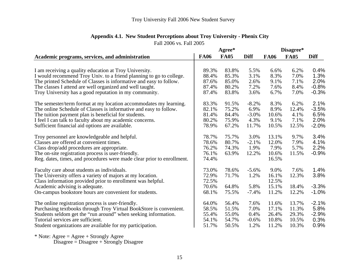|                                                                        | Agree*      |             |             | Disagree*   |             |             |
|------------------------------------------------------------------------|-------------|-------------|-------------|-------------|-------------|-------------|
| Academic programs, services, and administration                        | <b>FA06</b> | <b>FA05</b> | <b>Diff</b> | <b>FA06</b> | <b>FA05</b> | <b>Diff</b> |
|                                                                        |             |             |             |             |             |             |
| I am receiving a quality education at Troy University.                 | 89.3%       | 83.8%       | 5.5%        | 6.6%        | 6.2%        | 0.4%        |
| I would recommend Troy Univ. to a friend planning to go to college.    | 88.4%       | 85.3%       | 3.1%        | 8.3%        | 7.0%        | 1.3%        |
| The printed Schedule of Classes is informative and easy to follow.     | 87.6%       | 85.0%       | 2.6%        | 9.1%        | 7.1%        | 2.0%        |
| The classes I attend are well organized and well taught.               | 87.4%       | 80.2%       | 7.2%        | 7.6%        | 8.4%        | $-0.8%$     |
| Troy University has a good reputation in my community.                 | 87.4%       | 83.8%       | 3.6%        | 6.7%        | 7.0%        | $-0.3%$     |
| The semester/term format at my location accommodates my learning.      | 83.3%       | 91.5%       | $-8.2%$     | 8.3%        | 6.2%        | 2.1%        |
| The online Schedule of Classes is informative and easy to follow.      | 82.1%       | 75.2%       | 6.9%        | 8.9%        | 12.4%       | $-3.5%$     |
| The tuition payment plan is beneficial for students.                   | 81.4%       | 84.4%       | $-3.0%$     | 10.6%       | 4.1%        | 6.5%        |
| I feel I can talk to faculty about my academic concerns.               | 80.2%       | 75.9%       | 4.3%        | 9.1%        | 7.1%        | 2.0%        |
| Sufficient financial aid options are available.                        | 78.9%       | 67.2%       | 11.7%       | 10.5%       | 12.5%       | $-2.0%$     |
| Troy personnel are knowledgeable and helpful.                          | 78.7%       | 75.7%       | 3.0%        | 13.1%       | 9.7%        | 3.4%        |
| Classes are offered at convenient times.                               | 78.6%       | 80.7%       | $-2.1%$     | 12.0%       | 7.9%        | 4.1%        |
| Class drop/add procedures are appropriate.                             | 76.2%       | 74.3%       | 1.9%        | 7.9%        | 5.7%        | 2.2%        |
| The on-site registration process is user-friendly.                     | 76.1%       | 63.9%       | 12.2%       | 10.6%       | 11.5%       | $-0.9%$     |
| Reg. dates, times, and procedures were made clear prior to enrollment. | 74.4%       |             |             | 16.5%       |             |             |
| Faculty care about students as individuals.                            | 73.0%       | 78.6%       | $-5.6%$     | 9.0%        | 7.6%        | 1.4%        |
| The University offers a variety of majors at my location.              | 72.9%       | 71.7%       | 1.2%        | 16.1%       | 12.3%       | 3.8%        |
| Class information provided prior to enrollment was helpful.            | 72.5%       |             |             | 12.5%       |             |             |
| Academic advising is adequate.                                         | 70.6%       | 64.8%       | 5.8%        | 15.1%       | 18.4%       | $-3.3%$     |
| On-campus bookstore hours are convenient for students.                 | 68.1%       | 75.5%       | $-7.4%$     | 11.2%       | 12.2%       | $-1.0%$     |
| The online registration process is user-friendly.                      | 64.0%       | 56.4%       | 7.6%        | 11.6%       | 13.7%       | $-2.1%$     |
| Purchasing textbooks through Troy Virtual BookStore is convenient.     | 58.5%       | 51.5%       | 7.0%        | 17.1%       | 11.3%       | 5.8%        |
| Students seldom get the "run around" when seeking information.         | 55.4%       | 55.0%       | 0.4%        | 26.4%       | 29.3%       | $-2.9%$     |
| Tutorial services are sufficient.                                      | 54.1%       | 54.7%       | $-0.6%$     | 10.8%       | 10.5%       | 0.3%        |
| Student organizations are available for my participation.              | 51.7%       | 50.5%       | 1.2%        | 11.2%       | 10.3%       | 0.9%        |

# **Appendix 4.1. New Student Perceptions about Troy University - Phenix City**

Fall 2006 vs. Fall 2005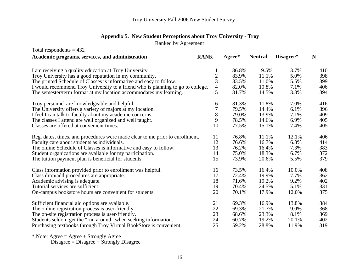#### **Appendix 5. New Student Perceptions about Troy University - Tro y**

Ranked by Agreement

| Total respondents $= 432$                                                       |                |        |                |           |     |
|---------------------------------------------------------------------------------|----------------|--------|----------------|-----------|-----|
| Academic programs, services, and administration                                 | <b>RANK</b>    | Agree* | <b>Neutral</b> | Disagree* | N   |
|                                                                                 |                |        |                |           |     |
| I am receiving a quality education at Troy University.                          | 1              | 86.8%  | 9.5%           | 3.7%      | 410 |
| Troy University has a good reputation in my community.                          | $\overline{c}$ | 83.9%  | 11.1%          | 5.0%      | 398 |
| The printed Schedule of Classes is informative and easy to follow.              | 3              | 83.5%  | 11.0%          | 5.5%      | 399 |
| I would recommend Troy University to a friend who is planning to go to college. | 4              | 82.0%  | 10.8%          | 7.1%      | 406 |
| The semester/term format at my location accommodates my learning.               | 5              | 81.7%  | 14.5%          | 3.8%      | 394 |
| Troy personnel are knowledgeable and helpful.                                   | 6              | 81.3%  | 11.8%          | 7.0%      | 416 |
| The University offers a variety of majors at my location.                       | 7              | 79.5%  | 14.4%          | 6.1%      | 396 |
| I feel I can talk to faculty about my academic concerns.                        | 8              | 79.0%  | 13.9%          | 7.1%      | 409 |
| The classes I attend are well organized and well taught.                        | 9              | 78.5%  | 14.6%          | 6.9%      | 405 |
| Classes are offered at convenient times.                                        | 10             | 77.5%  | 15.1%          | 7.4%      | 405 |
| Reg. dates, times, and procedures were made clear to me prior to enrollment.    | 11             | 76.8%  | 11.1%          | 12.1%     | 406 |
| Faculty care about students as individuals.                                     | 12             | 76.6%  | 16.7%          | 6.8%      | 414 |
| The online Schedule of Classes is informative and easy to follow.               | 13             | 76.2%  | 16.4%          | 7.3%      | 383 |
| Student organizations are available for my participation.                       | 14             | 75.0%  | 18.3%          | 6.7%      | 372 |
| The tuition payment plan is beneficial for students.                            | 15             | 73.9%  | 20.6%          | 5.5%      | 379 |
| Class information provided prior to enrollment was helpful.                     | 16             | 73.5%  | 16.4%          | 10.0%     | 408 |
| Class drop/add procedures are appropriate.                                      | 17             | 72.4%  | 19.9%          | 7.7%      | 362 |
| Academic advising is adequate.                                                  | 18             | 71.6%  | 19.2%          | 9.2%      | 402 |
| Tutorial services are sufficient.                                               | 19             | 70.4%  | 24.5%          | 5.1%      | 331 |
| On-campus bookstore hours are convenient for students.                          | 20             | 70.1%  | 17.9%          | 12.0%     | 375 |
| Sufficient financial aid options are available.                                 | 21             | 69.3%  | 16.9%          | 13.8%     | 384 |
| The online registration process is user-friendly.                               | 22             | 69.3%  | 21.7%          | 9.0%      | 368 |
| The on-site registration process is user-friendly.                              | 23             | 68.6%  | 23.3%          | 8.1%      | 369 |
| Students seldom get the "run around" when seeking information.                  | 24             | 60.7%  | 19.2%          | 20.1%     | 402 |
| Purchasing textbooks through Troy Virtual BookStore is convenient.              | 25             | 59.2%  | 28.8%          | 11.9%     | 319 |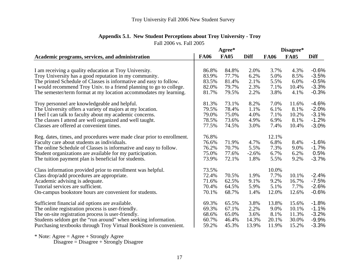| Appendix 5.1. New Student Perceptions about Troy University - Troy |  |
|--------------------------------------------------------------------|--|
| Fall 2006 vs. Fall 2005                                            |  |

|                                                                        | Agree*      |             |             | Disagree*   |             |             |
|------------------------------------------------------------------------|-------------|-------------|-------------|-------------|-------------|-------------|
| Academic programs, services, and administration                        | <b>FA06</b> | <b>FA05</b> | <b>Diff</b> | <b>FA06</b> | <b>FA05</b> | <b>Diff</b> |
|                                                                        |             |             |             |             |             |             |
| I am receiving a quality education at Troy University.                 | 86.8%       | 84.8%       | 2.0%        | 3.7%        | 4.3%        | $-0.6%$     |
| Troy University has a good reputation in my community.                 | 83.9%       | 77.7%       | 6.2%        | 5.0%        | 8.5%        | $-3.5%$     |
| The printed Schedule of Classes is informative and easy to follow.     | 83.5%       | 81.4%       | 2.1%        | 5.5%        | 6.0%        | $-0.5%$     |
| I would recommend Troy Univ. to a friend planning to go to college.    | 82.0%       | 79.7%       | 2.3%        | 7.1%        | 10.4%       | $-3.3%$     |
| The semester/term format at my location accommodates my learning.      | 81.7%       | 79.5%       | 2.2%        | 3.8%        | 4.1%        | $-0.3%$     |
| Troy personnel are knowledgeable and helpful.                          | 81.3%       | 73.1%       | 8.2%        | 7.0%        | 11.6%       | $-4.6%$     |
| The University offers a variety of majors at my location.              | 79.5%       | 78.4%       | 1.1%        | 6.1%        | 8.1%        | $-2.0%$     |
| I feel I can talk to faculty about my academic concerns.               | 79.0%       | 75.0%       | 4.0%        | 7.1%        | 10.2%       | $-3.1%$     |
| The classes I attend are well organized and well taught.               | 78.5%       | 73.6%       | 4.9%        | 6.9%        | 8.1%        | $-1.2%$     |
| Classes are offered at convenient times.                               | 77.5%       | 74.5%       | 3.0%        | 7.4%        | 10.4%       | $-3.0%$     |
| Reg. dates, times, and procedures were made clear prior to enrollment. | 76.8%       |             |             | 12.1%       |             |             |
| Faculty care about students as individuals.                            | 76.6%       | 71.9%       | 4.7%        | 6.8%        | 8.4%        | $-1.6%$     |
| The online Schedule of Classes is informative and easy to follow.      | 76.2%       | 70.7%       | 5.5%        | 7.3%        | 9.0%        | $-1.7%$     |
| Student organizations are available for my participation.              | 75.0%       | 77.6%       | $-2.6%$     | 6.7%        | 6.2%        | 0.5%        |
| The tuition payment plan is beneficial for students.                   | 73.9%       | 72.1%       | 1.8%        | 5.5%        | 9.2%        | $-3.7%$     |
| Class information provided prior to enrollment was helpful.            | 73.5%       |             |             | 10.0%       |             |             |
| Class drop/add procedures are appropriate.                             | 72.4%       | 70.5%       | 1.9%        | 7.7%        | 10.1%       | $-2.4%$     |
| Academic advising is adequate.                                         | 71.6%       | 62.5%       | 9.1%        | 9.2%        | 16.7%       | $-7.5%$     |
| Tutorial services are sufficient.                                      | 70.4%       | 64.5%       | 5.9%        | 5.1%        | 7.7%        | $-2.6%$     |
| On-campus bookstore hours are convenient for students.                 | 70.1%       | 68.7%       | 1.4%        | 12.0%       | 12.6%       | $-0.6%$     |
| Sufficient financial aid options are available.                        | 69.3%       | 65.5%       | 3.8%        | 13.8%       | 15.6%       | $-1.8%$     |
| The online registration process is user-friendly.                      | 69.3%       | 67.1%       | 2.2%        | 9.0%        | 10.1%       | $-1.1%$     |
| The on-site registration process is user-friendly.                     | 68.6%       | 65.0%       | 3.6%        | 8.1%        | 11.3%       | $-3.2%$     |
| Students seldom get the "run around" when seeking information.         | 60.7%       | 46.4%       | 14.3%       | 20.1%       | 30.0%       | $-9.9%$     |
| Purchasing textbooks through Troy Virtual BookStore is convenient.     | 59.2%       | 45.3%       | 13.9%       | 11.9%       | 15.2%       | $-3.3%$     |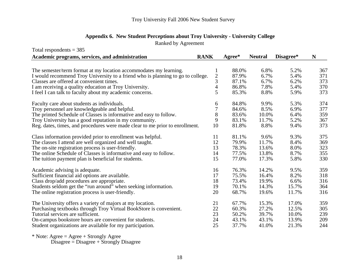#### Appendix 6. New Student Perceptions about Troy University - University College

Ranked by Agreement

|                  | Agree*                                                                                                                                                                                                                 | <b>Neutral</b>                   | Disagree* | ${\bf N}$                                                                                                       |
|------------------|------------------------------------------------------------------------------------------------------------------------------------------------------------------------------------------------------------------------|----------------------------------|-----------|-----------------------------------------------------------------------------------------------------------------|
|                  |                                                                                                                                                                                                                        |                                  |           |                                                                                                                 |
| 1                | 88.0%                                                                                                                                                                                                                  | 6.8%                             | 5.2%      | 367                                                                                                             |
| $\boldsymbol{2}$ | 87.9%                                                                                                                                                                                                                  | 6.7%                             | 5.4%      | 371                                                                                                             |
|                  | 87.1%                                                                                                                                                                                                                  | 6.7%                             | 6.2%      | 373                                                                                                             |
|                  | 86.8%                                                                                                                                                                                                                  | 7.8%                             | 5.4%      | 370                                                                                                             |
|                  |                                                                                                                                                                                                                        |                                  |           | 373                                                                                                             |
| 6                | 84.8%                                                                                                                                                                                                                  | 9.9%                             | 5.3%      | 374                                                                                                             |
| 7                | 84.6%                                                                                                                                                                                                                  | 8.5%                             | 6.9%      | 377                                                                                                             |
| 8                | 83.6%                                                                                                                                                                                                                  |                                  | 6.4%      | 359                                                                                                             |
| 9                | 83.1%                                                                                                                                                                                                                  |                                  | 5.2%      | 367                                                                                                             |
|                  |                                                                                                                                                                                                                        |                                  | 9.4%      | 373                                                                                                             |
| 11               | 81.1%                                                                                                                                                                                                                  | 9.6%                             | 9.3%      | 375                                                                                                             |
| 12               | 79.9%                                                                                                                                                                                                                  | 11.7%                            | 8.4%      | 369                                                                                                             |
| 13               | 78.3%                                                                                                                                                                                                                  |                                  | 8.0%      | 323                                                                                                             |
| 14               | 77.5%                                                                                                                                                                                                                  |                                  | 8.7%      | 355                                                                                                             |
| 15               | 77.0%                                                                                                                                                                                                                  |                                  | 5.8%      | 330                                                                                                             |
| 16               | 76.3%                                                                                                                                                                                                                  |                                  | 9.5%      | 359                                                                                                             |
| 17               | 75.5%                                                                                                                                                                                                                  |                                  | 8.2%      | 318                                                                                                             |
| 18               |                                                                                                                                                                                                                        |                                  | 6.6%      | 316                                                                                                             |
| 19               | 70.1%                                                                                                                                                                                                                  | 14.3%                            | 15.7%     | 364                                                                                                             |
| 20               | 68.7%                                                                                                                                                                                                                  |                                  | 11.7%     | 316                                                                                                             |
| 21               | 67.7%                                                                                                                                                                                                                  | 15.3%                            | 17.0%     | 359                                                                                                             |
| 22               | 60.3%                                                                                                                                                                                                                  | 27.2%                            | 12.5%     | 305                                                                                                             |
| 23               | 50.2%                                                                                                                                                                                                                  | 39.7%                            | 10.0%     | 239                                                                                                             |
| 24               | 43.1%                                                                                                                                                                                                                  |                                  | 13.9%     | 209                                                                                                             |
|                  |                                                                                                                                                                                                                        | 41.0%                            |           | 244                                                                                                             |
|                  | <b>RANK</b><br>I would recommend Troy University to a friend who is planning to go to college.<br>3<br>$\overline{4}$<br>5<br>10<br>Reg. dates, times, and procedures were made clear to me prior to enrollment.<br>25 | 85.3%<br>81.8%<br>73.4%<br>37.7% | 8.8%      | 8.8%<br>5.9%<br>10.0%<br>11.7%<br>13.6%<br>13.8%<br>17.3%<br>14.2%<br>16.4%<br>19.9%<br>19.6%<br>43.1%<br>21.3% |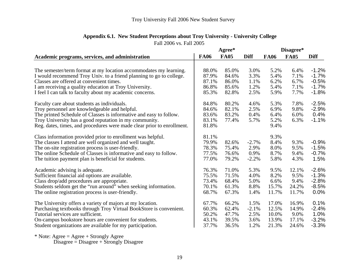|                                                                        | Agree*      |             |             | Disagree*   |             |             |
|------------------------------------------------------------------------|-------------|-------------|-------------|-------------|-------------|-------------|
| Academic programs, services, and administration                        | <b>FA06</b> | <b>FA05</b> | <b>Diff</b> | <b>FA06</b> | <b>FA05</b> | <b>Diff</b> |
|                                                                        |             |             |             |             |             |             |
| The semester/term format at my location accommodates my learning.      | 88.0%       | 85.0%       | 3.0%        | 5.2%        | 6.4%        | $-1.2%$     |
| I would recommend Troy Univ. to a friend planning to go to college.    | 87.9%       | 84.6%       | 3.3%        | 5.4%        | 7.1%        | $-1.7%$     |
| Classes are offered at convenient times.                               | 87.1%       | 86.0%       | 1.1%        | 6.2%        | 6.7%        | $-0.5%$     |
| I am receiving a quality education at Troy University.                 | 86.8%       | 85.6%       | 1.2%        | 5.4%        | 7.1%        | $-1.7%$     |
| I feel I can talk to faculty about my academic concerns.               | 85.3%       | 82.8%       | 2.5%        | 5.9%        | 7.7%        | $-1.8%$     |
| Faculty care about students as individuals.                            | 84.8%       | 80.2%       | 4.6%        | 5.3%        | 7.8%        | $-2.5%$     |
| Troy personnel are knowledgeable and helpful.                          | 84.6%       | 82.1%       | 2.5%        | 6.9%        | 9.8%        | $-2.9%$     |
| The printed Schedule of Classes is informative and easy to follow.     | 83.6%       | 83.2%       | 0.4%        | 6.4%        | 6.0%        | 0.4%        |
| Troy University has a good reputation in my community.                 | 83.1%       | 77.4%       | 5.7%        | 5.2%        | 6.3%        | $-1.1%$     |
| Reg. dates, times, and procedures were made clear prior to enrollment. | 81.8%       |             |             | 9.4%        |             |             |
| Class information provided prior to enrollment was helpful.            | 81.1%       |             |             | 9.3%        |             |             |
| The classes I attend are well organized and well taught.               | 79.9%       | 82.6%       | $-2.7%$     | 8.4%        | 9.3%        | $-0.9%$     |
| The on-site registration process is user-friendly.                     | 78.3%       | 75.4%       | 2.9%        | 8.0%        | 9.5%        | $-1.5%$     |
| The online Schedule of Classes is informative and easy to follow.      | 77.5%       | 76.6%       | 0.9%        | 8.7%        | 9.4%        | $-0.7%$     |
| The tuition payment plan is beneficial for students.                   | 77.0%       | 79.2%       | $-2.2%$     | 5.8%        | 4.3%        | 1.5%        |
| Academic advising is adequate.                                         | 76.3%       | 71.0%       | 5.3%        | 9.5%        | 12.1%       | $-2.6%$     |
| Sufficient financial aid options are available.                        | 75.5%       | 71.5%       | 4.0%        | 8.2%        | 9.5%        | $-1.3%$     |
| Class drop/add procedures are appropriate.                             | 73.4%       | 68.4%       | 5.0%        | 6.6%        | 9.4%        | $-2.8%$     |
| Students seldom get the "run around" when seeking information.         | 70.1%       | 61.3%       | 8.8%        | 15.7%       | 24.2%       | $-8.5%$     |
| The online registration process is user-friendly.                      | 68.7%       | 67.3%       | 1.4%        | 11.7%       | 11.7%       | 0.0%        |
| The University offers a variety of majors at my location.              | 67.7%       | 66.2%       | 1.5%        | 17.0%       | 16.9%       | 0.1%        |
| Purchasing textbooks through Troy Virtual BookStore is convenient.     | 60.3%       | 62.4%       | $-2.1%$     | 12.5%       | 14.9%       | $-2.4%$     |
| Tutorial services are sufficient.                                      | 50.2%       | 47.7%       | 2.5%        | 10.0%       | 9.0%        | 1.0%        |
| On-campus bookstore hours are convenient for students.                 | 43.1%       | 39.5%       | 3.6%        | 13.9%       | 17.1%       | $-3.2%$     |
| Student organizations are available for my participation.              | 37.7%       | 36.5%       | 1.2%        | 21.3%       | 24.6%       | $-3.3%$     |

# **Appendix 6.1. New Student Perceptions about Troy University - University College**

Fall 2006 vs. Fall 2005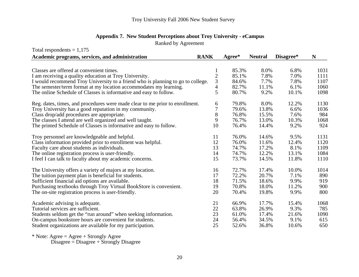| <b>Appendix 7. New Student Perceptions about Troy University - eCampus</b> |  |  |
|----------------------------------------------------------------------------|--|--|
|----------------------------------------------------------------------------|--|--|

Ranked by Agreement

| Total respondents = $1,175$                                                     |              |        |                |           |      |
|---------------------------------------------------------------------------------|--------------|--------|----------------|-----------|------|
| Academic programs, services, and administration                                 | <b>RANK</b>  | Agree* | <b>Neutral</b> | Disagree* | N    |
|                                                                                 |              |        |                |           |      |
| Classes are offered at convenient times.                                        | 1            | 85.3%  | 8.0%           | 6.8%      | 1031 |
| I am receiving a quality education at Troy University.                          | $\mathbf{2}$ | 85.1%  | 7.8%           | 7.0%      | 1111 |
| I would recommend Troy University to a friend who is planning to go to college. | 3            | 84.6%  | 7.7%           | 7.8%      | 1107 |
| The semester/term format at my location accommodates my learning.               | 4            | 82.7%  | 11.1%          | 6.1%      | 1060 |
| The online Schedule of Classes is informative and easy to follow.               | 5            | 80.7%  | 9.2%           | 10.1%     | 1098 |
| Reg. dates, times, and procedures were made clear to me prior to enrollment.    | 6            | 79.8%  | 8.0%           | 12.2%     | 1130 |
| Troy University has a good reputation in my community.                          | 7            | 79.6%  | 13.8%          | 6.6%      | 1036 |
| Class drop/add procedures are appropriate.                                      | 8            | 76.8%  | 15.5%          | 7.6%      | 984  |
| The classes I attend are well organized and well taught.                        | 9            | 76.7%  | 13.0%          | 10.3%     | 1068 |
| The printed Schedule of Classes is informative and easy to follow.              | 10           | 76.4%  | 14.4%          | 9.2%      | 924  |
| Troy personnel are knowledgeable and helpful.                                   | 11           | 76.0%  | 14.6%          | 9.5%      | 1131 |
| Class information provided prior to enrollment was helpful.                     | 12           | 76.0%  | 11.6%          | 12.4%     | 1120 |
| Faculty care about students as individuals.                                     | 13           | 74.7%  | 17.2%          | 8.1%      | 1109 |
| The online registration process is user-friendly.                               | 14           | 74.7%  | 12.2%          | 13.1%     | 1084 |
| I feel I can talk to faculty about my academic concerns.                        | 15           | 73.7%  | 14.5%          | 11.8%     | 1110 |
| The University offers a variety of majors at my location.                       | 16           | 72.7%  | 17.4%          | 10.0%     | 1014 |
| The tuition payment plan is beneficial for students.                            | 17           | 72.2%  | 20.7%          | 7.1%      | 890  |
| Sufficient financial aid options are available.                                 | 18           | 71.5%  | 18.6%          | 9.9%      | 919  |
| Purchasing textbooks through Troy Virtual BookStore is convenient.              | 19           | 70.8%  | 18.0%          | 11.2%     | 900  |
| The on-site registration process is user-friendly.                              | 20           | 70.4%  | 19.8%          | 9.9%      | 800  |
| Academic advising is adequate.                                                  | 21           | 66.9%  | 17.7%          | 15.4%     | 1068 |
| Tutorial services are sufficient.                                               | 22           | 63.8%  | 26.9%          | 9.3%      | 785  |
| Students seldom get the "run around" when seeking information.                  | 23           | 61.0%  | 17.4%          | 21.6%     | 1090 |
| On-campus bookstore hours are convenient for students.                          | 24           | 56.4%  | 34.5%          | 9.1%      | 615  |
| Student organizations are available for my participation.                       | 25           | 52.6%  | 36.8%          | 10.6%     | 650  |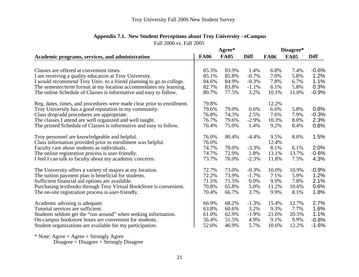|                                                                        |             | Agree*      |             | Disagree*   |             |             |
|------------------------------------------------------------------------|-------------|-------------|-------------|-------------|-------------|-------------|
| Academic programs, services, and administration                        | <b>FA06</b> | <b>FA05</b> | <b>Diff</b> | <b>FA06</b> | <b>FA05</b> | <b>Diff</b> |
|                                                                        |             |             |             |             |             |             |
| Classes are offered at convenient times.                               | 85.3%       | 83.9%       | 1.4%        | 6.8%        | 7.4%        | $-0.6%$     |
| I am receiving a quality education at Troy University.                 | 85.1%       | 85.8%       | $-0.7%$     | 7.0%        | 5.8%        | 1.2%        |
| I would recommend Troy Univ. to a friend planning to go to college.    | 84.6%       | 84.9%       | $-0.3%$     | 7.8%        | 6.7%        | 1.1%        |
| The semester/term format at my location accommodates my learning.      | 82.7%       | 83.8%       | $-1.1%$     | 6.1%        | 5.8%        | 0.3%        |
| The online Schedule of Classes is informative and easy to follow.      | 80.7%       | 77.5%       | 3.2%        | 10.1%       | 11.0%       | $-0.9%$     |
| Reg. dates, times, and procedures were made clear prior to enrollment. | 79.8%       |             |             | 12.2%       |             |             |
| Troy University has a good reputation in my community.                 | 79.6%       | 79.0%       | 0.6%        | 6.6%        | 5.8%        | 0.8%        |
| Class drop/add procedures are appropriate.                             | 76.8%       | 74.3%       | 2.5%        | 7.6%        | 7.9%        | $-0.3%$     |
| The classes I attend are well organized and well taught.               | 76.7%       | 79.6%       | $-2.9%$     | 10.3%       | 8.0%        | 2.3%        |
| The printed Schedule of Classes is informative and easy to follow.     | 76.4%       | 75.0%       | 1.4%        | 9.2%        | 8.4%        | 0.8%        |
| Troy personnel are knowledgeable and helpful.                          | 76.0%       | 80.4%       | $-4.4%$     | 9.5%        | 8.0%        | 1.5%        |
| Class information provided prior to enrollment was helpful.            | 76.0%       |             |             | 12.4%       |             |             |
| Faculty care about students as individuals.                            | 74.7%       | 78.0%       | $-3.3%$     | 8.1%        | 6.1%        | 2.0%        |
| The online registration process is user-friendly.                      | 74.7%       | 72.9%       | 1.8%        | 13.1%       | 13.7%       | $-0.6%$     |
| I feel I can talk to faculty about my academic concerns.               | 73.7%       | 76.0%       | $-2.3%$     | 11.8%       | 7.5%        | 4.3%        |
| The University offers a variety of majors at my location.              | 72.7%       | 73.0%       | $-0.3%$     | 10.0%       | 10.9%       | $-0.9%$     |
| The tuition payment plan is beneficial for students.                   | 72.2%       | 73.9%       | $-1.7%$     | 7.1%        | 5.9%        | 1.2%        |
| Sufficient financial aid options are available.                        | 71.5%       | 71.5%       | 0.0%        | 9.9%        | 7.8%        | 2.1%        |
| Purchasing textbooks through Troy Virtual BookStore is convenient.     | 70.8%       | 65.8%       | 5.0%        | 11.2%       | 10.6%       | 0.6%        |
| The on-site registration process is user-friendly.                     | 70.4%       | 66.7%       | 3.7%        | 9.9%        | 8.1%        | 1.8%        |
| Academic advising is adequate.                                         | 66.9%       | 68.2%       | $-1.3%$     | 15.4%       | 12.7%       | 2.7%        |
| Tutorial services are sufficient.                                      | 63.8%       | 60.6%       | 3.2%        | 9.3%        | 7.7%        | 1.6%        |
| Students seldom get the "run around" when seeking information.         | 61.0%       | 62.9%       | $-1.9\%$    | 21.6%       | 20.5%       | 1.1%        |
| On-campus bookstore hours are convenient for students.                 | 56.4%       | 51.5%       | 4.9%        | 9.1%        | 9.9%        | $-0.8%$     |
| Student organizations are available for my participation.              | 52.6%       | 46.9%       | 5.7%        | 10.6%       | 12.2%       | $-1.6%$     |

# **Appendix 7.1. New Student Perceptions about Troy University - eCampus**

Fall 2006 vs. Fall 2005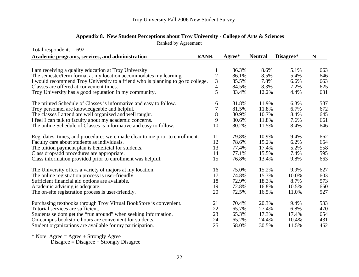| Total respondents $= 692$                                                       |                |        |                |           |     |
|---------------------------------------------------------------------------------|----------------|--------|----------------|-----------|-----|
| Academic programs, services, and administration                                 | <b>RANK</b>    | Agree* | <b>Neutral</b> | Disagree* | N   |
|                                                                                 |                |        |                |           |     |
| I am receiving a quality education at Troy University.                          | 1              | 86.3%  | 8.6%           | 5.1%      | 663 |
| The semester/term format at my location accommodates my learning.               | $\overline{c}$ | 86.1%  | 8.5%           | 5.4%      | 646 |
| I would recommend Troy University to a friend who is planning to go to college. | 3              | 85.5%  | 7.8%           | 6.6%      | 663 |
| Classes are offered at convenient times.                                        | 4              | 84.5%  | 8.3%           | 7.2%      | 625 |
| Troy University has a good reputation in my community.                          | 5              | 83.4%  | 12.2%          | 4.4%      | 631 |
| The printed Schedule of Classes is informative and easy to follow.              | 6              | 81.8%  | 11.9%          | 6.3%      | 587 |
| Troy personnel are knowledgeable and helpful.                                   | 7              | 81.5%  | 11.8%          | 6.7%      | 672 |
| The classes I attend are well organized and well taught.                        | 8              | 80.9%  | 10.7%          | 8.4%      | 645 |
| I feel I can talk to faculty about my academic concerns.                        | 9              | 80.6%  | 11.8%          | 7.6%      | 661 |
| The online Schedule of Classes is informative and easy to follow.               | 10             | 80.2%  | 11.5%          | 8.4%      | 646 |
| Reg. dates, times, and procedures were made clear to me prior to enrollment.    | 11             | 79.8%  | 10.9%          | 9.4%      | 662 |
| Faculty care about students as individuals.                                     | 12             | 78.6%  | 15.2%          | 6.2%      | 664 |
| The tuition payment plan is beneficial for students.                            | 13             | 77.4%  | 17.4%          | 5.2%      | 558 |
| Class drop/add procedures are appropriate.                                      | 14             | 77.1%  | 15.5%          | 7.4%      | 595 |
| Class information provided prior to enrollment was helpful.                     | 15             | 76.8%  | 13.4%          | 9.8%      | 663 |
| The University offers a variety of majors at my location.                       | 16             | 75.0%  | 15.2%          | 9.9%      | 627 |
| The online registration process is user-friendly.                               | 17             | 74.8%  | 15.3%          | 10.0%     | 603 |
| Sufficient financial aid options are available.                                 | 18             | 72.9%  | 18.3%          | 8.7%      | 573 |
| Academic advising is adequate.                                                  | 19             | 72.8%  | 16.8%          | 10.5%     | 650 |
| The on-site registration process is user-friendly.                              | 20             | 72.5%  | 16.5%          | 11.0%     | 527 |
| Purchasing textbooks through Troy Virtual BookStore is convenient.              | 21             | 70.4%  | 20.3%          | 9.4%      | 533 |
| Tutorial services are sufficient.                                               | 22             | 65.7%  | 27.4%          | 6.8%      | 470 |
| Students seldom get the "run around" when seeking information.                  | 23             | 65.3%  | 17.3%          | 17.4%     | 654 |
| On-campus bookstore hours are convenient for students.                          | 24             | 65.2%  | 24.4%          | 10.4%     | 431 |
| Student organizations are available for my participation.                       | 25             | 58.0%  | 30.5%          | 11.5%     | 462 |

## **Appendix 8. New Student Perceptions about Troy University - College of Arts & Sciences**

Ranked by Agreement

\* Note: Agree = Agree + Strongly Agree

Disagree = Disagree + Strongly Disagree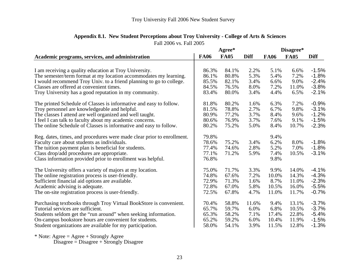| <b>FA05</b><br><b>FA06</b><br><b>FA05</b><br><b>Diff</b><br><b>Diff</b><br><b>FA06</b><br>86.3%<br>84.1%<br>2.2%<br>5.1%<br>$-1.5%$<br>I am receiving a quality education at Troy University.<br>6.6%<br>The semester/term format at my location accommodates my learning.<br>80.8%<br>5.3%<br>5.4%<br>$-1.8%$<br>86.1%<br>7.2%<br>I would recommend Troy Univ. to a friend planning to go to college.<br>$-2.4%$<br>82.1%<br>3.4%<br>85.5%<br>6.6%<br>9.0%<br>Classes are offered at convenient times.<br>7.2%<br>$-3.8%$<br>84.5%<br>76.5%<br>8.0%<br>11.0%<br>Troy University has a good reputation in my community.<br>$-2.1%$<br>83.4%<br>80.0%<br>3.4%<br>4.4%<br>6.5%<br>$-0.9%$<br>80.2%<br>7.2%<br>The printed Schedule of Classes is informative and easy to follow.<br>81.8%<br>1.6%<br>6.3%<br>81.5%<br>78.8%<br>2.7%<br>6.7%<br>9.8%<br>$-3.1%$<br>The classes I attend are well organized and well taught.<br>80.9%<br>77.2%<br>3.7%<br>8.4%<br>$-1.2%$<br>9.6%<br>76.9%<br>3.7%<br>$-1.5%$<br>I feel I can talk to faculty about my academic concerns.<br>80.6%<br>7.6%<br>9.1%<br>80.2%<br>75.2%<br>5.0%<br>8.4%<br>10.7%<br>$-2.3%$<br>Reg. dates, times, and procedures were made clear prior to enrollment.<br>79.8%<br>9.4%<br>75.2%<br>8.0%<br>$-1.8%$<br>Faculty care about students as individuals.<br>78.6%<br>3.4%<br>6.2%<br>5.2%<br>The tuition payment plan is beneficial for students.<br>2.8%<br>7.0%<br>$-1.8%$<br>77.4%<br>74.6%<br>Class drop/add procedures are appropriate.<br>77.1%<br>71.2%<br>5.9%<br>10.5%<br>$-3.1%$<br>7.4%<br>76.8%<br>9.8%<br>$-4.1%$<br>The University offers a variety of majors at my location.<br>75.0%<br>71.7%<br>3.3%<br>9.9%<br>14.0%<br>$-4.3%$<br>The online registration process is user-friendly.<br>74.8%<br>7.2%<br>67.6%<br>10.0%<br>14.3%<br>$-2.3%$<br>72.9%<br>71.3%<br>1.6%<br>8.7%<br>Sufficient financial aid options are available.<br>11.0%<br>Academic advising is adequate.<br>72.8%<br>67.0%<br>$-5.5%$<br>5.8%<br>10.5%<br>16.0%<br>The on-site registration process is user-friendly.<br>$-0.7%$<br>72.5%<br>67.8%<br>4.7%<br>11.0%<br>11.7%<br>$-3.7%$<br>Purchasing textbooks through Troy Virtual BookStore is convenient.<br>58.8%<br>13.1%<br>70.4%<br>11.6%<br>9.4% |                                                                   |       | Agree* |      | Disagree* |       |         |
|------------------------------------------------------------------------------------------------------------------------------------------------------------------------------------------------------------------------------------------------------------------------------------------------------------------------------------------------------------------------------------------------------------------------------------------------------------------------------------------------------------------------------------------------------------------------------------------------------------------------------------------------------------------------------------------------------------------------------------------------------------------------------------------------------------------------------------------------------------------------------------------------------------------------------------------------------------------------------------------------------------------------------------------------------------------------------------------------------------------------------------------------------------------------------------------------------------------------------------------------------------------------------------------------------------------------------------------------------------------------------------------------------------------------------------------------------------------------------------------------------------------------------------------------------------------------------------------------------------------------------------------------------------------------------------------------------------------------------------------------------------------------------------------------------------------------------------------------------------------------------------------------------------------------------------------------------------------------------------------------------------------------------------------------------------------------------------------------------------------------------------------------------------------------------------------------------------------------------------------------------------------|-------------------------------------------------------------------|-------|--------|------|-----------|-------|---------|
|                                                                                                                                                                                                                                                                                                                                                                                                                                                                                                                                                                                                                                                                                                                                                                                                                                                                                                                                                                                                                                                                                                                                                                                                                                                                                                                                                                                                                                                                                                                                                                                                                                                                                                                                                                                                                                                                                                                                                                                                                                                                                                                                                                                                                                                                  | Academic programs, services, and administration                   |       |        |      |           |       |         |
|                                                                                                                                                                                                                                                                                                                                                                                                                                                                                                                                                                                                                                                                                                                                                                                                                                                                                                                                                                                                                                                                                                                                                                                                                                                                                                                                                                                                                                                                                                                                                                                                                                                                                                                                                                                                                                                                                                                                                                                                                                                                                                                                                                                                                                                                  |                                                                   |       |        |      |           |       |         |
|                                                                                                                                                                                                                                                                                                                                                                                                                                                                                                                                                                                                                                                                                                                                                                                                                                                                                                                                                                                                                                                                                                                                                                                                                                                                                                                                                                                                                                                                                                                                                                                                                                                                                                                                                                                                                                                                                                                                                                                                                                                                                                                                                                                                                                                                  |                                                                   |       |        |      |           |       |         |
|                                                                                                                                                                                                                                                                                                                                                                                                                                                                                                                                                                                                                                                                                                                                                                                                                                                                                                                                                                                                                                                                                                                                                                                                                                                                                                                                                                                                                                                                                                                                                                                                                                                                                                                                                                                                                                                                                                                                                                                                                                                                                                                                                                                                                                                                  |                                                                   |       |        |      |           |       |         |
|                                                                                                                                                                                                                                                                                                                                                                                                                                                                                                                                                                                                                                                                                                                                                                                                                                                                                                                                                                                                                                                                                                                                                                                                                                                                                                                                                                                                                                                                                                                                                                                                                                                                                                                                                                                                                                                                                                                                                                                                                                                                                                                                                                                                                                                                  |                                                                   |       |        |      |           |       |         |
|                                                                                                                                                                                                                                                                                                                                                                                                                                                                                                                                                                                                                                                                                                                                                                                                                                                                                                                                                                                                                                                                                                                                                                                                                                                                                                                                                                                                                                                                                                                                                                                                                                                                                                                                                                                                                                                                                                                                                                                                                                                                                                                                                                                                                                                                  |                                                                   |       |        |      |           |       |         |
|                                                                                                                                                                                                                                                                                                                                                                                                                                                                                                                                                                                                                                                                                                                                                                                                                                                                                                                                                                                                                                                                                                                                                                                                                                                                                                                                                                                                                                                                                                                                                                                                                                                                                                                                                                                                                                                                                                                                                                                                                                                                                                                                                                                                                                                                  |                                                                   |       |        |      |           |       |         |
|                                                                                                                                                                                                                                                                                                                                                                                                                                                                                                                                                                                                                                                                                                                                                                                                                                                                                                                                                                                                                                                                                                                                                                                                                                                                                                                                                                                                                                                                                                                                                                                                                                                                                                                                                                                                                                                                                                                                                                                                                                                                                                                                                                                                                                                                  |                                                                   |       |        |      |           |       |         |
|                                                                                                                                                                                                                                                                                                                                                                                                                                                                                                                                                                                                                                                                                                                                                                                                                                                                                                                                                                                                                                                                                                                                                                                                                                                                                                                                                                                                                                                                                                                                                                                                                                                                                                                                                                                                                                                                                                                                                                                                                                                                                                                                                                                                                                                                  | Troy personnel are knowledgeable and helpful.                     |       |        |      |           |       |         |
|                                                                                                                                                                                                                                                                                                                                                                                                                                                                                                                                                                                                                                                                                                                                                                                                                                                                                                                                                                                                                                                                                                                                                                                                                                                                                                                                                                                                                                                                                                                                                                                                                                                                                                                                                                                                                                                                                                                                                                                                                                                                                                                                                                                                                                                                  |                                                                   |       |        |      |           |       |         |
|                                                                                                                                                                                                                                                                                                                                                                                                                                                                                                                                                                                                                                                                                                                                                                                                                                                                                                                                                                                                                                                                                                                                                                                                                                                                                                                                                                                                                                                                                                                                                                                                                                                                                                                                                                                                                                                                                                                                                                                                                                                                                                                                                                                                                                                                  |                                                                   |       |        |      |           |       |         |
|                                                                                                                                                                                                                                                                                                                                                                                                                                                                                                                                                                                                                                                                                                                                                                                                                                                                                                                                                                                                                                                                                                                                                                                                                                                                                                                                                                                                                                                                                                                                                                                                                                                                                                                                                                                                                                                                                                                                                                                                                                                                                                                                                                                                                                                                  | The online Schedule of Classes is informative and easy to follow. |       |        |      |           |       |         |
|                                                                                                                                                                                                                                                                                                                                                                                                                                                                                                                                                                                                                                                                                                                                                                                                                                                                                                                                                                                                                                                                                                                                                                                                                                                                                                                                                                                                                                                                                                                                                                                                                                                                                                                                                                                                                                                                                                                                                                                                                                                                                                                                                                                                                                                                  |                                                                   |       |        |      |           |       |         |
|                                                                                                                                                                                                                                                                                                                                                                                                                                                                                                                                                                                                                                                                                                                                                                                                                                                                                                                                                                                                                                                                                                                                                                                                                                                                                                                                                                                                                                                                                                                                                                                                                                                                                                                                                                                                                                                                                                                                                                                                                                                                                                                                                                                                                                                                  |                                                                   |       |        |      |           |       |         |
|                                                                                                                                                                                                                                                                                                                                                                                                                                                                                                                                                                                                                                                                                                                                                                                                                                                                                                                                                                                                                                                                                                                                                                                                                                                                                                                                                                                                                                                                                                                                                                                                                                                                                                                                                                                                                                                                                                                                                                                                                                                                                                                                                                                                                                                                  |                                                                   |       |        |      |           |       |         |
|                                                                                                                                                                                                                                                                                                                                                                                                                                                                                                                                                                                                                                                                                                                                                                                                                                                                                                                                                                                                                                                                                                                                                                                                                                                                                                                                                                                                                                                                                                                                                                                                                                                                                                                                                                                                                                                                                                                                                                                                                                                                                                                                                                                                                                                                  |                                                                   |       |        |      |           |       |         |
|                                                                                                                                                                                                                                                                                                                                                                                                                                                                                                                                                                                                                                                                                                                                                                                                                                                                                                                                                                                                                                                                                                                                                                                                                                                                                                                                                                                                                                                                                                                                                                                                                                                                                                                                                                                                                                                                                                                                                                                                                                                                                                                                                                                                                                                                  | Class information provided prior to enrollment was helpful.       |       |        |      |           |       |         |
|                                                                                                                                                                                                                                                                                                                                                                                                                                                                                                                                                                                                                                                                                                                                                                                                                                                                                                                                                                                                                                                                                                                                                                                                                                                                                                                                                                                                                                                                                                                                                                                                                                                                                                                                                                                                                                                                                                                                                                                                                                                                                                                                                                                                                                                                  |                                                                   |       |        |      |           |       |         |
|                                                                                                                                                                                                                                                                                                                                                                                                                                                                                                                                                                                                                                                                                                                                                                                                                                                                                                                                                                                                                                                                                                                                                                                                                                                                                                                                                                                                                                                                                                                                                                                                                                                                                                                                                                                                                                                                                                                                                                                                                                                                                                                                                                                                                                                                  |                                                                   |       |        |      |           |       |         |
|                                                                                                                                                                                                                                                                                                                                                                                                                                                                                                                                                                                                                                                                                                                                                                                                                                                                                                                                                                                                                                                                                                                                                                                                                                                                                                                                                                                                                                                                                                                                                                                                                                                                                                                                                                                                                                                                                                                                                                                                                                                                                                                                                                                                                                                                  |                                                                   |       |        |      |           |       |         |
|                                                                                                                                                                                                                                                                                                                                                                                                                                                                                                                                                                                                                                                                                                                                                                                                                                                                                                                                                                                                                                                                                                                                                                                                                                                                                                                                                                                                                                                                                                                                                                                                                                                                                                                                                                                                                                                                                                                                                                                                                                                                                                                                                                                                                                                                  |                                                                   |       |        |      |           |       |         |
|                                                                                                                                                                                                                                                                                                                                                                                                                                                                                                                                                                                                                                                                                                                                                                                                                                                                                                                                                                                                                                                                                                                                                                                                                                                                                                                                                                                                                                                                                                                                                                                                                                                                                                                                                                                                                                                                                                                                                                                                                                                                                                                                                                                                                                                                  |                                                                   |       |        |      |           |       |         |
|                                                                                                                                                                                                                                                                                                                                                                                                                                                                                                                                                                                                                                                                                                                                                                                                                                                                                                                                                                                                                                                                                                                                                                                                                                                                                                                                                                                                                                                                                                                                                                                                                                                                                                                                                                                                                                                                                                                                                                                                                                                                                                                                                                                                                                                                  |                                                                   |       |        |      |           |       |         |
|                                                                                                                                                                                                                                                                                                                                                                                                                                                                                                                                                                                                                                                                                                                                                                                                                                                                                                                                                                                                                                                                                                                                                                                                                                                                                                                                                                                                                                                                                                                                                                                                                                                                                                                                                                                                                                                                                                                                                                                                                                                                                                                                                                                                                                                                  |                                                                   |       |        |      |           |       |         |
|                                                                                                                                                                                                                                                                                                                                                                                                                                                                                                                                                                                                                                                                                                                                                                                                                                                                                                                                                                                                                                                                                                                                                                                                                                                                                                                                                                                                                                                                                                                                                                                                                                                                                                                                                                                                                                                                                                                                                                                                                                                                                                                                                                                                                                                                  | Tutorial services are sufficient.                                 | 65.7% | 59.7%  | 6.0% | 6.8%      | 10.5% | $-3.7%$ |
| 22.8%<br>$-5.4%$<br>65.3%<br>58.2%<br>7.1%<br>17.4%                                                                                                                                                                                                                                                                                                                                                                                                                                                                                                                                                                                                                                                                                                                                                                                                                                                                                                                                                                                                                                                                                                                                                                                                                                                                                                                                                                                                                                                                                                                                                                                                                                                                                                                                                                                                                                                                                                                                                                                                                                                                                                                                                                                                              | Students seldom get the "run around" when seeking information.    |       |        |      |           |       |         |
| 59.2%<br>$-1.5%$<br>65.2%<br>6.0%<br>10.4%<br>11.9%                                                                                                                                                                                                                                                                                                                                                                                                                                                                                                                                                                                                                                                                                                                                                                                                                                                                                                                                                                                                                                                                                                                                                                                                                                                                                                                                                                                                                                                                                                                                                                                                                                                                                                                                                                                                                                                                                                                                                                                                                                                                                                                                                                                                              | On-campus bookstore hours are convenient for students.            |       |        |      |           |       |         |
| 58.0%<br>54.1%<br>3.9%<br>11.5%<br>12.8%<br>$-1.3%$                                                                                                                                                                                                                                                                                                                                                                                                                                                                                                                                                                                                                                                                                                                                                                                                                                                                                                                                                                                                                                                                                                                                                                                                                                                                                                                                                                                                                                                                                                                                                                                                                                                                                                                                                                                                                                                                                                                                                                                                                                                                                                                                                                                                              | Student organizations are available for my participation.         |       |        |      |           |       |         |

## Fall 2006 vs. Fall 2005 **Appendix 8.1. New Student Perceptions about Troy University - College of Arts & Sciences**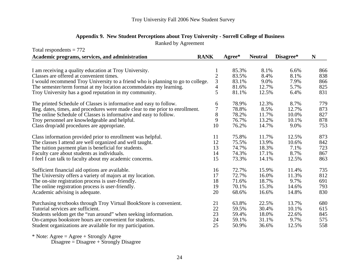|  |  |  | Appendix 9. New Student Perceptions about Troy University - Sorrell College of Business |  |
|--|--|--|-----------------------------------------------------------------------------------------|--|
|  |  |  |                                                                                         |  |

Ranked by Agreement

| Total respondents $= 772$                                                       |                |        |                |           |             |
|---------------------------------------------------------------------------------|----------------|--------|----------------|-----------|-------------|
| Academic programs, services, and administration                                 | <b>RANK</b>    | Agree* | <b>Neutral</b> | Disagree* | $\mathbf N$ |
|                                                                                 |                |        |                |           |             |
| I am receiving a quality education at Troy University.                          |                | 85.3%  | 8.1%           | 6.6%      | 866         |
| Classes are offered at convenient times.                                        | $\overline{c}$ | 83.5%  | 8.4%           | 8.1%      | 838         |
| I would recommend Troy University to a friend who is planning to go to college. | 3              | 83.1%  | 9.0%           | 7.9%      | 866         |
| The semester/term format at my location accommodates my learning.               | $\overline{4}$ | 81.6%  | 12.7%          | 5.7%      | 825         |
| Troy University has a good reputation in my community.                          | 5              | 81.1%  | 12.5%          | 6.4%      | 831         |
| The printed Schedule of Classes is informative and easy to follow.              | 6              | 78.9%  | 12.3%          | 8.7%      | 779         |
| Reg. dates, times, and procedures were made clear to me prior to enrollment.    | 7              | 78.8%  | 8.5%           | 12.7%     | 873         |
| The online Schedule of Classes is informative and easy to follow.               | 8              | 78.2%  | 11.7%          | 10.0%     | 827         |
| Troy personnel are knowledgeable and helpful.                                   | 9              | 76.7%  | 13.2%          | 10.1%     | 878         |
| Class drop/add procedures are appropriate.                                      | 10             | 76.2%  | 14.7%          | 9.0%      | 753         |
| Class information provided prior to enrollment was helpful.                     | 11             | 75.8%  | 11.7%          | 12.5%     | 873         |
| The classes I attend are well organized and well taught.                        | 12             | 75.5%  | 13.9%          | 10.6%     | 842         |
| The tuition payment plan is beneficial for students.                            | 13             | 74.7%  | 18.3%          | 7.1%      | 723         |
| Faculty care about students as individuals.                                     | 14             | 74.3%  | 17.1%          | 8.7%      | 867         |
| I feel I can talk to faculty about my academic concerns.                        | 15             | 73.3%  | 14.1%          | 12.5%     | 863         |
| Sufficient financial aid options are available.                                 | 16             | 72.7%  | 15.9%          | 11.4%     | 735         |
| The University offers a variety of majors at my location.                       | 17             | 72.7%  | 16.0%          | 11.3%     | 812         |
| The on-site registration process is user-friendly.                              | 18             | 71.6%  | 18.7%          | 9.7%      | 691         |
| The online registration process is user-friendly.                               | 19             | 70.1%  | 15.3%          | 14.6%     | 793         |
| Academic advising is adequate.                                                  | 20             | 68.6%  | 16.6%          | 14.8%     | 830         |
| Purchasing textbooks through Troy Virtual BookStore is convenient.              | 21             | 63.8%  | 22.5%          | 13.7%     | 680         |
| Tutorial services are sufficient.                                               | 22             | 59.5%  | 30.4%          | 10.1%     | 615         |
| Students seldom get the "run around" when seeking information.                  | 23             | 59.4%  | 18.0%          | 22.6%     | 845         |
| On-campus bookstore hours are convenient for students.                          | 24             | 59.1%  | 31.1%          | 9.7%      | 575         |
| Student organizations are available for my participation.                       | 25             | 50.9%  | 36.6%          | 12.5%     | 558         |
|                                                                                 |                |        |                |           |             |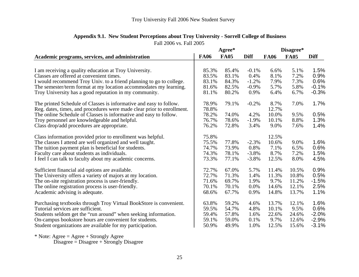|                                                                        |             | Agree*      |             | Disagree*   |             |             |
|------------------------------------------------------------------------|-------------|-------------|-------------|-------------|-------------|-------------|
| Academic programs, services, and administration                        | <b>FA06</b> | <b>FA05</b> | <b>Diff</b> | <b>FA06</b> | <b>FA05</b> | <b>Diff</b> |
|                                                                        |             |             |             |             |             |             |
| I am receiving a quality education at Troy University.                 | 85.3%       | 85.4%       | $-0.1\%$    | 6.6%        | 5.1%        | 1.5%        |
| Classes are offered at convenient times.                               | 83.5%       | 83.1%       | 0.4%        | 8.1%        | 7.2%        | 0.9%        |
| I would recommend Troy Univ. to a friend planning to go to college.    | 83.1%       | 84.3%       | $-1.2%$     | 7.9%        | 7.3%        | 0.6%        |
| The semester/term format at my location accommodates my learning.      | 81.6%       | 82.5%       | $-0.9%$     | 5.7%        | 5.8%        | $-0.1%$     |
| Troy University has a good reputation in my community.                 | 81.1%       | 80.2%       | 0.9%        | 6.4%        | 6.7%        | $-0.3%$     |
| The printed Schedule of Classes is informative and easy to follow.     | 78.9%       | 79.1%       | $-0.2%$     | 8.7%        | 7.0%        | 1.7%        |
| Reg. dates, times, and procedures were made clear prior to enrollment. | 78.8%       |             |             | 12.7%       |             |             |
| The online Schedule of Classes is informative and easy to follow.      | 78.2%       | 74.0%       | 4.2%        | 10.0%       | 9.5%        | 0.5%        |
| Troy personnel are knowledgeable and helpful.                          | 76.7%       | 78.6%       | $-1.9%$     | 10.1%       | 8.8%        | 1.3%        |
| Class drop/add procedures are appropriate.                             | 76.2%       | 72.8%       | 3.4%        | 9.0%        | 7.6%        | 1.4%        |
| Class information provided prior to enrollment was helpful.            | 75.8%       |             |             | 12.5%       |             |             |
| The classes I attend are well organized and well taught.               | 75.5%       | 77.8%       | $-2.3%$     | 10.6%       | 9.0%        | 1.6%        |
| The tuition payment plan is beneficial for students.                   | 74.7%       | 73.9%       | 0.8%        | 7.1%        | 6.5%        | 0.6%        |
| Faculty care about students as individuals.                            | 74.3%       | 78.1%       | $-3.8%$     | 8.7%        | 7.2%        | 1.5%        |
| I feel I can talk to faculty about my academic concerns.               | 73.3%       | 77.1%       | $-3.8%$     | 12.5%       | 8.0%        | 4.5%        |
| Sufficient financial aid options are available.                        | 72.7%       | 67.0%       | 5.7%        | 11.4%       | 10.5%       | 0.9%        |
| The University offers a variety of majors at my location.              | 72.7%       | 71.3%       | 1.4%        | 11.3%       | 10.8%       | 0.5%        |
| The on-site registration process is user-friendly.                     | 71.6%       | 69.7%       | 1.9%        | 9.7%        | 11.2%       | $-1.5%$     |
| The online registration process is user-friendly.                      | 70.1%       | 70.1%       | 0.0%        | 14.6%       | 12.1%       | 2.5%        |
| Academic advising is adequate.                                         | 68.6%       | 67.7%       | 0.9%        | 14.8%       | 13.7%       | 1.1%        |
|                                                                        |             |             |             |             |             |             |
| Purchasing textbooks through Troy Virtual BookStore is convenient.     | 63.8%       | 59.2%       | 4.6%        | 13.7%       | 12.1%       | 1.6%        |
| Tutorial services are sufficient.                                      | 59.5%       | 54.7%       | 4.8%        | 10.1%       | 9.5%        | 0.6%        |
| Students seldom get the "run around" when seeking information.         | 59.4%       | 57.8%       | 1.6%        | 22.6%       | 24.6%       | $-2.0%$     |
| On-campus bookstore hours are convenient for students.                 | 59.1%       | 59.0%       | 0.1%        | 9.7%        | 12.6%       | $-2.9%$     |
| Student organizations are available for my participation.              | 50.9%       | 49.9%       | 1.0%        | 12.5%       | 15.6%       | $-3.1%$     |
|                                                                        |             |             |             |             |             |             |

## Fall 2006 vs. Fall 2005 **Appendix 9.1. New Student Perceptions about Troy University - Sorrell College of Business**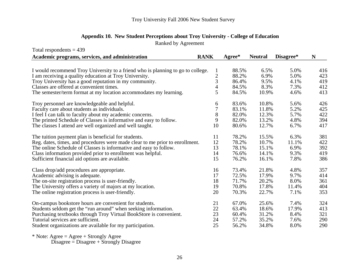## **Appendix 10. New Student Perceptions about Troy University - College of Education**

Ranked by Agreement

| Total respondents $= 439$                                                       |                |          |                |           |     |
|---------------------------------------------------------------------------------|----------------|----------|----------------|-----------|-----|
| Academic programs, services, and administration                                 | <b>RANK</b>    | $Agree*$ | <b>Neutral</b> | Disagree* | N   |
|                                                                                 |                |          |                |           |     |
| I would recommend Troy University to a friend who is planning to go to college. |                | 88.5%    | 6.5%           | 5.0%      | 416 |
| I am receiving a quality education at Troy University.                          | $\frac{2}{3}$  | 88.2%    | 6.9%           | 5.0%      | 423 |
| Troy University has a good reputation in my community.                          |                | 86.4%    | 9.5%           | 4.1%      | 419 |
| Classes are offered at convenient times.                                        | $\overline{4}$ | 84.5%    | 8.3%           | 7.3%      | 412 |
| The semester/term format at my location accommodates my learning.               | 5              | 84.5%    | 10.9%          | 4.6%      | 413 |
| Troy personnel are knowledgeable and helpful.                                   | 6              | 83.6%    | 10.8%          | 5.6%      | 426 |
| Faculty care about students as individuals.                                     | 7              | 83.1%    | 11.8%          | 5.2%      | 425 |
| I feel I can talk to faculty about my academic concerns.                        | 8              | 82.0%    | 12.3%          | 5.7%      | 422 |
| The printed Schedule of Classes is informative and easy to follow.              | 9              | 82.0%    | 13.2%          | 4.8%      | 394 |
| The classes I attend are well organized and well taught.                        | 10             | 80.6%    | 12.7%          | 6.7%      | 417 |
| The tuition payment plan is beneficial for students.                            | 11             | 78.2%    | 15.5%          | 6.3%      | 381 |
| Reg. dates, times, and procedures were made clear to me prior to enrollment.    | 12             | 78.2%    | 10.7%          | 11.1%     | 422 |
| The online Schedule of Classes is informative and easy to follow.               | 13             | 78.1%    | 15.1%          | 6.9%      | 392 |
| Class information provided prior to enrollment was helpful.                     | 14             | 76.6%    | 14.1%          | 9.3%      | 419 |
| Sufficient financial aid options are available.                                 | 15             | 76.2%    | 16.1%          | 7.8%      | 386 |
| Class drop/add procedures are appropriate.                                      | 16             | 73.4%    | 21.8%          | 4.8%      | 357 |
| Academic advising is adequate.                                                  | 17             | 72.5%    | 17.9%          | 9.7%      | 414 |
| The on-site registration process is user-friendly.                              | 18             | 71.7%    | 20.2%          | 8.0%      | 361 |
| The University offers a variety of majors at my location.                       | 19             | 70.8%    | 17.8%          | 11.4%     | 404 |
| The online registration process is user-friendly.                               | 20             | 70.3%    | 22.7%          | 7.1%      | 353 |
| On-campus bookstore hours are convenient for students.                          | 21             | 67.0%    | 25.6%          | 7.4%      | 324 |
| Students seldom get the "run around" when seeking information.                  | 22             | 63.4%    | 18.6%          | 17.9%     | 413 |
| Purchasing textbooks through Troy Virtual BookStore is convenient.              | 23             | 60.4%    | 31.2%          | 8.4%      | 321 |
| Tutorial services are sufficient.                                               | 24             | 57.2%    | 35.2%          | 7.6%      | 290 |
| Student organizations are available for my participation.                       | 25             | 56.2%    | 34.8%          | 8.0%      | 290 |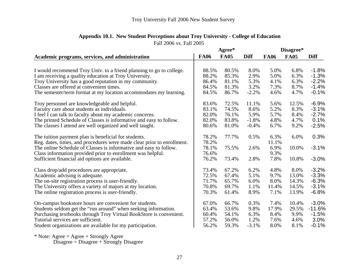|                                                                        |             | Agree*      |             | Disagree*   |             |             |
|------------------------------------------------------------------------|-------------|-------------|-------------|-------------|-------------|-------------|
| Academic programs, services, and administration                        | <b>FA06</b> | <b>FA05</b> | <b>Diff</b> | <b>FA06</b> | <b>FA05</b> | <b>Diff</b> |
|                                                                        |             |             |             |             |             |             |
| I would recommend Troy Univ. to a friend planning to go to college.    | 88.5%       | 80.5%       | 8.0%        | 5.0%        | 6.8%        | $-1.8%$     |
| I am receiving a quality education at Troy University.                 | 88.2%       | 85.3%       | 2.9%        | 5.0%        | 6.3%        | $-1.3%$     |
| Troy University has a good reputation in my community.                 | 86.4%       | 81.1%       | 5.3%        | 4.1%        | 6.3%        | $-2.2%$     |
| Classes are offered at convenient times.                               | 84.5%       | 81.3%       | 3.2%        | 7.3%        | 8.7%        | $-1.4%$     |
| The semester/term format at my location accommodates my learning.      | 84.5%       | 86.7%       | $-2.2%$     | 4.6%        | 4.7%        | $-0.1%$     |
| Troy personnel are knowledgeable and helpful.                          | 83.6%       | 72.5%       | 11.1%       | 5.6%        | 12.5%       | $-6.9%$     |
| Faculty care about students as individuals.                            | 83.1%       | 74.5%       | 8.6%        | 5.2%        | 8.3%        | $-3.1%$     |
| I feel I can talk to faculty about my academic concerns.               | 82.0%       | 76.1%       | 5.9%        | 5.7%        | 8.4%        | $-2.7%$     |
| The printed Schedule of Classes is informative and easy to follow.     | 82.0%       | 83.8%       | $-1.8%$     | 4.8%        | 4.7%        | 0.1%        |
| The classes I attend are well organized and well taught.               | 80.6%       | 81.0%       | $-0.4%$     | 6.7%        | 9.2%        | $-2.5%$     |
| The tuition payment plan is beneficial for students.                   | 78.2%       | 77.7%       | 0.5%        | 6.3%        | 6.0%        | 0.3%        |
| Reg. dates, times, and procedures were made clear prior to enrollment. | 78.2%       |             |             | 11.1%       |             |             |
| The online Schedule of Classes is informative and easy to follow.      | 78.1%       | 75.5%       | 2.6%        | 6.9%        | 10.0%       | $-3.1%$     |
| Class information provided prior to enrollment was helpful.            | 76.6%       |             |             | 9.3%        |             |             |
| Sufficient financial aid options are available.                        | 76.2%       | 73.4%       | 2.8%        | 7.8%        | 10.8%       | $-3.0%$     |
| Class drop/add procedures are appropriate.                             | 73.4%       | 67.2%       | 6.2%        | 4.8%        | 8.0%        | $-3.2%$     |
| Academic advising is adequate.                                         | 72.5%       | 67.4%       | 5.1%        | 9.7%        | 13.0%       | $-3.3%$     |
| The on-site registration process is user-friendly.                     | 71.7%       | 65.7%       | 6.0%        | 8.0%        | 14.3%       | $-6.3%$     |
| The University offers a variety of majors at my location.              | 70.8%       | 69.7%       | 1.1%        | 11.4%       | 14.5%       | $-3.1%$     |
| The online registration process is user-friendly.                      | 70.3%       | 61.4%       | 8.9%        | 7.1%        | 13.9%       | $-6.8%$     |
| On-campus bookstore hours are convenient for students.                 | 67.0%       | 66.7%       | 0.3%        | 7.4%        | 10.4%       | $-3.0%$     |
| Students seldom get the "run around" when seeking information.         | 63.4%       | 53.6%       | 9.8%        | 17.9%       | 29.5%       | $-11.6%$    |
| Purchasing textbooks through Troy Virtual BookStore is convenient.     | 60.4%       | 54.1%       | 6.3%        | 8.4%        | 9.9%        | $-1.5%$     |
| Tutorial services are sufficient.                                      | 57.2%       | 56.0%       | 1.2%        | 7.6%        | 4.6%        | 3.0%        |
| Student organizations are available for my participation.              | 56.2%       | 59.3%       | $-3.1%$     | 8.0%        | 8.1%        | $-0.1%$     |

## Fall 2006 vs. Fall 2005 **Appendix 10.1. New Student Perceptions about Troy University - College of Education**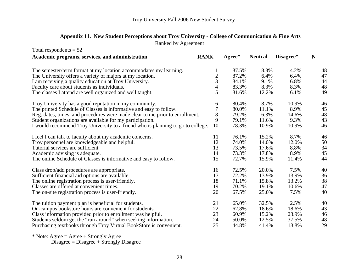| Appendix 11. New Student Perceptions about Troy University - College of Communication & Fine Arts |
|---------------------------------------------------------------------------------------------------|
| Ranked by Agreement                                                                               |

| Total respondents $= 52$                                                        |                |        |                |           |    |
|---------------------------------------------------------------------------------|----------------|--------|----------------|-----------|----|
| Academic programs, services, and administration                                 | <b>RANK</b>    | Agree* | <b>Neutral</b> | Disagree* | N  |
|                                                                                 |                |        |                |           |    |
| The semester/term format at my location accommodates my learning.               |                | 87.5%  | 8.3%           | 4.2%      | 48 |
| The University offers a variety of majors at my location.                       |                | 87.2%  | 6.4%           | 6.4%      | 47 |
| I am receiving a quality education at Troy University.                          | $\frac{2}{3}$  | 84.1%  | 9.1%           | 6.8%      | 44 |
| Faculty care about students as individuals.                                     | $\overline{4}$ | 83.3%  | 8.3%           | 8.3%      | 48 |
| The classes I attend are well organized and well taught.                        | 5              | 81.6%  | 12.2%          | 6.1%      | 49 |
| Troy University has a good reputation in my community.                          | 6              | 80.4%  | 8.7%           | 10.9%     | 46 |
| The printed Schedule of Classes is informative and easy to follow.              | $\overline{7}$ | 80.0%  | 11.1%          | 8.9%      | 45 |
| Reg. dates, times, and procedures were made clear to me prior to enrollment.    | 8              | 79.2%  | 6.3%           | 14.6%     | 48 |
| Student organizations are available for my participation.                       | 9              | 79.1%  | 11.6%          | 9.3%      | 43 |
| I would recommend Troy University to a friend who is planning to go to college. | 10             | 78.3%  | 10.9%          | 10.9%     | 46 |
| I feel I can talk to faculty about my academic concerns.                        | 11             | 76.1%  | 15.2%          | 8.7%      | 46 |
| Troy personnel are knowledgeable and helpful.                                   | 12             | 74.0%  | 14.0%          | 12.0%     | 50 |
| Tutorial services are sufficient.                                               | 13             | 73.5%  | 17.6%          | 8.8%      | 34 |
| Academic advising is adequate.                                                  | 14             | 73.3%  | 17.8%          | 8.9%      | 45 |
| The online Schedule of Classes is informative and easy to follow.               | 15             | 72.7%  | 15.9%          | 11.4%     | 44 |
| Class drop/add procedures are appropriate.                                      | 16             | 72.5%  | 20.0%          | 7.5%      | 40 |
| Sufficient financial aid options are available.                                 | 17             | 72.2%  | 13.9%          | 13.9%     | 36 |
| The online registration process is user-friendly.                               | 18             | 71.1%  | 15.8%          | 13.2%     | 38 |
| Classes are offered at convenient times.                                        | 19             | 70.2%  | 19.1%          | 10.6%     | 47 |
| The on-site registration process is user-friendly.                              | 20             | 67.5%  | 25.0%          | 7.5%      | 40 |
| The tuition payment plan is beneficial for students.                            | 21             | 65.0%  | 32.5%          | 2.5%      | 40 |
| On-campus bookstore hours are convenient for students.                          | 22             | 62.8%  | 18.6%          | 18.6%     | 43 |
| Class information provided prior to enrollment was helpful.                     | 23             | 60.9%  | 15.2%          | 23.9%     | 46 |
| Students seldom get the "run around" when seeking information.                  | 24             | 50.0%  | 12.5%          | 37.5%     | 48 |
| Purchasing textbooks through Troy Virtual BookStore is convenient.              | 25             | 44.8%  | 41.4%          | 13.8%     | 29 |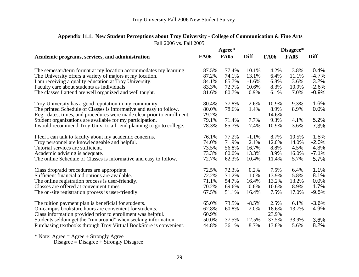|                                                                        |             | Agree*      |             |             | Disagree*   |             |
|------------------------------------------------------------------------|-------------|-------------|-------------|-------------|-------------|-------------|
| Academic programs, services, and administration                        | <b>FA06</b> | <b>FA05</b> | <b>Diff</b> | <b>FA06</b> | <b>FA05</b> | <b>Diff</b> |
|                                                                        |             |             |             |             |             |             |
| The semester/term format at my location accommodates my learning.      | 87.5%       | 77.4%       | 10.1%       | 4.2%        | 3.8%        | 0.4%        |
| The University offers a variety of majors at my location.              | 87.2%       | 74.1%       | 13.1%       | 6.4%        | 11.1%       | $-4.7\%$    |
| I am receiving a quality education at Troy University.                 | 84.1%       | 85.7%       | $-1.6%$     | 6.8%        | 3.6%        | 3.2%        |
| Faculty care about students as individuals.                            | 83.3%       | 72.7%       | 10.6%       | 8.3%        | 10.9%       | $-2.6%$     |
| The classes I attend are well organized and well taught.               | 81.6%       | 80.7%       | 0.9%        | 6.1%        | 7.0%        | $-0.9%$     |
| Troy University has a good reputation in my community.                 | 80.4%       | 77.8%       | 2.6%        | 10.9%       | 9.3%        | 1.6%        |
| The printed Schedule of Classes is informative and easy to follow.     | 80.0%       | 78.6%       | 1.4%        | 8.9%        | 8.9%        | $0.0\%$     |
| Reg. dates, times, and procedures were made clear prior to enrollment. | 79.2%       |             |             | 14.6%       |             |             |
| Student organizations are available for my participation.              | 79.1%       | 71.4%       | 7.7%        | 9.3%        | 4.1%        | 5.2%        |
| I would recommend Troy Univ. to a friend planning to go to college.    | 78.3%       | 85.7%       | $-7.4%$     | 10.9%       | 3.6%        | 7.3%        |
| I feel I can talk to faculty about my academic concerns.               | 76.1%       | 77.2%       | $-1.1%$     | 8.7%        | 10.5%       | $-1.8%$     |
| Troy personnel are knowledgeable and helpful.                          | 74.0%       | 71.9%       | 2.1%        | 12.0%       | 14.0%       | $-2.0%$     |
| Tutorial services are sufficient.                                      | 73.5%       | 56.8%       | 16.7%       | 8.8%        | 4.5%        | 4.3%        |
| Academic advising is adequate.                                         | 73.3%       | 60.0%       | 13.3%       | 8.9%        | 16.0%       | $-7.1%$     |
| The online Schedule of Classes is informative and easy to follow.      | 72.7%       | 62.3%       | 10.4%       | 11.4%       | 5.7%        | 5.7%        |
| Class drop/add procedures are appropriate.                             | 72.5%       | 72.3%       | 0.2%        | 7.5%        | 6.4%        | 1.1%        |
| Sufficient financial aid options are available.                        | 72.2%       | 71.2%       | 1.0%        | 13.9%       | 5.8%        | 8.1%        |
| The online registration process is user-friendly.                      | 71.1%       | 54.7%       | 16.4%       | 13.2%       | 13.2%       | $0.0\%$     |
| Classes are offered at convenient times.                               | 70.2%       | 69.6%       | 0.6%        | 10.6%       | 8.9%        | 1.7%        |
| The on-site registration process is user-friendly.                     | 67.5%       | 51.1%       | 16.4%       | 7.5%        | 17.0%       | $-9.5%$     |
| The tuition payment plan is beneficial for students.                   | 65.0%       | 73.5%       | $-8.5%$     | 2.5%        | 6.1%        | $-3.6%$     |
| On-campus bookstore hours are convenient for students.                 | 62.8%       | 60.8%       | 2.0%        | 18.6%       | 13.7%       | 4.9%        |
| Class information provided prior to enrollment was helpful.            | 60.9%       |             |             | 23.9%       |             |             |
| Students seldom get the "run around" when seeking information.         | 50.0%       | 37.5%       | 12.5%       | 37.5%       | 33.9%       | 3.6%        |
| Purchasing textbooks through Troy Virtual BookStore is convenient.     | 44.8%       | 36.1%       | 8.7%        | 13.8%       | 5.6%        | 8.2%        |

# Fall 2006 vs. Fall 2005 **Appendix 11.1. New Student Perceptions about Troy University - College of Communication & Fine Arts**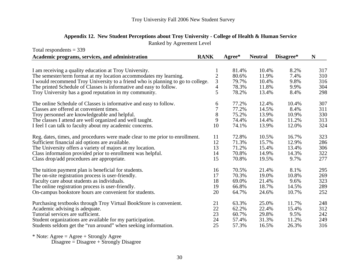| Appendix 12. New Student Perceptions about Troy University - College of Health & Human Service |
|------------------------------------------------------------------------------------------------|
| Ranked by Agreement Level                                                                      |

| Total respondents $=$ 339                                                       |                |        |                |           |     |
|---------------------------------------------------------------------------------|----------------|--------|----------------|-----------|-----|
| Academic programs, services, and administration                                 | <b>RANK</b>    | Agree* | <b>Neutral</b> | Disagree* | N   |
|                                                                                 |                |        |                |           |     |
| I am receiving a quality education at Troy University.                          |                | 81.4%  | 10.4%          | 8.2%      | 317 |
| The semester/term format at my location accommodates my learning.               | $\overline{c}$ | 80.6%  | 11.9%          | 7.4%      | 310 |
| I would recommend Troy University to a friend who is planning to go to college. | 3              | 79.7%  | 10.4%          | 9.8%      | 316 |
| The printed Schedule of Classes is informative and easy to follow.              | $\overline{4}$ | 78.3%  | 11.8%          | 9.9%      | 304 |
| Troy University has a good reputation in my community.                          | 5              | 78.2%  | 13.4%          | 8.4%      | 298 |
| The online Schedule of Classes is informative and easy to follow.               | 6              | 77.2%  | 12.4%          | 10.4%     | 307 |
| Classes are offered at convenient times.                                        | 7              | 77.2%  | 14.5%          | 8.4%      | 311 |
| Troy personnel are knowledgeable and helpful.                                   | 8              | 75.2%  | 13.9%          | 10.9%     | 330 |
| The classes I attend are well organized and well taught.                        | 9              | 74.4%  | 14.4%          | 11.2%     | 313 |
| I feel I can talk to faculty about my academic concerns.                        | 10             | 74.1%  | 13.9%          | 12.0%     | 324 |
| Reg. dates, times, and procedures were made clear to me prior to enrollment.    | 11             | 72.8%  | 10.5%          | 16.7%     | 323 |
| Sufficient financial aid options are available.                                 | 12             | 71.3%  | 15.7%          | 12.9%     | 286 |
| The University offers a variety of majors at my location.                       | 13             | 71.2%  | 15.4%          | 13.4%     | 306 |
| Class information provided prior to enrollment was helpful.                     | 14             | 70.8%  | 14.9%          | 14.3%     | 322 |
| Class drop/add procedures are appropriate.                                      | 15             | 70.8%  | 19.5%          | 9.7%      | 277 |
| The tuition payment plan is beneficial for students.                            | 16             | 70.5%  | 21.4%          | 8.1%      | 295 |
| The on-site registration process is user-friendly.                              | 17             | 70.3%  | 19.0%          | 10.8%     | 269 |
| Faculty care about students as individuals.                                     | 18             | 69.0%  | 21.4%          | 9.6%      | 323 |
| The online registration process is user-friendly.                               | 19             | 66.8%  | 18.7%          | 14.5%     | 289 |
| On-campus bookstore hours are convenient for students.                          | 20             | 64.7%  | 24.6%          | 10.7%     | 252 |
| Purchasing textbooks through Troy Virtual BookStore is convenient.              | 21             | 63.3%  | 25.0%          | 11.7%     | 248 |
| Academic advising is adequate.                                                  | 22             | 62.2%  | 22.4%          | 15.4%     | 312 |
| Tutorial services are sufficient.                                               | 23             | 60.7%  | 29.8%          | 9.5%      | 242 |
| Student organizations are available for my participation.                       | 24             | 57.4%  | 31.3%          | 11.2%     | 249 |
| Students seldom get the "run around" when seeking information.                  | 25             | 57.3%  | 16.5%          | 26.3%     | 316 |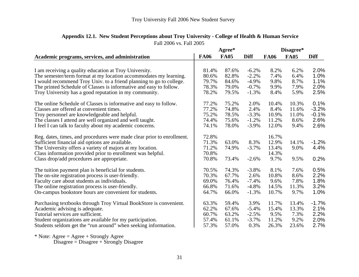|                                                                        |             | Agree*      |             |             | Disagree*   |             |
|------------------------------------------------------------------------|-------------|-------------|-------------|-------------|-------------|-------------|
| Academic programs, services, and administration                        | <b>FA06</b> | <b>FA05</b> | <b>Diff</b> | <b>FA06</b> | <b>FA05</b> | <b>Diff</b> |
|                                                                        |             |             |             |             |             |             |
| I am receiving a quality education at Troy University.                 | 81.4%       | 87.6%       | $-6.2%$     | 8.2%        | 6.2%        | 2.0%        |
| The semester/term format at my location accommodates my learning.      | 80.6%       | 82.8%       | $-2.2%$     | 7.4%        | 6.4%        | 1.0%        |
| I would recommend Troy Univ. to a friend planning to go to college.    | 79.7%       | 84.6%       | $-4.9%$     | 9.8%        | 8.7%        | 1.1%        |
| The printed Schedule of Classes is informative and easy to follow.     | 78.3%       | 79.0%       | $-0.7%$     | 9.9%        | 7.9%        | 2.0%        |
| Troy University has a good reputation in my community.                 | 78.2%       | 79.5%       | $-1.3%$     | 8.4%        | 5.9%        | 2.5%        |
| The online Schedule of Classes is informative and easy to follow.      | 77.2%       | 75.2%       | 2.0%        | 10.4%       | 10.3%       | 0.1%        |
| Classes are offered at convenient times.                               | 77.2%       | 74.8%       | 2.4%        | 8.4%        | 11.6%       | $-3.2%$     |
| Troy personnel are knowledgeable and helpful.                          | 75.2%       | 78.5%       | $-3.3%$     | 10.9%       | 11.0%       | $-0.1%$     |
| The classes I attend are well organized and well taught.               | 74.4%       | 75.6%       | $-1.2%$     | 11.2%       | 8.6%        | 2.6%        |
| I feel I can talk to faculty about my academic concerns.               | 74.1%       | 78.0%       | $-3.9%$     | 12.0%       | 9.4%        | 2.6%        |
| Reg. dates, times, and procedures were made clear prior to enrollment. | 72.8%       |             |             | 16.7%       |             |             |
| Sufficient financial aid options are available.                        | 71.3%       | 63.0%       | 8.3%        | 12.9%       | 14.1%       | $-1.2%$     |
| The University offers a variety of majors at my location.              | 71.2%       | 74.9%       | $-3.7%$     | 13.4%       | 9.0%        | 4.4%        |
| Class information provided prior to enrollment was helpful.            | 70.8%       |             |             | 14.3%       |             |             |
| Class drop/add procedures are appropriate.                             | 70.8%       | 73.4%       | $-2.6%$     | 9.7%        | 9.5%        | 0.2%        |
| The tuition payment plan is beneficial for students.                   | 70.5%       | 74.3%       | $-3.8%$     | 8.1%        | 7.6%        | 0.5%        |
| The on-site registration process is user-friendly.                     | 70.3%       | 67.7%       | 2.6%        | 10.8%       | 8.6%        | 2.2%        |
| Faculty care about students as individuals.                            | 69.0%       | 76.4%       | $-7.4%$     | 9.6%        | 7.8%        | 1.8%        |
| The online registration process is user-friendly.                      | 66.8%       | 71.6%       | $-4.8%$     | 14.5%       | 11.3%       | 3.2%        |
| On-campus bookstore hours are convenient for students.                 | 64.7%       | 66.0%       | $-1.3%$     | 10.7%       | 9.7%        | 1.0%        |
| Purchasing textbooks through Troy Virtual BookStore is convenient.     | 63.3%       | 59.4%       | 3.9%        | 11.7%       | 13.4%       | $-1.7%$     |
| Academic advising is adequate.                                         | 62.2%       | 67.6%       | $-5.4%$     | 15.4%       | 13.3%       | 2.1%        |
| Tutorial services are sufficient.                                      | 60.7%       | 63.2%       | $-2.5%$     | 9.5%        | 7.3%        | 2.2%        |
| Student organizations are available for my participation.              | 57.4%       | 61.1%       | $-3.7%$     | 11.2%       | 9.2%        | 2.0%        |
| Students seldom get the "run around" when seeking information.         | 57.3%       | 57.0%       | 0.3%        | 26.3%       | 23.6%       | 2.7%        |

## Fall 2006 vs. Fall 2005 **Appendix 12.1. New Student Perceptions about Troy University - College of Health & Human Service**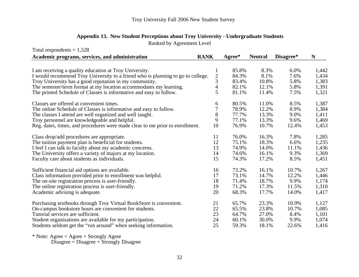Ranked by Agreement Level

| Total respondents $= 1,528$                                                     |                |        |                |           |       |
|---------------------------------------------------------------------------------|----------------|--------|----------------|-----------|-------|
| Academic programs, services, and administration                                 | <b>RANK</b>    | Agree* | <b>Neutral</b> | Disagree* | N     |
|                                                                                 |                |        |                |           |       |
| I am receiving a quality education at Troy University.                          | 1              | 85.8%  | 8.3%           | 6.0%      | 1,442 |
| I would recommend Troy University to a friend who is planning to go to college. | $\overline{c}$ | 84.3%  | 8.1%           | 7.6%      | 1,434 |
| Troy University has a good reputation in my community.                          | 3              | 83.4%  | 10.8%          | 5.8%      | 1,383 |
| The semester/term format at my location accommodates my learning.               | $\overline{4}$ | 82.1%  | 12.1%          | 5.8%      | 1,391 |
| The printed Schedule of Classes is informative and easy to follow.              | 5              | 81.1%  | 11.4%          | 7.5%      | 1,321 |
| Classes are offered at convenient times.                                        | 6              | 80.5%  | 11.0%          | 8.5%      | 1,387 |
| The online Schedule of Classes is informative and easy to follow.               | 7              | 78.9%  | 12.2%          | 8.9%      | 1,384 |
| The classes I attend are well organized and well taught.                        | $8\,$          | 77.7%  | 13.3%          | 9.0%      | 1,411 |
| Troy personnel are knowledgeable and helpful.                                   | 9              | 77.1%  | 13.3%          | 9.6%      | 1,469 |
| Reg. dates, times, and procedures were made clear to me prior to enrollment.    | 10             | 76.9%  | 10.7%          | 12.4%     | 1,453 |
| Class drop/add procedures are appropriate.                                      | 11             | 76.0%  | 16.3%          | 7.8%      | 1,285 |
| The tuition payment plan is beneficial for students.                            | 12             | 75.1%  | 18.3%          | 6.6%      | 1,235 |
| I feel I can talk to faculty about my academic concerns.                        | 13             | 74.9%  | 14.0%          | 11.1%     | 1,436 |
| The University offers a variety of majors at my location.                       | 14             | 74.6%  | 16.1%          | 9.3%      | 1,369 |
| Faculty care about students as individuals.                                     | 15             | 74.3%  | 17.2%          | 8.5%      | 1,451 |
| Sufficient financial aid options are available.                                 | 16             | 73.2%  | 16.1%          | 10.7%     | 1,267 |
| Class information provided prior to enrollment was helpful.                     | 17             | 73.1%  | 14.7%          | 12.2%     | 1,446 |
| The on-site registration process is user-friendly.                              | 18             | 71.4%  | 18.7%          | 9.9%      | 1,174 |
| The online registration process is user-friendly.                               | 19             | 71.2%  | 17.3%          | 11.5%     | 1,310 |
| Academic advising is adequate.                                                  | 20             | 68.3%  | 17.7%          | 14.0%     | 1,417 |
| Purchasing textbooks through Troy Virtual BookStore is convenient.              | 21             | 65.7%  | 23.3%          | 10.9%     | 1,127 |
| On-campus bookstore hours are convenient for students.                          | 22             | 65.5%  | 23.8%          | 10.7%     | 1,085 |
| Tutorial services are sufficient.                                               | 23             | 64.7%  | 27.0%          | 8.4%      | 1,101 |
| Student organizations are available for my participation.                       | 24             | 60.1%  | 30.0%          | 9.9%      | 1,074 |
| Students seldom get the "run around" when seeking information.                  | 25             | 59.3%  | 18.1%          | 22.6%     | 1,416 |
|                                                                                 |                |        |                |           |       |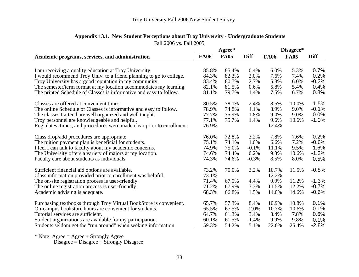|                                                                        | Agree*      |             |             | Disagree*   |             |             |
|------------------------------------------------------------------------|-------------|-------------|-------------|-------------|-------------|-------------|
| Academic programs, services, and administration                        | <b>FA06</b> | <b>FA05</b> | <b>Diff</b> | <b>FA06</b> | <b>FA05</b> | <b>Diff</b> |
|                                                                        |             |             |             |             |             |             |
| I am receiving a quality education at Troy University.                 | 85.8%       | 85.4%       | 0.4%        | 6.0%        | 5.3%        | 0.7%        |
| I would recommend Troy Univ. to a friend planning to go to college.    | 84.3%       | 82.3%       | 2.0%        | 7.6%        | 7.4%        | 0.2%        |
| Troy University has a good reputation in my community.                 | 83.4%       | 80.7%       | 2.7%        | 5.8%        | 6.0%        | $-0.2%$     |
| The semester/term format at my location accommodates my learning.      | 82.1%       | 81.5%       | 0.6%        | 5.8%        | 5.4%        | 0.4%        |
| The printed Schedule of Classes is informative and easy to follow.     | 81.1%       | 79.7%       | 1.4%        | 7.5%        | 6.7%        | 0.8%        |
| Classes are offered at convenient times.                               | 80.5%       | 78.1%       | 2.4%        | 8.5%        | 10.0%       | $-1.5%$     |
| The online Schedule of Classes is informative and easy to follow.      | 78.9%       | 74.8%       | 4.1%        | 8.9%        | 9.0%        | $-0.1%$     |
| The classes I attend are well organized and well taught.               | 77.7%       | 75.9%       | 1.8%        | 9.0%        | 9.0%        | $0.0\%$     |
| Troy personnel are knowledgeable and helpful.                          | 77.1%       | 75.7%       | 1.4%        | 9.6%        | 10.6%       | $-1.0%$     |
| Reg. dates, times, and procedures were made clear prior to enrollment. | 76.9%       |             |             | 12.4%       |             |             |
| Class drop/add procedures are appropriate.                             | 76.0%       | 72.8%       | 3.2%        | 7.8%        | 7.6%        | 0.2%        |
| The tuition payment plan is beneficial for students.                   | 75.1%       | 74.1%       | 1.0%        | 6.6%        | 7.2%        | $-0.6%$     |
| I feel I can talk to faculty about my academic concerns.               | 74.9%       | 75.0%       | $-0.1%$     | 11.1%       | 9.5%        | 1.6%        |
| The University offers a variety of majors at my location.              | 74.6%       | 74.4%       | 0.2%        | 9.3%        | 10.6%       | $-1.3%$     |
| Faculty care about students as individuals.                            | 74.3%       | 74.6%       | $-0.3%$     | 8.5%        | 8.0%        | 0.5%        |
| Sufficient financial aid options are available.                        | 73.2%       | 70.0%       | 3.2%        | 10.7%       | 11.5%       | $-0.8%$     |
| Class information provided prior to enrollment was helpful.            | 73.1%       |             |             | 12.2%       |             |             |
| The on-site registration process is user-friendly.                     | 71.4%       | 67.0%       | 4.4%        | 9.9%        | 11.2%       | $-1.3%$     |
| The online registration process is user-friendly.                      | 71.2%       | 67.9%       | 3.3%        | 11.5%       | 12.2%       | $-0.7%$     |
| Academic advising is adequate.                                         | 68.3%       | 66.8%       | 1.5%        | 14.0%       | 14.6%       | $-0.6%$     |
| Purchasing textbooks through Troy Virtual BookStore is convenient.     | 65.7%       | 57.3%       | 8.4%        | 10.9%       | 10.8%       | 0.1%        |
| On-campus bookstore hours are convenient for students.                 | 65.5%       | 67.5%       | $-2.0%$     | 10.7%       | 10.6%       | 0.1%        |
| Tutorial services are sufficient.                                      | 64.7%       | 61.3%       | 3.4%        | 8.4%        | 7.8%        | 0.6%        |
| Student organizations are available for my participation.              | 60.1%       | 61.5%       | $-1.4%$     | 9.9%        | 9.8%        | 0.1%        |
| Students seldom get the "run around" when seeking information.         | 59.3%       | 54.2%       | 5.1%        | 22.6%       | 25.4%       | $-2.8%$     |

# **Appendix 13.1. New Student Perceptions about Troy University - Undergraduate Students**

Fall 2006 vs. Fall 2005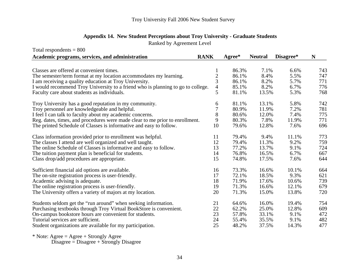# **Appendix 14. New Student Perceptions about Troy University - Graduate Students**

Ranked by Agreement Level

| Total respondents $= 800$                                                       |                |                  |                |           |     |  |
|---------------------------------------------------------------------------------|----------------|------------------|----------------|-----------|-----|--|
| <b>RANK</b><br>Academic programs, services, and administration                  |                | $A\text{gree}^*$ | <b>Neutral</b> | Disagree* | N   |  |
|                                                                                 |                |                  |                |           |     |  |
| Classes are offered at convenient times.                                        |                | 86.3%            | 7.1%           | 6.6%      | 743 |  |
| The semester/term format at my location accommodates my learning.               | $\overline{c}$ | 86.1%            | 8.4%           | 5.5%      | 747 |  |
| I am receiving a quality education at Troy University.                          | 3              | 86.1%            | 8.2%           | 5.7%      | 771 |  |
| I would recommend Troy University to a friend who is planning to go to college. | 4              | 85.1%            | 8.2%           | 6.7%      | 776 |  |
| Faculty care about students as individuals.                                     | 5              | 81.1%            | 13.5%          | 5.3%      | 768 |  |
| Troy University has a good reputation in my community.                          | 6              | 81.1%            | 13.1%          | 5.8%      | 742 |  |
| Troy personnel are knowledgeable and helpful.                                   | 7              | 80.9%            | 11.9%          | 7.2%      | 781 |  |
| I feel I can talk to faculty about my academic concerns.                        | 8              | 80.6%            | 12.0%          | 7.4%      | 775 |  |
| Reg. dates, times, and procedures were made clear to me prior to enrollment.    | 9              | 80.3%            | 7.8%           | 11.9%     | 771 |  |
| The printed Schedule of Classes is informative and easy to follow.              | 10             | 79.6%            | 12.8%          | 7.6%      | 696 |  |
| Class information provided prior to enrollment was helpful.                     | 11             | 79.4%            | 9.4%           | 11.1%     | 773 |  |
| The classes I attend are well organized and well taught.                        | 12             | 79.4%            | 11.3%          | 9.2%      | 759 |  |
| The online Schedule of Classes is informative and easy to follow.               | 13             | 77.2%            | 13.7%          | 9.1%      | 724 |  |
| The tuition payment plan is beneficial for students.                            | 14             | 76.8%            | 16.5%          | 6.7%      | 667 |  |
| Class drop/add procedures are appropriate.                                      | 15             | 74.8%            | 17.5%          | 7.6%      | 644 |  |
| Sufficient financial aid options are available.                                 | 16             | 73.3%            | 16.6%          | 10.1%     | 664 |  |
| The on-site registration process is user-friendly.                              | 17             | 72.1%            | 18.5%          | 9.3%      | 621 |  |
| Academic advising is adequate.                                                  | 18             | 71.9%            | 17.6%          | 10.6%     | 739 |  |
| The online registration process is user-friendly.                               | 19             | 71.3%            | 16.6%          | 12.1%     | 679 |  |
| The University offers a variety of majors at my location.                       | 20             | 71.3%            | 15.0%          | 13.8%     | 720 |  |
| Students seldom get the "run around" when seeking information.                  | 21             | 64.6%            | 16.0%          | 19.4%     | 754 |  |
| Purchasing textbooks through Troy Virtual BookStore is convenient.              | 22             | 62.2%            | 25.0%          | 12.8%     | 609 |  |
| On-campus bookstore hours are convenient for students.                          | 23             | 57.8%            | 33.1%          | 9.1%      | 472 |  |
| Tutorial services are sufficient.                                               | 24             | 55.4%            | 35.5%          | 9.1%      | 482 |  |
| Student organizations are available for my participation.                       | 25             | 48.2%            | 37.5%          | 14.3%     | 477 |  |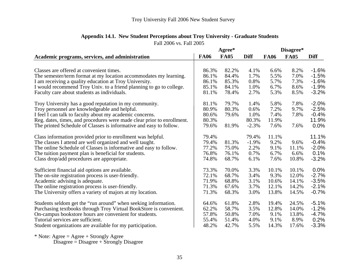|                                                                        |             | Agree*      |             | Disagree*   |             |             |  |
|------------------------------------------------------------------------|-------------|-------------|-------------|-------------|-------------|-------------|--|
| Academic programs, services, and administration                        | <b>FA06</b> | <b>FA05</b> | <b>Diff</b> | <b>FA06</b> | <b>FA05</b> | <b>Diff</b> |  |
|                                                                        |             |             |             |             |             |             |  |
| Classes are offered at convenient times.                               | 86.3%       | 82.2%       | 4.1%        | 6.6%        | 8.2%        | $-1.6%$     |  |
| The semester/term format at my location accommodates my learning.      | 86.1%       | 84.4%       | 1.7%        | 5.5%        | 7.0%        | $-1.5%$     |  |
| I am receiving a quality education at Troy University.                 | 86.1%       | 85.3%       | 0.8%        | 5.7%        | 7.3%        | $-1.6%$     |  |
| I would recommend Troy Univ. to a friend planning to go to college.    | 85.1%       | 84.1%       | 1.0%        | 6.7%        | 8.6%        | $-1.9%$     |  |
| Faculty care about students as individuals.                            | 81.1%       | 78.4%       | 2.7%        | 5.3%        | 8.5%        | $-3.2%$     |  |
| Troy University has a good reputation in my community.                 | 81.1%       | 79.7%       | 1.4%        | 5.8%        | 7.8%        | $-2.0%$     |  |
| Troy personnel are knowledgeable and helpful.                          | 80.9%       | 80.3%       | 0.6%        | 7.2%        | 9.7%        | $-2.5%$     |  |
| I feel I can talk to faculty about my academic concerns.               | 80.6%       | 79.6%       | 1.0%        | 7.4%        | 7.8%        | $-0.4%$     |  |
| Reg. dates, times, and procedures were made clear prior to enrollment. | 80.3%       |             | 80.3%       | 11.9%       |             | 11.9%       |  |
| The printed Schedule of Classes is informative and easy to follow.     | 79.6%       | 81.9%       | $-2.3%$     | 7.6%        | 7.6%        | 0.0%        |  |
| Class information provided prior to enrollment was helpful.            | 79.4%       |             | 79.4%       | 11.1%       |             | 11.1%       |  |
| The classes I attend are well organized and well taught.               | 79.4%       | 81.3%       | $-1.9%$     | 9.2%        | 9.6%        | $-0.4%$     |  |
| The online Schedule of Classes is informative and easy to follow.      | 77.2%       | 75.0%       | 2.2%        | 9.1%        | 11.1%       | $-2.0%$     |  |
| The tuition payment plan is beneficial for students.                   | 76.8%       | 76.1%       | 0.7%        | 6.7%        | 6.6%        | 0.1%        |  |
| Class drop/add procedures are appropriate.                             | 74.8%       | 68.7%       | 6.1%        | 7.6%        | 10.8%       | $-3.2%$     |  |
| Sufficient financial aid options are available.                        | 73.3%       | 70.0%       | 3.3%        | 10.1%       | 10.1%       | $0.0\%$     |  |
| The on-site registration process is user-friendly.                     | 72.1%       | 68.7%       | 3.4%        | 9.3%        | 12.0%       | $-2.7%$     |  |
| Academic advising is adequate.                                         | 71.9%       | 68.8%       | 3.1%        | 10.6%       | 14.1%       | $-3.5%$     |  |
| The online registration process is user-friendly.                      | 71.3%       | 67.6%       | 3.7%        | 12.1%       | 14.2%       | $-2.1%$     |  |
| The University offers a variety of majors at my location.              | 71.3%       | 68.3%       | 3.0%        | 13.8%       | 14.5%       | $-0.7%$     |  |
|                                                                        |             |             |             |             |             |             |  |
| Students seldom get the "run around" when seeking information.         | 64.6%       | 61.8%       | 2.8%        | 19.4%       | 24.5%       | $-5.1%$     |  |
| Purchasing textbooks through Troy Virtual BookStore is convenient.     | 62.2%       | 58.7%       | 3.5%        | 12.8%       | 14.0%       | $-1.2%$     |  |
| On-campus bookstore hours are convenient for students.                 | 57.8%       | 50.8%       | 7.0%        | 9.1%        | 13.8%       | $-4.7%$     |  |
| Tutorial services are sufficient.                                      | 55.4%       | 51.4%       | 4.0%        | 9.1%        | 8.9%        | 0.2%        |  |
| Student organizations are available for my participation.              | 48.2%       | 42.7%       | 5.5%        | 14.3%       | 17.6%       | $-3.3%$     |  |
|                                                                        |             |             |             |             |             |             |  |

# **Appendix 14.1. New Student Perceptions about Troy University - Graduate Students**

Fall 2006 vs. Fall 2005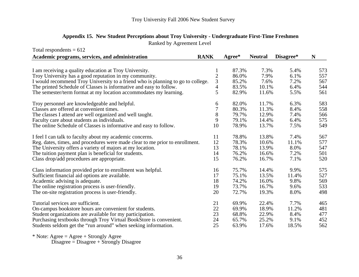| Appendix 15. New Student Perceptions about Troy University - Undergraduate First-Time Freshmen |
|------------------------------------------------------------------------------------------------|
| Ranked by Agreement Level                                                                      |

| Total respondents $= 612$                                                       |                |        |                |           |     |
|---------------------------------------------------------------------------------|----------------|--------|----------------|-----------|-----|
| Academic programs, services, and administration                                 | <b>RANK</b>    | Agree* | <b>Neutral</b> | Disagree* | N   |
|                                                                                 |                |        |                |           |     |
| I am receiving a quality education at Troy University.                          | $\mathbf{I}$   | 87.3%  | 7.3%           | 5.4%      | 573 |
| Troy University has a good reputation in my community.                          | $\overline{c}$ | 86.0%  | 7.9%           | 6.1%      | 557 |
| I would recommend Troy University to a friend who is planning to go to college. | 3              | 85.2%  | 7.6%           | 7.2%      | 567 |
| The printed Schedule of Classes is informative and easy to follow.              | 4              | 83.5%  | 10.1%          | 6.4%      | 544 |
| The semester/term format at my location accommodates my learning.               | 5              | 82.9%  | 11.6%          | 5.5%      | 561 |
| Troy personnel are knowledgeable and helpful.                                   | 6              | 82.0%  | 11.7%          | 6.3%      | 583 |
| Classes are offered at convenient times.                                        | 7              | 80.3%  | 11.3%          | 8.4%      | 558 |
| The classes I attend are well organized and well taught.                        | 8              | 79.7%  | 12.9%          | 7.4%      | 566 |
| Faculty care about students as individuals.                                     | 9              | 79.1%  | 14.4%          | 6.4%      | 575 |
| The online Schedule of Classes is informative and easy to follow.               | 10             | 78.9%  | 13.7%          | 7.5%      | 549 |
| I feel I can talk to faculty about my academic concerns.                        | 11             | 78.8%  | 13.8%          | 7.4%      | 567 |
| Reg. dates, times, and procedures were made clear to me prior to enrollment.    | 12             | 78.3%  | 10.6%          | 11.1%     | 577 |
| The University offers a variety of majors at my location.                       | 13             | 78.1%  | 13.9%          | 8.0%      | 547 |
| The tuition payment plan is beneficial for students.                            | 14             | 76.2%  | 16.6%          | 7.2%      | 501 |
| Class drop/add procedures are appropriate.                                      | 15             | 76.2%  | 16.7%          | 7.1%      | 520 |
| Class information provided prior to enrollment was helpful.                     | 16             | 75.7%  | 14.4%          | 9.9%      | 575 |
| Sufficient financial aid options are available.                                 | 17             | 75.1%  | 13.5%          | 11.4%     | 527 |
| Academic advising is adequate.                                                  | 18             | 74.2%  | 16.0%          | 9.8%      | 569 |
| The online registration process is user-friendly.                               | 19             | 73.7%  | 16.7%          | 9.6%      | 533 |
| The on-site registration process is user-friendly.                              | 20             | 72.7%  | 19.3%          | 8.0%      | 498 |
| Tutorial services are sufficient.                                               | 21             | 69.9%  | 22.4%          | 7.7%      | 465 |
| On-campus bookstore hours are convenient for students.                          | 22             | 69.9%  | 18.9%          | 11.2%     | 481 |
| Student organizations are available for my participation.                       | 23             | 68.8%  | 22.9%          | 8.4%      | 477 |
| Purchasing textbooks through Troy Virtual BookStore is convenient.              | 24             | 65.7%  | 25.2%          | 9.1%      | 452 |
| Students seldom get the "run around" when seeking information.                  | 25             | 63.9%  | 17.6%          | 18.5%     | 562 |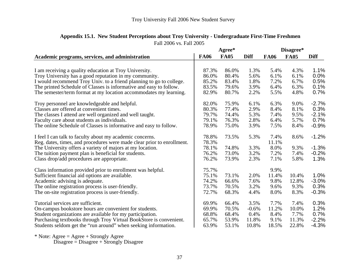|                                                                        |             | Agree*      |             | Disagree*   |             |             |  |
|------------------------------------------------------------------------|-------------|-------------|-------------|-------------|-------------|-------------|--|
| Academic programs, services, and administration                        | <b>FA06</b> | <b>FA05</b> | <b>Diff</b> | <b>FA06</b> | <b>FA05</b> | <b>Diff</b> |  |
|                                                                        |             |             |             |             |             |             |  |
| I am receiving a quality education at Troy University.                 | 87.3%       | 86.0%       | 1.3%        | 5.4%        | 4.3%        | 1.1%        |  |
| Troy University has a good reputation in my community.                 | 86.0%       | 80.4%       | 5.6%        | 6.1%        | 6.1%        | $0.0\%$     |  |
| I would recommend Troy Univ. to a friend planning to go to college.    | 85.2%       | 83.4%       | 1.8%        | 7.2%        | 6.7%        | 0.5%        |  |
| The printed Schedule of Classes is informative and easy to follow.     | 83.5%       | 79.6%       | 3.9%        | 6.4%        | 6.3%        | 0.1%        |  |
| The semester/term format at my location accommodates my learning.      | 82.9%       | 80.7%       | 2.2%        | 5.5%        | 4.8%        | 0.7%        |  |
| Troy personnel are knowledgeable and helpful.                          | 82.0%       | 75.9%       | 6.1%        | 6.3%        | 9.0%        | $-2.7%$     |  |
| Classes are offered at convenient times.                               | 80.3%       | 77.4%       | 2.9%        | 8.4%        | 8.1%        | 0.3%        |  |
| The classes I attend are well organized and well taught.               | 79.7%       | 74.4%       | 5.3%        | 7.4%        | 9.5%        | $-2.1%$     |  |
| Faculty care about students as individuals.                            | 79.1%       | 76.3%       | 2.8%        | 6.4%        | 5.7%        | 0.7%        |  |
| The online Schedule of Classes is informative and easy to follow.      | 78.9%       | 75.0%       | 3.9%        | 7.5%        | 8.4%        | $-0.9%$     |  |
| I feel I can talk to faculty about my academic concerns.               | 78.8%       | 73.5%       | 5.3%        | 7.4%        | 8.6%        | $-1.2%$     |  |
| Reg. dates, times, and procedures were made clear prior to enrollment. | 78.3%       |             |             | 11.1%       |             |             |  |
| The University offers a variety of majors at my location.              | 78.1%       | 74.8%       | 3.3%        | 8.0%        | 9.3%        | $-1.3%$     |  |
| The tuition payment plan is beneficial for students.                   | 76.2%       | 73.0%       | 3.2%        | 7.2%        | 7.4%        | $-0.2%$     |  |
| Class drop/add procedures are appropriate.                             | 76.2%       | 73.9%       | 2.3%        | 7.1%        | 5.8%        | 1.3%        |  |
| Class information provided prior to enrollment was helpful.            | 75.7%       |             |             | 9.9%        |             |             |  |
| Sufficient financial aid options are available.                        | 75.1%       | 73.1%       | 2.0%        | 11.4%       | 10.4%       | 1.0%        |  |
| Academic advising is adequate.                                         | 74.2%       | 66.6%       | 7.6%        | 9.8%        | 12.8%       | $-3.0\%$    |  |
| The online registration process is user-friendly.                      | 73.7%       | 70.5%       | 3.2%        | 9.6%        | 9.3%        | 0.3%        |  |
|                                                                        | 72.7%       | 68.3%       | 4.4%        | 8.0%        | 8.3%        | $-0.3%$     |  |
| The on-site registration process is user-friendly.                     |             |             |             |             |             |             |  |
| Tutorial services are sufficient.                                      | 69.9%       | 66.4%       | 3.5%        | 7.7%        | 7.4%        | 0.3%        |  |
| On-campus bookstore hours are convenient for students.                 | 69.9%       | 70.5%       | $-0.6%$     | 11.2%       | 10.0%       | 1.2%        |  |
| Student organizations are available for my participation.              | 68.8%       | 68.4%       | 0.4%        | 8.4%        | 7.7%        | 0.7%        |  |
| Purchasing textbooks through Troy Virtual BookStore is convenient.     | 65.7%       | 53.9%       | 11.8%       | 9.1%        | 11.3%       | $-2.2%$     |  |
| Students seldom get the "run around" when seeking information.         | 63.9%       | 53.1%       | 10.8%       | 18.5%       | 22.8%       | $-4.3%$     |  |

## Fall 2006 vs. Fall 2005 **Appendix 15.1. New Student Perceptions about Troy University - Undergraduate First-Time Freshmen**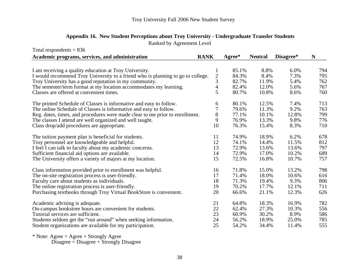## **Appendix 16. New Student Perceptions about Troy University - Undergraduate Transfer Students** Ranked by Agreement Level

| Total respondents $= 836$                                                       |                |                  |                |           |     |
|---------------------------------------------------------------------------------|----------------|------------------|----------------|-----------|-----|
| Academic programs, services, and administration                                 | <b>RANK</b>    | $A\text{gree}^*$ | <b>Neutral</b> | Disagree* | N   |
|                                                                                 |                |                  |                |           |     |
| I am receiving a quality education at Troy University.                          | 1              | 85.1%            | 8.8%           | 6.0%      | 794 |
| I would recommend Troy University to a friend who is planning to go to college. | $\overline{c}$ | 84.3%            | 8.4%           | 7.3%      | 795 |
| Troy University has a good reputation in my community.                          | 3              | 82.7%            | 11.9%          | 5.4%      | 762 |
| The semester/term format at my location accommodates my learning.               | $\overline{4}$ | 82.4%            | 12.0%          | 5.6%      | 767 |
| Classes are offered at convenient times.                                        | 5              | 80.7%            | 10.8%          | 8.6%      | 760 |
| The printed Schedule of Classes is informative and easy to follow.              | 6              | 80.1%            | 12.5%          | 7.4%      | 713 |
| The online Schedule of Classes is informative and easy to follow.               | 7              | 79.6%            | 11.3%          | 9.2%      | 763 |
| Reg. dates, times, and procedures were made clear to me prior to enrollment.    | $8\,$          | 77.1%            | 10.1%          | 12.8%     | 799 |
| The classes I attend are well organized and well taught.                        | 9              | 76.9%            | 13.3%          | 9.8%      | 776 |
| Class drop/add procedures are appropriate.                                      | 10             | 76.3%            | 15.4%          | 8.3%      | 710 |
| The tuition payment plan is beneficial for students.                            | 11             | 74.9%            | 18.9%          | 6.2%      | 678 |
| Troy personnel are knowledgeable and helpful.                                   | 12             | 74.1%            | 14.4%          | 11.5%     | 812 |
| I feel I can talk to faculty about my academic concerns.                        | 13             | 72.9%            | 13.6%          | 13.6%     | 797 |
| Sufficient financial aid options are available.                                 | 14             | 72.9%            | 17.0%          | 10.2%     | 689 |
| The University offers a variety of majors at my location.                       | 15             | 72.5%            | 16.8%          | 10.7%     | 757 |
| Class information provided prior to enrollment was helpful.                     | 16             | 71.8%            | 15.0%          | 13.2%     | 798 |
| The on-site registration process is user-friendly.                              | 17             | 71.4%            | 18.0%          | 10.6%     | 616 |
| Faculty care about students as individuals.                                     | 18             | 71.3%            | 19.4%          | 9.3%      | 806 |
| The online registration process is user-friendly.                               | 19             | 70.2%            | 17.7%          | 12.1%     | 711 |
| Purchasing textbooks through Troy Virtual BookStore is convenient.              | 20             | 66.6%            | 21.1%          | 12.3%     | 626 |
| Academic advising is adequate.                                                  | 21             | 64.8%            | 18.3%          | 16.9%     | 782 |
| On-campus bookstore hours are convenient for students.                          | 22             | 62.4%            | 27.3%          | 10.3%     | 556 |
| Tutorial services are sufficient.                                               | 23             | 60.9%            | 30.2%          | 8.9%      | 586 |
| Students seldom get the "run around" when seeking information.                  | 24             | 56.2%            | 18.9%          | 25.0%     | 785 |
| Student organizations are available for my participation.                       | 25             | 54.2%            | 34.4%          | 11.4%     | 555 |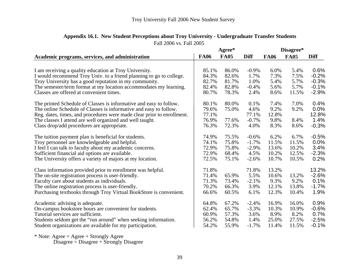|                                                                        | Agree*      |             |             | Disagree*   |             |             |  |
|------------------------------------------------------------------------|-------------|-------------|-------------|-------------|-------------|-------------|--|
| Academic programs, services, and administration                        | <b>FA06</b> | <b>FA05</b> | <b>Diff</b> | <b>FA06</b> | <b>FA05</b> | <b>Diff</b> |  |
|                                                                        |             |             |             |             |             |             |  |
| I am receiving a quality education at Troy University.                 | 85.1%       | 86.0%       | $-0.9\%$    | 6.0%        | 5.4%        | 0.6%        |  |
| I would recommend Troy Univ. to a friend planning to go to college.    | 84.3%       | 82.6%       | 1.7%        | 7.3%        | 7.5%        | $-0.2%$     |  |
| Troy University has a good reputation in my community.                 | 82.7%       | 81.7%       | 1.0%        | 5.4%        | 5.7%        | $-0.3%$     |  |
| The semester/term format at my location accommodates my learning.      | 82.4%       | 82.8%       | $-0.4%$     | 5.6%        | 5.7%        | $-0.1%$     |  |
| Classes are offered at convenient times.                               | 80.7%       | 78.3%       | 2.4%        | 8.6%        | 11.5%       | $-2.9%$     |  |
| The printed Schedule of Classes is informative and easy to follow.     | 80.1%       | 80.0%       | 0.1%        | 7.4%        | 7.0%        | 0.4%        |  |
| The online Schedule of Classes is informative and easy to follow.      | 79.6%       | 75.0%       | 4.6%        | 9.2%        | 9.2%        | 0.0%        |  |
| Reg. dates, times, and procedures were made clear prior to enrollment. | 77.1%       |             | 77.1%       | 12.8%       |             | 12.8%       |  |
| The classes I attend are well organized and well taught.               | 76.9%       | 77.6%       | $-0.7\%$    | 9.8%        | 8.4%        | 1.4%        |  |
| Class drop/add procedures are appropriate.                             | 76.3%       | 72.3%       | 4.0%        | 8.3%        | 8.6%        | $-0.3%$     |  |
| The tuition payment plan is beneficial for students.                   | 74.9%       | 75.5%       | $-0.6%$     | 6.2%        | 6.7%        | $-0.5%$     |  |
| Troy personnel are knowledgeable and helpful.                          | 74.1%       | 75.8%       | $-1.7%$     | 11.5%       | 11.5%       | 0.0%        |  |
| I feel I can talk to faculty about my academic concerns.               | 72.9%       | 75.8%       | $-2.9%$     | 13.6%       | 10.2%       | 3.4%        |  |
| Sufficient financial aid options are available.                        | 72.9%       | 68.4%       | 4.5%        | 10.2%       | 12.5%       | $-2.3%$     |  |
| The University offers a variety of majors at my location.              | 72.5%       | 75.1%       | $-2.6%$     | 10.7%       | 10.5%       | 0.2%        |  |
| Class information provided prior to enrollment was helpful.            | 71.8%       |             | 71.8%       | 13.2%       |             | 13.2%       |  |
| The on-site registration process is user-friendly.                     | 71.4%       | 65.9%       | 5.5%        | 10.6%       | 13.2%       | $-2.6%$     |  |
| Faculty care about students as individuals.                            | 71.3%       | 73.4%       | $-2.1%$     | 9.3%        | 9.2%        | 0.1%        |  |
| The online registration process is user-friendly.                      | 70.2%       | 66.3%       | 3.9%        | 12.1%       | 13.8%       | $-1.7%$     |  |
| Purchasing textbooks through Troy Virtual BookStore is convenient.     | 66.6%       | 60.5%       | 6.1%        | 12.3%       | 10.4%       | 1.9%        |  |
| Academic advising is adequate.                                         | 64.8%       | 67.2%       | $-2.4%$     | 16.9%       | 16.0%       | 0.9%        |  |
| On-campus bookstore hours are convenient for students.                 | 62.4%       | 65.7%       | $-3.3%$     | 10.3%       | 10.9%       | $-0.6%$     |  |
| Tutorial services are sufficient.                                      | 60.9%       | 57.3%       | 3.6%        | 8.9%        | 8.2%        | 0.7%        |  |
| Students seldom get the "run around" when seeking information.         | 56.2%       | 54.8%       | 1.4%        | 25.0%       | 27.5%       | $-2.5%$     |  |
| Student organizations are available for my participation.              | 54.2%       | 55.9%       | $-1.7%$     | 11.4%       | 11.5%       | $-0.1%$     |  |

## Fall 2006 vs. Fall 2005 **Appendix 16.1. New Student Perceptions about Troy University - Undergraduate Transfer Students**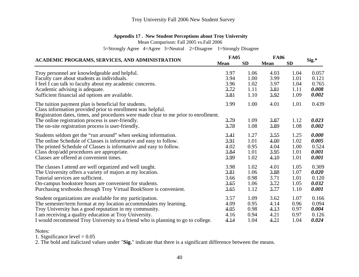### **Appendix 17 . New Student Perceptions about Troy University**

Mean Comparison: Fall 2005 vs.Fall 2006

5=Strongly Agree 4=Agree 3=Neutral 2=Disagree 1=Strongly Disagree

|                                                                                                                                                                                                                                                                                                                        |                      | <b>FA05</b>          | <b>FA06</b>          |                      |                         |
|------------------------------------------------------------------------------------------------------------------------------------------------------------------------------------------------------------------------------------------------------------------------------------------------------------------------|----------------------|----------------------|----------------------|----------------------|-------------------------|
| ACADEMIC PROGRAMS, SERVICES, AND ADMINISTRATION                                                                                                                                                                                                                                                                        | <b>Mean</b>          | <b>SD</b>            | <b>Mean</b>          | <b>SD</b>            | Sig.*                   |
| Troy personnel are knowledgeable and helpful.                                                                                                                                                                                                                                                                          | 3.97                 | 1.06                 | 4.03                 | 1.04                 | 0.057                   |
| Faculty care about students as individuals.                                                                                                                                                                                                                                                                            | 3.94                 | 1.00                 | 3.99                 | 1.01                 | 0.121                   |
| I feel I can talk to faculty about my academic concerns.                                                                                                                                                                                                                                                               | 3.96                 | 1.02                 | 3.97                 | 1.04                 | 0.765                   |
| Academic advising is adequate.                                                                                                                                                                                                                                                                                         | 3.72                 | 1.11                 | 3.81                 | 1.11                 | 0.008                   |
| Sufficient financial aid options are available.                                                                                                                                                                                                                                                                        | 3.81                 | 1.10                 | 3.92                 | 1.09                 | 0.002                   |
| The tuition payment plan is beneficial for students.<br>Class information provided prior to enrollment was helpful.<br>Registration dates, times, and procedures were made clear to me prior to enrollment.<br>The online registration process is user-friendly.<br>The on-site registration process is user-friendly. | 3.99<br>3.79<br>3.78 | 1.00<br>1.09<br>1.08 | 4.01<br>3.87<br>3.89 | 1.01<br>1.12<br>1.08 | 0.439<br>0.023<br>0.002 |
| Students seldom get the "run around" when seeking information.                                                                                                                                                                                                                                                         | 3.41                 | 1.27                 | 3.55                 | 1.25                 | 0.000                   |
| The online Schedule of Classes is informative and easy to follow.                                                                                                                                                                                                                                                      | 3.91                 | 1.01                 | 4.00                 | 1.02                 | 0.005                   |
| The printed Schedule of Classes is informative and easy to follow.                                                                                                                                                                                                                                                     | 4.02                 | 0.95                 | 4.04                 | 1.00                 | 0.524                   |
| Class drop/add procedures are appropriate.                                                                                                                                                                                                                                                                             | 3.84                 | 1.01                 | 3.95                 | 1.01                 | 0.001                   |
| Classes are offered at convenient times.                                                                                                                                                                                                                                                                               | 3.99                 | 1.02                 | 4.10                 | 1.01                 | 0.001                   |
| The classes I attend are well organized and well taught.                                                                                                                                                                                                                                                               | 3.98                 | 1.02                 | 4.01                 | 1.05                 | 0.309                   |
| The University offers a variety of majors at my location.                                                                                                                                                                                                                                                              | 3.81                 | 1.06                 | 3.88                 | 1.07                 | 0.020                   |
| Tutorial services are sufficient.                                                                                                                                                                                                                                                                                      | 3.66                 | 0.98                 | 3.71                 | 1.01                 | 0.120                   |
| On-campus bookstore hours are convenient for students.                                                                                                                                                                                                                                                                 | 3.65                 | 1.06                 | 3.72                 | 1.05                 | 0.032                   |
| Purchasing textbooks through Troy Virtual BookStore is convenient.                                                                                                                                                                                                                                                     | 3.65                 | 1.12                 | 3.77                 | 1.10                 | 0.001                   |
| Student organizations are available for my participation.                                                                                                                                                                                                                                                              | 3.57                 | 1.09                 | 3.62                 | 1.07                 | 0.166                   |
| The semester/term format at my location accommodates my learning.                                                                                                                                                                                                                                                      | 4.09                 | 0.95                 | 4.14                 | 0.96                 | 0.094                   |
| Troy University has a good reputation in my community.                                                                                                                                                                                                                                                                 | 4.05                 | 0.98                 | 4.13                 | 0.97                 | 0.004                   |
| I am receiving a quality education at Troy University.                                                                                                                                                                                                                                                                 | 4.16                 | 0.94                 | 4.21                 | 0.97                 | 0.126                   |
| I would recommend Troy University to a friend who is planning to go to college.                                                                                                                                                                                                                                        | 4.14                 | 1.04                 | 4.21                 | 1.04                 | 0.024                   |

Notes:

1. Significance level  $= 0.05$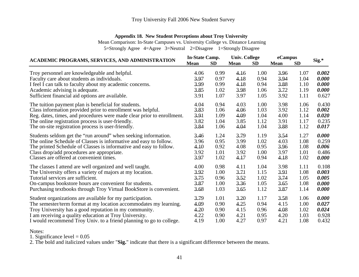### **Appendix 18. New Student Perceptions about Troy University**

Mean Comparison: In-State Campuses vs. University College vs. Distance Learning 5=Strongly Agree 4=Agree 3=Neutral 2=Disagree 1=Strongly Disagree

**Mean SD Mean SD Mean SD** Troy personnel are knowledgeable and helpful.<br>
Faculty care about students as individuals.<br> **Example 1.04** 1.04 **1.04 0.000 1.04 1.04 0.000 1.04 0.000** Faculty care about students as individuals.<br> **Same 1.18** 0.97 4.18 0.94 3.94 1.04 0.000<br> **Same 1.19 0.000**<br> **Feel I** can talk to faculty about my academic concerns.<br> **Same 1.18** 0.99 4.18 0.94 3.88 1.10 0.000 I feel I can talk to faculty about my academic concerns. 3.99 0.99 4.18 0.94 3.88 1.10 *0.000* Academic advising is adequate. 3.85 1.02 3.98 1.06 3.72 1.19 *0.000* Sufficient financial aid options are available.  $3.91 \t 1.07 \t 3.97 \t 1.05 \t 3.92 \t 1.11 \t 0.627$ The tuition payment plan is beneficial for students.<br>
Class information provided prior to enrollment was helpful.<br>  $3.83$  1.06 4.06 1.03 3.92 1.12 0.002 Class information provided prior to enrollment was helpful.<br>
Reg. dates, times, and procedures were made clear prior to enrollment.<br>
3.91 1.09 4.09 1.04 4.00 1.14 0.020 Reg. dates, times, and procedures were made clear prior to enrollment.<br>
The online registration process is user-friendly.<br>  $3.82$  1.04  $3.85$  1.12  $3.91$  1.17 0.235 The online registration process is user-friendly.<br>
The on-site registration process is user-friendly.<br>
3.84 1.06 4.04 1.04 3.88 1.12 0.017 The on-site registration process is user-friendly. *7*Students seldom get the "run around" when seeking information. <br>
The online Schedule of Classes is informative and easy to follow. <br>
3.96 0.95 3.99 1.02 4.03 1.08 0.259 The online Schedule of Classes is informative and easy to follow. <br>
The printed Schedule of Classes is informative and easy to follow. <br>  $4.10$   $0.92$   $4.08$   $0.95$   $3.99$   $1.02$   $4.03$   $1.08$   $0.006$ <br>  $0.006$ The printed Schedule of Classes is informative and easy to follow.  $\begin{array}{cccc} 4.10 & 0.92 & 4.08 & 0.95 & 3.96 & 1.08 & 0.006 \\ \text{Class drop/add procedures are anorororiate.} & 3.92 & 1.01 & 3.92 & 1.00 & 3.97 & 1.01 & 0.486 \end{array}$ Class drop/add procedures are appropriate.<br>
Classes are offered at convenient times.<br>
3.92 1.01 3.92 1.00 3.97 1.01 0.486<br>
3.97 1.02 4.17 0.94 4.18 1.02 0.000 Classes are offered at convenient times. 1.02 4.17 0.94 4.18 1.02 *0.000*The classes I attend are well organized and well taught.<br>
The University offers a variety of maiors at my location.<br>  $3.92 \t 1.00 \t 3.71 \t 1.15 \t 3.91 \t 1.08 \t 0.003$ The University offers a variety of majors at my location.  $\frac{3.92}{1.00} = \frac{3.71}{1.15} = 1.15$ Tutorial services are sufficient.  $3.75$  0.96 3.52 1.02 3.74 1.05 *0.005* On-campus bookstore hours are convenient for students.<br>
2.87 1.00 3.36 1.05 3.65 1.08 0.000<br>
Purchasing textbooks through Trov Virtual BookStore is convenient. 3.68 1.03 3.65 1.12 3.87 1.14 0.000 Purchasing textbooks through Troy Virtual BookStore is convenient. 3.68 1.03 3.65 1.12 3.87 1.14 *0.000* Student organizations are available for my participation.<br>
The semester/term format at my location accommodates my learning.<br>  $\begin{array}{cccc} 3.79 & 1.01 & 3.20 & 1.17 & 3.58 & 1.06 & 0.000 \\ 4.25 & 0.94 & 4.15 & 1.00 & 0.027 \end{array}$ The semester/term format at my location accommodates my learning.  $4.09$  0.90  $4.25$  0.94 4.15 1.00<br>Trov University has a good reputation in my community.  $4.20$  0.90  $4.15$  0.96  $4.08$  1.02 *7*Troy University has a good reputation in my community. 4.20 0.90 4.15 0.96 4.08 1.02 *0.024* I am receiving a quality education at Troy University. 4.22 0.90 4.21 0.95 4.20 1.03 0.928 I would recommend Troy Univ. to a friend planning to go to college. 4.19 1.00 4.27 0.97 4.21 1.08 0.432 **ACADEMIC PROGRAMS, SERVICES, AND ADMINISTRATION In-State Camp. Univ. College eCampus Sig.\***

Notes:

1. Significance level  $= 0.05$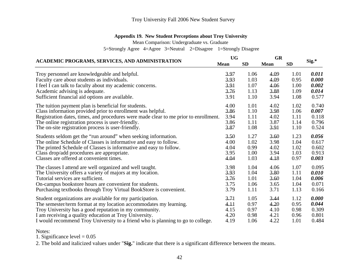### **Appendix 19. New Student Perceptions about Troy University**

Mean Comparison: Undergraduate vs. Graduate

5=Strongly Agree 4=Agree 3=Neutral 2=Disagree 1=Strongly Disagree

|                                                                                      |             | <b>UG</b> | <b>GR</b>   |           |       |
|--------------------------------------------------------------------------------------|-------------|-----------|-------------|-----------|-------|
| <b>ACADEMIC PROGRAMS, SERVICES, AND ADMINISTRATION</b>                               | <b>Mean</b> | <b>SD</b> | <b>Mean</b> | <b>SD</b> | Sig.* |
| Troy personnel are knowledgeable and helpful.                                        | 3.97        | 1.06      | 4.09        | 1.01      | 0.011 |
| Faculty care about students as individuals.                                          | 3.93        | 1.03      | 4.09        | 0.95      | 0.000 |
| I feel I can talk to faculty about my academic concerns.                             | 3.91        | 1.07      | 4.06        | 1.00      | 0.002 |
| Academic advising is adequate.                                                       | 3.76        | 1.13      | 3.88        | 1.09      | 0.014 |
| Sufficient financial aid options are available.                                      | 3.91        | 1.10      | 3.94        | 1.08      | 0.577 |
| The tuition payment plan is beneficial for students.                                 | 4.00        | 1.01      | 4.02        | 1.02      | 0.740 |
| Class information provided prior to enrollment was helpful.                          | 3.86        | 1.10      | 3.98        | 1.06      | 0.007 |
| Registration dates, times, and procedures were made clear to me prior to enrollment. | 3.94        | 1.11      | 4.02        | 1.11      | 0.118 |
| The online registration process is user-friendly.                                    | 3.86        | 1.11      | 3.87        | 1.14      | 0.796 |
| The on-site registration process is user-friendly.                                   | 3.87        | 1.08      | 3.91        | 1.10      | 0.524 |
| Students seldom get the "run around" when seeking information.                       | 3,50        | 1.27      | 3.60        | 1.23      | 0.056 |
| The online Schedule of Classes is informative and easy to follow.                    | 4.00        | 1.02      | 3.98        | 1.04      | 0.617 |
| The printed Schedule of Classes is informative and easy to follow.                   | 4.04        | 0.99      | 4.02        | 1.02      | 0.602 |
| Class drop/add procedures are appropriate.                                           | 3.95        | 1.00      | 3.94        | 1.03      | 0.913 |
| Classes are offered at convenient times.                                             | 4.04        | 1.03      | 4.18        | 0.97      | 0.003 |
| The classes I attend are well organized and well taught.                             | 3.98        | 1.04      | 4.06        | 1.07      | 0.095 |
| The University offers a variety of majors at my location.                            | 3.93        | 1.04      | 3.80        | 1.11      | 0.010 |
| Tutorial services are sufficient.                                                    | 3.76        | 1.01      | 3.60        | 1.04      | 0.006 |
| On-campus bookstore hours are convenient for students.                               | 3.75        | 1.06      | 3.65        | 1.04      | 0.071 |
| Purchasing textbooks through Troy Virtual BookStore is convenient.                   | 3.79        | 1.11      | 3.71        | 1.13      | 0.166 |
| Student organizations are available for my participation.                            | 3.71        | 1.05      | 3.44        | 1.12      | 0.000 |
| The semester/term format at my location accommodates my learning.                    | 4,11        | 0.97      | 4.20        | 0.95      | 0.044 |
| Troy University has a good reputation in my community.                               | 4.15        | 0.97      | 4.10        | 0.98      | 0.309 |
| I am receiving a quality education at Troy University.                               | 4.20        | 0.98      | 4.21        | 0.96      | 0.801 |
| I would recommend Troy University to a friend who is planning to go to college.      | 4.19        | 1.06      | 4.22        | 1.01      | 0.484 |

Notes:

1. Significance level  $= 0.05$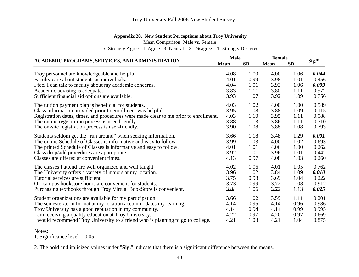### **Appendix 20. New Student Perceptions about Troy University**

Mean Comparison: Male vs. Female

5=Strongly Agree 4=Agree 3=Neutral 2=Disagree 1=Strongly Disagree

| ACADEMIC PROGRAMS, SERVICES, AND ADMINISTRATION                                      | Male |           | <b>Female</b> | $Sig.*$   |       |
|--------------------------------------------------------------------------------------|------|-----------|---------------|-----------|-------|
|                                                                                      |      | <b>SD</b> | <b>Mean</b>   | <b>SD</b> |       |
| Troy personnel are knowledgeable and helpful.                                        | 4.08 | 1.00      | 4.00          | 1.06      | 0.044 |
| Faculty care about students as individuals.                                          | 4.01 | 0.99      | 3.98          | 1.01      | 0.456 |
| I feel I can talk to faculty about my academic concerns.                             | 4.04 | 1.01      | 3.93          | 1.06      | 0.009 |
| Academic advising is adequate.                                                       | 3.83 | 1.11      | 3.80          | 1.11      | 0.572 |
| Sufficient financial aid options are available.                                      | 3.93 | 1.07      | 3.92          | 1.09      | 0.756 |
| The tuition payment plan is beneficial for students.                                 | 4.03 | 1.02      | 4.00          | 1.00      | 0.589 |
| Class information provided prior to enrollment was helpful.                          | 3.95 | 1.08      | 3.88          | 1.09      | 0.115 |
| Registration dates, times, and procedures were made clear to me prior to enrollment. | 4.03 | 1.10      | 3.95          | 1.11      | 0.088 |
| The online registration process is user-friendly.                                    | 3.88 | 1.13      | 3.86          | 1.11      | 0.710 |
| The on-site registration process is user-friendly.                                   | 3.90 | 1.08      | 3.88          | 1.08      | 0.793 |
| Students seldom get the "run around" when seeking information.                       | 3,66 | 1.18      | 3.48          | 1.29      | 0.001 |
| The online Schedule of Classes is informative and easy to follow.                    | 3.99 | 1.03      | 4.00          | 1.02      | 0.693 |
| The printed Schedule of Classes is informative and easy to follow.                   | 4.01 | 1.01      | 4.06          | 1.00      | 0.262 |
| Class drop/add procedures are appropriate.                                           | 3.92 | 1.01      | 3.96          | 1.01      | 0.442 |
| Classes are offered at convenient times.                                             | 4.13 | 0.97      | 4.08          | 1.03      | 0.260 |
| The classes I attend are well organized and well taught.                             | 4.02 | 1.06      | 4.01          | 1.05      | 0.762 |
| The University offers a variety of majors at my location.                            | 3.96 | 1.02      | 3.84          | 1.09      | 0.010 |
| Tutorial services are sufficient.                                                    | 3.75 | 0.98      | 3.69          | 1.04      | 0.222 |
| On-campus bookstore hours are convenient for students.                               | 3.73 | 0.99      | 3.72          | 1.08      | 0.912 |
| Purchasing textbooks through Troy Virtual BookStore is convenient.                   | 3.84 | 1.06      | 3.72          | 1.13      | 0.025 |
| Student organizations are available for my participation.                            | 3.66 | 1.02      | 3.59          | 1.11      | 0.201 |
| The semester/term format at my location accommodates my learning.                    | 4.14 | 0.95      | 4.14          | 0.96      | 0.986 |
| Troy University has a good reputation in my community.                               | 4.14 | 0.94      | 4.14          | 0.99      | 0.995 |
| I am receiving a quality education at Troy University.                               | 4.22 | 0.97      | 4.20          | 0.97      | 0.669 |
| I would recommend Troy University to a friend who is planning to go to college.      | 4.21 | 1.03      | 4.21          | 1.04      | 0.875 |

Notes:

1. Significance level  $= 0.05$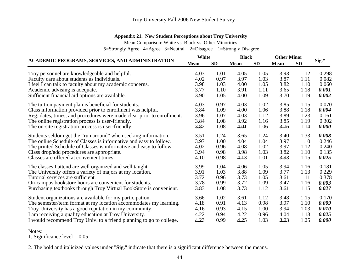### **Appendix 21. New Student Perceptions about Troy University**

Mean Comparison: White vs. Black vs. Other Minorities

5=Strongly Agree 4=Agree 3=Neutral 2=Disagree 1=Strongly Disagree

| White<br><b>ACADEMIC PROGRAMS, SERVICES, AND ADMINISTRATION</b>        |             |           | <b>Black</b> |           | <b>Other Minor</b> | $Sig.*$   |       |
|------------------------------------------------------------------------|-------------|-----------|--------------|-----------|--------------------|-----------|-------|
|                                                                        | <b>Mean</b> | <b>SD</b> | <b>Mean</b>  | <b>SD</b> | <b>Mean</b>        | <b>SD</b> |       |
| Troy personnel are knowledgeable and helpful.                          | 4.03        | 1.01      | 4.05         | 1.05      | 3.93               | 1.12      | 0.298 |
| Faculty care about students as individuals.                            | 4.02        | 0.97      | 3.97         | 1.03      | 3.87               | 1.11      | 0.082 |
| I feel I can talk to faculty about my academic concerns.               | 3.98        | 1.03      | 4.00         | 1.05      | 3.82               | 1.10      | 0.060 |
| Academic advising is adequate.                                         | 3.77        | 1.10      | 3.91         | 1.11      | 3.65               | 1.18      | 0.001 |
| Sufficient financial aid options are available.                        | 3.90        | 1.05      | 4.00         | 1.09      | 3.70               | 1.19      | 0.002 |
| The tuition payment plan is beneficial for students.                   | 4.03        | 0.97      | 4.03         | 1.02      | 3.85               | 1.15      | 0.070 |
| Class information provided prior to enrollment was helpful.            | 3.84        | 1.09      | 4.00         | 1.06      | 3.88               | 1.18      | 0.004 |
| Reg. dates, times, and procedures were made clear prior to enrollment. | 3.96        | 1.07      | 4.03         | 1.12      | 3.89               | 1.23      | 0.161 |
| The online registration process is user-friendly.                      | 3.84        | 1.08      | 3.92         | 1.16      | 3.85               | 1.19      | 0.302 |
| The on-site registration process is user-friendly.                     | 3.82        | 1.08      | 4.01         | 1.06      | 3.76               | 1.14      | 0.000 |
| Students seldom get the "run around" when seeking information.         | 3.51        | 1.24      | 3.65         | 1.24      | 3.40               | 1.33      | 0.008 |
| The online Schedule of Classes is informative and easy to follow.      | 3.97        | 1.00      | 4.04         | 1.04      | 3.97               | 1.10      | 0.246 |
| The printed Schedule of Classes is informative and easy to follow.     | 4.02        | 0.96      | 4.08         | 1.02      | 3.97               | 1.12      | 0.240 |
| Class drop/add procedures are appropriate.                             | 3.94        | 0.98      | 3.98         | 1.03      | 3.82               | 1.10      | 0.135 |
| Classes are offered at convenient times.                               | 4.10        | 0.98      | 4.13         | 1.01      | 3.93               | 1.15      | 0.025 |
| The classes I attend are well organized and well taught.               | 3.99        | 1.04      | 4.06         | 1.05      | 3.94               | 1.16      | 0.181 |
| The University offers a variety of majors at my location.              | 3.91        | 1.03      | 3.88         | 1.09      | 3.77               | 1.13      | 0.229 |
| Tutorial services are sufficient.                                      | 3.72        | 0.96      | 3.73         | 1.05      | 3.61               | 1.11      | 0.378 |
| On-campus bookstore hours are convenient for students.                 | 3.78        | 0.99      | 3.72         | 1.09      | 3.47               | 1.16      | 0.003 |
| Purchasing textbooks through Troy Virtual BookStore is convenient.     | 3.83        | 1.08      | 3.73         | 1.12      | 3.61               | 1.15      | 0.027 |
| Student organizations are available for my participation.              | 3.66        | 1.02      | 3.61         | 1.12      | 3.48               | 1.15      | 0.170 |
| The semester/term format at my location accommodates my learning.      | 4.18        | 0.91      | 4.13         | 0.98      | 3.97               | 1.10      | 0.009 |
| Troy University has a good reputation in my community.                 | 4.16        | 0.93      | 4.15         | 1.00      | 3.94               | 1.03      | 0.010 |
| I am receiving a quality education at Troy University.                 | 4.22        | 0.94      | 4.22         | 0.96      | 4.04               | 1.13      | 0.025 |
| I would recommend Troy Univ. to a friend planning to go to college.    | 4.23        | 0.99      | 4.25         | 1.03      | 3.93               | 1.25      | 0.000 |

Notes:

1. Significance level  $= 0.05$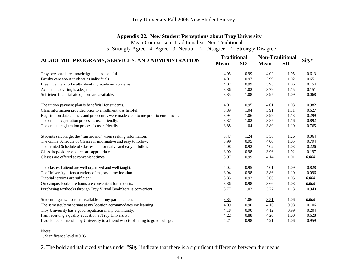### **Appendix 22. New Student Perceptions about Troy University**

Mean Comparison: Traditional vs. Non-Traditional

5=Strongly Agree 4=Agree 3=Neutral 2=Disagree 1=Strongly Disagree

|                                                                                      | <b>Traditional</b> |           | <b>Non-Traditional</b> |           |       |
|--------------------------------------------------------------------------------------|--------------------|-----------|------------------------|-----------|-------|
| <b>ACADEMIC PROGRAMS, SERVICES, AND ADMINISTRATION</b>                               | <b>Mean</b>        | <b>SD</b> | <b>Mean</b>            | <b>SD</b> | Sig.* |
| Troy personnel are knowledgeable and helpful.                                        | 4.05               | 0.99      | 4.02                   | 1.05      | 0.613 |
| Faculty care about students as individuals.                                          | 4.01               | 0.97      | 3.99                   | 1.02      | 0.651 |
| I feel I can talk to faculty about my academic concerns.                             | 4.02               | 0.99      | 3.95                   | 1.06      | 0.154 |
| Academic advising is adequate.                                                       | 3.86               | 1.02      | 3.79                   | 1.15      | 0.151 |
| Sufficient financial aid options are available.                                      | 3.85               | 1.08      | 3.95                   | 1.09      | 0.068 |
| The tuition payment plan is beneficial for students.                                 | 4.01               | 0.95      | 4.01                   | 1.03      | 0.982 |
| Class information provided prior to enrollment was helpful.                          | 3.89               | 1.04      | 3.91                   | 1.11      | 0.627 |
| Registration dates, times, and procedures were made clear to me prior to enrollment. | 3.94               | 1.06      | 3.99                   | 1.13      | 0.299 |
| The online registration process is user-friendly.                                    | 3.87               | 1.02      | 3.87                   | 1.16      | 0.892 |
| The on-site registration process is user-friendly.                                   | 3.88               | 1.04      | 3.89                   | 1.10      | 0.765 |
| Students seldom get the "run around" when seeking information.                       | 3.47               | 1.24      | 3.58                   | 1.26      | 0.064 |
| The online Schedule of Classes is informative and easy to follow.                    | 3.99               | 0.95      | 4.00                   | 1.05      | 0.794 |
| The printed Schedule of Classes is informative and easy to follow.                   | 4.08               | 0.92      | 4.02                   | 1.03      | 0.226 |
| Class drop/add procedures are appropriate.                                           | 3.90               | 0.98      | 3.96                   | 1.02      | 0.197 |
| Classes are offered at convenient times.                                             | 3.97               | 0.99      | <u>4.14</u>            | 1.01      | 0.000 |
| The classes I attend are well organized and well taught.                             | 4.02               | 0.95      | 4.01                   | 1.09      | 0.828 |
| The University offers a variety of majors at my location.                            | 3.94               | 0.98      | 3.86                   | 1.10      | 0.096 |
| Tutorial services are sufficient.                                                    | 3.85               | 0.92      | 3.66                   | 1.05      | 0.000 |
| On-campus bookstore hours are convenient for students.                               | 3.86               | 0.98      | 3.66                   | 1.08      | 0.000 |
| Purchasing textbooks through Troy Virtual BookStore is convenient.                   | 3.77               | 1.03      | 3.77                   | 1.13      | 0.940 |
| Student organizations are available for my participation.                            | 3.85               | 1.06      | 3.51                   | 1.06      | 0.000 |
| The semester/term format at my location accommodates my learning.                    | 4.09               | 0.90      | 4.16                   | 0.98      | 0.106 |
| Troy University has a good reputation in my community.                               | 4.18               | 0.90      | 4.12                   | 0.99      | 0.204 |
| I am receiving a quality education at Troy University.                               | 4.22               | 0.88      | 4.20                   | 1.00      | 0.628 |
| I would recommend Troy University to a friend who is planning to go to college.      | 4.21               | 0.98      | 4.21                   | 1.06      | 0.959 |

Notes:

1. Significance level = 0.05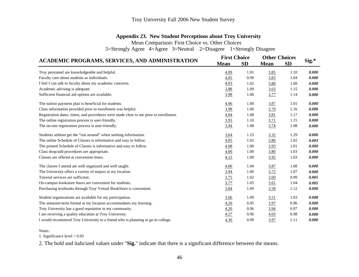### **Appendix 23. New Student Perceptions about Troy University**

Mean Comparison: First Choice vs. Other Choices

5=Strongly Agree 4=Agree 3=Neutral 2=Disagree 1=Strongly Disagree

|                                                                                      | <b>First Choice</b> |           | <b>Other Choices</b> |           |       |
|--------------------------------------------------------------------------------------|---------------------|-----------|----------------------|-----------|-------|
| ACADEMIC PROGRAMS, SERVICES, AND ADMINISTRATION                                      | <b>Mean</b>         | <b>SD</b> | <b>Mean</b>          | <b>SD</b> | Sig.* |
| Troy personnel are knowledgeable and helpful.                                        | 4.09                | 1.01      | 3.85                 | 1.10      | 0.000 |
| Faculty care about students as individuals.                                          | 4.05                | 0.99      | 3.83                 | 1.04      | 0.000 |
| I feel I can talk to faculty about my academic concerns.                             | 4.03                | 1.02      | 3.80                 | 1.09      | 0.000 |
| Academic advising is adequate.                                                       | 3.88                | 1.09      | 3.63                 | 1.15      | 0.000 |
| Sufficient financial aid options are available.                                      | 3.98                | 1.06      | 3.77                 | 1.14      | 0.000 |
| The tuition payment plan is beneficial for students.                                 | 4.06                | 1.00      | 3.87                 | 1.01      | 0.000 |
| Class information provided prior to enrollment was helpful.                          | 3.98                | 1.06      | 3.70                 | 1.16      | 0.000 |
| Registration dates, times, and procedures were made clear to me prior to enrollment. | 4.04                | 1.08      | <u>3.81</u>          | 1.17      | 0.000 |
| The online registration process is user-friendly.                                    | 3.93                | 1.10      | <u>3.71</u>          | 1.15      | 0.000 |
| The on-site registration process is user-friendly.                                   | 3.94                | 1.08      | 3.74                 | 1.08      | 0.000 |
| Students seldom get the "run around" when seeking information.                       | 3.64                | 1.23      | 3.32                 | 1.29      | 0.000 |
| The online Schedule of Classes is informative and easy to follow.                    | 4.05                | 1.02      | 3.86                 | 1.02      | 0.003 |
| The printed Schedule of Classes is informative and easy to follow.                   | 4.08                | 1.00      | 3.93                 | 1.01      | 0.000 |
| Class drop/add procedures are appropriate.                                           | <u>4.00</u>         | 1.00      | 3.80                 | 1.03      | 0.000 |
| Classes are offered at convenient times.                                             | 4.15                | 1.00      | 3.95                 | 1.03      | 0.000 |
| The classes I attend are well organized and well taught.                             | 4.06                | 1.04      | 3.87                 | 1.08      | 0.000 |
| The University offers a variety of majors at my location.                            | 3.94                | 1.06      | 3.72                 | 1.07      | 0.000 |
| Tutorial services are sufficient.                                                    | 3.75                | 1.02      | 3.60                 | 0.99      | 0.005 |
| On-campus bookstore hours are convenient for students.                               | <u>3.77</u>         | 1.05      | <u>3.61</u>          | 1.04      | 0.005 |
| Purchasing textbooks through Troy Virtual BookStore is convenient.                   | 3.84                | 1.09      | 3.58                 | 1.12      | 0.000 |
| Student organizations are available for my participation.                            | 3.66                | 1.09      | <u>3.51</u>          | 1.03      | 0.008 |
| The semester/term format at my location accommodates my learning.                    | 4.20                | 0.95      | 3.97                 | 0.96      | 0.000 |
| Troy University has a good reputation in my community.                               | 4.20                | 0.96      | 3.94                 | 0.97      | 0.000 |
| I am receiving a quality education at Troy University.                               | 4.27                | 0.96      | 4.03                 | 0.98      | 0.000 |
| I would recommend Troy University to a friend who is planning to go to college.      | 4.30                | 0.99      | 3.97                 | 1.11      | 0.000 |

Notes:

1. Significance level = 0.05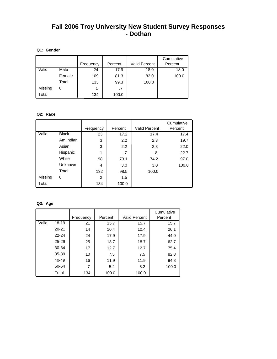## **Fall 2006 Troy University New Student Survey Responses - Dothan**

### **Q1: Gender**

|         |        |           |         |                      | Cumulative |
|---------|--------|-----------|---------|----------------------|------------|
|         |        | Frequency | Percent | <b>Valid Percent</b> | Percent    |
| Valid   | Male   | 24        | 17.9    | 18.0                 | 18.0       |
|         | Female | 109       | 81.3    | 82.0                 | 100.0      |
|         | Total  | 133       | 99.3    | 100.0                |            |
| Missing | 0      |           | .7      |                      |            |
| Total   |        | 134       | 100.0   |                      |            |

### **Q2: Race**

|         |              | Frequency      | Percent | <b>Valid Percent</b> | Cumulative<br>Percent |
|---------|--------------|----------------|---------|----------------------|-----------------------|
| Valid   | <b>Black</b> | 23             | 17.2    | 17.4                 | 17.4                  |
|         | Am Indian    | 3              | 2.2     | 2.3                  | 19.7                  |
|         | Asian        | 3              | 2.2     | 2.3                  | 22.0                  |
|         | Hispanic     | 1              | .7      | .8                   | 22.7                  |
|         | White        | 98             | 73.1    | 74.2                 | 97.0                  |
|         | Unknown      | 4              | 3.0     | 3.0                  | 100.0                 |
|         | Total        | 132            | 98.5    | 100.0                |                       |
| Missing | 0            | $\overline{2}$ | 1.5     |                      |                       |
| Total   |              | 134            | 100.0   |                      |                       |

### **Q3: Age**

|       |           |           |         |                      | Cumulative |
|-------|-----------|-----------|---------|----------------------|------------|
|       |           | Frequency | Percent | <b>Valid Percent</b> | Percent    |
| Valid | 18-19     | 21        | 15.7    | 15.7                 | 15.7       |
|       | $20 - 21$ | 14        | 10.4    | 10.4                 | 26.1       |
|       | $22 - 24$ | 24        | 17.9    | 17.9                 | 44.0       |
|       | 25-29     | 25        | 18.7    | 18.7                 | 62.7       |
|       | 30-34     | 17        | 12.7    | 12.7                 | 75.4       |
|       | 35-39     | 10        | 7.5     | 7.5                  | 82.8       |
|       | 40-49     | 16        | 11.9    | 11.9                 | 94.8       |
|       | 50-64     | 7         | 5.2     | 5.2                  | 100.0      |
|       | Total     | 134       | 100.0   | 100.0                |            |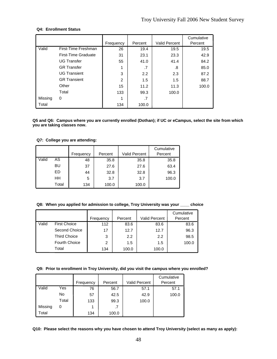### **Q4: Enrollment Status**

|         |                     | Frequency | Percent | <b>Valid Percent</b> | Cumulative<br>Percent |
|---------|---------------------|-----------|---------|----------------------|-----------------------|
| Valid   | First-Time Freshman | 26        | 19.4    | 19.5                 | 19.5                  |
|         | First-Time Graduate | 31        | 23.1    | 23.3                 | 42.9                  |
|         | <b>UG Transfer</b>  | 55        | 41.0    | 41.4                 | 84.2                  |
|         | <b>GR</b> Transfer  | 1         | .7      | .8                   | 85.0                  |
|         | <b>UG Transient</b> | 3         | 2.2     | 2.3                  | 87.2                  |
|         | <b>GR Transient</b> | 2         | 1.5     | 1.5                  | 88.7                  |
|         | Other               | 15        | 11.2    | 11.3                 | 100.0                 |
|         | Total               | 133       | 99.3    | 100.0                |                       |
| Missing | 0                   |           | .7      |                      |                       |
| Total   |                     | 134       | 100.0   |                      |                       |

**Q5 and Q6: Campus where you are currently enrolled (Dothan); if UC or eCampus, select the site from which you are taking classes now.** 

### **Q7: College you are attending:**

|       |       | Frequency | Percent | <b>Valid Percent</b> | Cumulative<br>Percent |
|-------|-------|-----------|---------|----------------------|-----------------------|
| Valid | AS    | 48        | 35.8    | 35.8                 | 35.8                  |
|       | BU    | 37        | 27.6    | 27.6                 | 63.4                  |
|       | ED    | 44        | 32.8    | 32.8                 | 96.3                  |
|       | HΗ    | 5         | 3.7     | 3.7                  | 100.0                 |
|       | Total | 134       | 100.0   | 100.0                |                       |

### **Q8: When you applied for admission to college, Troy University was your \_\_\_\_ choice**

|       |                      |                |         |                      | Cumulative |
|-------|----------------------|----------------|---------|----------------------|------------|
|       |                      | Frequency      | Percent | <b>Valid Percent</b> | Percent    |
| Valid | <b>First Choice</b>  | 112            | 83.6    | 83.6                 | 83.6       |
|       | Second Choice        | 17             | 12.7    | 12.7                 | 96.3       |
|       | <b>Third Choice</b>  | 3              | 2.2     | 2.2                  | 98.5       |
|       | <b>Fourth Choice</b> | $\overline{2}$ | 1.5     | 1.5                  | 100.0      |
|       | Total                | 134            | 100.0   | 100.0                |            |

#### **Q9: Prior to enrollment in Troy University, did you visit the campus where you enrolled?**

|         |       |           |         |                      | Cumulative |
|---------|-------|-----------|---------|----------------------|------------|
|         |       | Frequency | Percent | <b>Valid Percent</b> | Percent    |
| Valid   | Yes   | 76        | 56.7    | 57.1                 | 57.1       |
|         | No    | 57        | 42.5    | 42.9                 | 100.0      |
|         | Total | 133       | 99.3    | 100.0                |            |
| Missing | 0     |           | $\cdot$ |                      |            |
| Total   |       | 134       | 100.0   |                      |            |

**Q10: Please select the reasons why you have chosen to attend Troy University (select as many as apply):**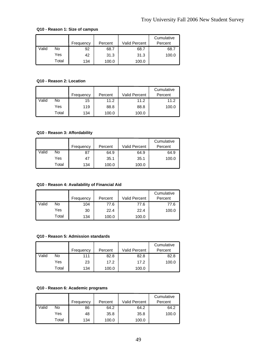### **Q10 - Reason 1: Size of campus**

|       |       |           |         |                      | Cumulative |
|-------|-------|-----------|---------|----------------------|------------|
|       |       | Frequency | Percent | <b>Valid Percent</b> | Percent    |
| Valid | No    | 92        | 68.7    | 68.7                 | 68.7       |
|       | Yes   | 42        | 31.3    | 31.3                 | 100.0      |
|       | Total | 134       | 100.0   | 100.0                |            |

### **Q10 - Reason 2: Location**

|       |       |           |         |               | Cumulative |
|-------|-------|-----------|---------|---------------|------------|
|       |       | Frequency | Percent | Valid Percent | Percent    |
| Valid | No    | 15        | 11.2    | 11.2          | 11.2       |
|       | Yes   | 119       | 88.8    | 88.8          | 100.0      |
|       | Total | 134       | 100.0   | 100.0         |            |

### **Q10 - Reason 3: Affordability**

|       |       | Frequency | Percent | <b>Valid Percent</b> | Cumulative<br>Percent |
|-------|-------|-----------|---------|----------------------|-----------------------|
| Valid | No    | 87        | 64.9    | 64.9                 | 64.9                  |
|       | Yes   | 47        | 35.1    | 35.1                 | 100.0                 |
|       | Total | 134       | 100.0   | 100.0                |                       |

### **Q10 - Reason 4: Availability of Financial Aid**

|       |       | Frequency | Percent | <b>Valid Percent</b> | Cumulative<br>Percent |
|-------|-------|-----------|---------|----------------------|-----------------------|
|       |       |           |         |                      |                       |
| Valid | No    | 104       | 77.6    | 77.6                 | 77.6                  |
|       | Yes   | 30        | 22.4    | 22.4                 | 100.0                 |
|       | Total | 134       | 100.0   | 100.0                |                       |

### **Q10 - Reason 5: Admission standards**

|       |       | Frequency | Percent | <b>Valid Percent</b> | Cumulative<br>Percent |
|-------|-------|-----------|---------|----------------------|-----------------------|
| Valid | No.   | 111       | 82.8    | 82.8                 | 82.8                  |
|       | Yes   | 23        | 17.2    | 17.2                 | 100.0                 |
|       | Total | 134       | 100.0   | 100.0                |                       |

### **Q10 - Reason 6: Academic programs**

|       |       | Frequency | Percent | Valid Percent | Cumulative<br>Percent |
|-------|-------|-----------|---------|---------------|-----------------------|
| Valid | No    | 86        | 64.2    | 64.2          | 64.2                  |
|       | Yes   | 48        | 35.8    | 35.8          | 100.0                 |
|       | Total | 134       | 100.0   | 100.0         |                       |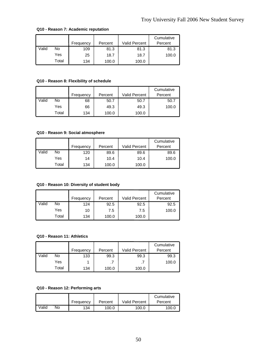|       |       | Frequency | Percent | <b>Valid Percent</b> | Cumulative<br>Percent |
|-------|-------|-----------|---------|----------------------|-----------------------|
| Valid | No    | 109       | 81.3    | 81.3                 | 81.3                  |
|       | Yes   | 25        | 18.7    | 18.7                 | 100.0                 |
|       | Total | 134       | 100.0   | 100.0                |                       |

### **Q10 - Reason 7: Academic reputation**

### **Q10 - Reason 8: Flexibility of schedule**

|       |       | Frequency | Percent | Valid Percent | Cumulative<br>Percent |
|-------|-------|-----------|---------|---------------|-----------------------|
| Valid | No    | 68        | 50.7    | 50.7          | 50.7                  |
|       | Yes   | 66        | 49.3    | 49.3          | 100.0                 |
|       | Total | 134       | 100.0   | 100.0         |                       |

#### **Q10 - Reason 9: Social atmosphere**

|       |       | Frequency | Percent | <b>Valid Percent</b> | Cumulative<br>Percent |
|-------|-------|-----------|---------|----------------------|-----------------------|
| Valid | No    | 120       | 89.6    | 89.6                 | 89.6                  |
|       | Yes   | 14        | 10.4    | 10.4                 | 100.0                 |
|       | Total | 134       | 100.0   | 100.0                |                       |

### **Q10 - Reason 10: Diversity of student body**

|       |       | Frequency | Percent | <b>Valid Percent</b> | Cumulative<br>Percent |
|-------|-------|-----------|---------|----------------------|-----------------------|
| Valid | No    | 124       | 92.5    | 92.5                 | 92.5                  |
|       | Yes   | 10        | 7.5     | 7.5                  | 100.0                 |
|       | Total | 134       | 100.0   | 100.0                |                       |

### **Q10 - Reason 11: Athletics**

|       |       | Frequency | Percent | <b>Valid Percent</b> | Cumulative<br>Percent |
|-------|-------|-----------|---------|----------------------|-----------------------|
| Valid | No    | 133       | 99.3    | 99.3                 | 99.3                  |
|       | Yes   |           |         |                      | 100.0                 |
|       | Total | 134       | 100.0   | 100.0                |                       |

### **Q10 - Reason 12: Performing arts**

|       |    |           |         |                      | Cumulative |
|-------|----|-----------|---------|----------------------|------------|
|       |    | Frequency | Percent | <b>Valid Percent</b> | Percent    |
| Valid | No | 134       | 100.0   | 100.0                | 100.0      |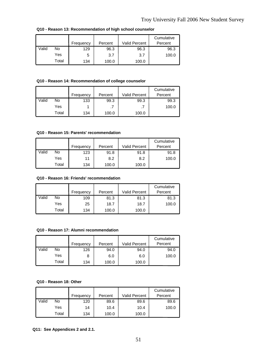|       |       |           |         |                      | Cumulative |
|-------|-------|-----------|---------|----------------------|------------|
|       |       | Frequency | Percent | <b>Valid Percent</b> | Percent    |
| Valid | No    | 129       | 96.3    | 96.3                 | 96.3       |
|       | Yes   | 5         | 3.7     | 3.7                  | 100.0      |
|       | Total | 134       | 100.0   | 100.0                |            |

**Q10 - Reason 13: Recommendation of high school counselor**

### **Q10 - Reason 14: Recommendation of college counselor**

|       |       | Frequency | Percent | <b>Valid Percent</b> | Cumulative<br>Percent |
|-------|-------|-----------|---------|----------------------|-----------------------|
| Valid | No    | 133       | 99.3    | 99.3                 | 99.3                  |
|       | Yes   |           |         |                      | 100.0                 |
|       | Total | 134       | 100.0   | 100.0                |                       |

#### **Q10 - Reason 15: Parents' recommendation**

|       |       | Frequency | Percent | <b>Valid Percent</b> | Cumulative<br>Percent |
|-------|-------|-----------|---------|----------------------|-----------------------|
| Valid | No    | 123       | 91.8    | 91.8                 | 91.8                  |
|       | Yes   | 11        | 8.2     | 8.2                  | 100.0                 |
|       | Total | 134       | 100.0   | 100.0                |                       |

#### **Q10 - Reason 16: Friends' recommendation**

|       |       | Frequency | Percent | <b>Valid Percent</b> | Cumulative<br>Percent |
|-------|-------|-----------|---------|----------------------|-----------------------|
| Valid | No    | 109       | 81.3    | 81.3                 | 81.3                  |
|       | Yes   | 25        | 18.7    | 18.7                 | 100.0                 |
|       | Total | 134       | 100.0   | 100.0                |                       |

#### **Q10 - Reason 17: Alumni recommendation**

|       |       |           |         |                      | Cumulative |
|-------|-------|-----------|---------|----------------------|------------|
|       |       | Frequency | Percent | <b>Valid Percent</b> | Percent    |
| Valid | No    | 126       | 94.0    | 94.0                 | 94.0       |
|       | Yes   |           | 6.0     | 6.0                  | 100.0      |
|       | Total | 134       | 100.0   | 100.0                |            |

### **Q10 - Reason 18: Other**

|       |       |           |         |               | Cumulative |
|-------|-------|-----------|---------|---------------|------------|
|       |       | Frequency | Percent | Valid Percent | Percent    |
| Valid | No    | 120       | 89.6    | 89.6          | 89.6       |
|       | Yes   | 14        | 10.4    | 10.4          | 100.0      |
|       | Total | 134       | 100.0   | 100.0         |            |

### **Q11: See Appendices 2 and 2.1.**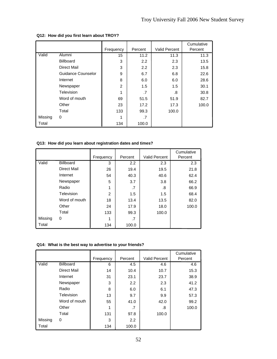|         |                    | Frequency | Percent | <b>Valid Percent</b> | Cumulative<br>Percent |
|---------|--------------------|-----------|---------|----------------------|-----------------------|
| Valid   | Alumni             | 15        | 11.2    | 11.3                 | 11.3                  |
|         | <b>Billboard</b>   | 3         | 2.2     | 2.3                  | 13.5                  |
|         | Direct Mail        | 3         | 2.2     | 2.3                  | 15.8                  |
|         | Guidance Counselor | 9         | 6.7     | 6.8                  | 22.6                  |
|         | Internet           | 8         | 6.0     | 6.0                  | 28.6                  |
|         | Newspaper          | 2         | 1.5     | 1.5                  | 30.1                  |
|         | Television         | 1         | .7      | .8                   | 30.8                  |
|         | Word of mouth      | 69        | 51.5    | 51.9                 | 82.7                  |
|         | Other              | 23        | 17.2    | 17.3                 | 100.0                 |
|         | Total              | 133       | 99.3    | 100.0                |                       |
| Missing | 0                  | 1         | .7      |                      |                       |
| Total   |                    | 134       | 100.0   |                      |                       |

### **Q12: How did you first learn about TROY?**

### **Q13: How did you learn about registration dates and times?**

|         |               | Frequency      | Percent | <b>Valid Percent</b> | Cumulative<br>Percent |
|---------|---------------|----------------|---------|----------------------|-----------------------|
| Valid   | Billboard     | 3              | 2.2     | 2.3                  | 2.3                   |
|         | Direct Mail   | 26             | 19.4    | 19.5                 | 21.8                  |
|         | Internet      | 54             | 40.3    | 40.6                 | 62.4                  |
|         | Newspaper     | 5              | 3.7     | 3.8                  | 66.2                  |
|         | Radio         | 1              | .7      | .8                   | 66.9                  |
|         | Television    | $\overline{2}$ | 1.5     | $1.5\,$              | 68.4                  |
|         | Word of mouth | 18             | 13.4    | 13.5                 | 82.0                  |
|         | Other         | 24             | 17.9    | 18.0                 | 100.0                 |
|         | Total         | 133            | 99.3    | 100.0                |                       |
| Missing | 0             |                | .7      |                      |                       |
| Total   |               | 134            | 100.0   |                      |                       |

### **Q14: What is the best way to advertise to your friends?**

|         |                  |           |         |                      | Cumulative |
|---------|------------------|-----------|---------|----------------------|------------|
|         |                  | Frequency | Percent | <b>Valid Percent</b> | Percent    |
| Valid   | <b>Billboard</b> | 6         | 4.5     | 4.6                  | 4.6        |
|         | Direct Mail      | 14        | 10.4    | 10.7                 | 15.3       |
|         | Internet         | 31        | 23.1    | 23.7                 | 38.9       |
|         | Newspaper        | 3         | 2.2     | 2.3                  | 41.2       |
|         | Radio            | 8         | 6.0     | 6.1                  | 47.3       |
|         | Television       | 13        | 9.7     | 9.9                  | 57.3       |
|         | Word of mouth    | 55        | 41.0    | 42.0                 | 99.2       |
|         | Other            | 1         | .7      | .8                   | 100.0      |
|         | Total            | 131       | 97.8    | 100.0                |            |
| Missing | 0                | 3         | 2.2     |                      |            |
| Total   |                  | 134       | 100.0   |                      |            |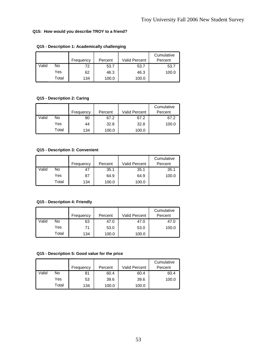### **Q15: How would you describe TROY to a friend?**

|       |       | Frequency | Percent | <b>Valid Percent</b> | Cumulative<br>Percent |
|-------|-------|-----------|---------|----------------------|-----------------------|
| Valid | No    | 72        | 53.7    | 53.7                 | 53.7                  |
|       | Yes   | 62        | 46.3    | 46.3                 | 100.0                 |
|       | Total | 134       | 100.0   | 100.0                |                       |

### **Q15 - Description 1: Academically challenging**

### **Q15 - Description 2: Caring**

|       |       | Frequency | Percent | <b>Valid Percent</b> | Cumulative<br>Percent |
|-------|-------|-----------|---------|----------------------|-----------------------|
| Valid | No    | 90        | 67.2    | 67.2                 | 67.2                  |
|       | Yes   | 44        | 32.8    | 32.8                 | 100.0                 |
|       | Total | 134       | 100.0   | 100.0                |                       |

### **Q15 - Description 3: Convenient**

|       |       | Frequency | Percent | <b>Valid Percent</b> | Cumulative<br>Percent |
|-------|-------|-----------|---------|----------------------|-----------------------|
| Valid | No    | 47        | 35.1    | 35.1                 | 35.1                  |
|       | Yes   | 87        | 64.9    | 64.9                 | 100.0                 |
|       | Total | 134       | 100.0   | 100.0                |                       |

### **Q15 - Description 4: Friendly**

|       |       |           |         |               | Cumulative |
|-------|-------|-----------|---------|---------------|------------|
|       |       | Frequency | Percent | Valid Percent | Percent    |
| Valid | No    | 63        | 47.0    | 47.0          | 47.0       |
|       | Yes   | 71        | 53.0    | 53.0          | 100.0      |
|       | Total | 134       | 100.0   | 100.0         |            |

### **Q15 - Description 5: Good value for the price**

|       |       | Frequency | Percent | <b>Valid Percent</b> | Cumulative<br>Percent |
|-------|-------|-----------|---------|----------------------|-----------------------|
| Valid | No    | 81        | 60.4    | 60.4                 | 60.4                  |
|       | Yes   | 53        | 39.6    | 39.6                 | 100.0                 |
|       | Total | 134       | 100.0   | 100.0                |                       |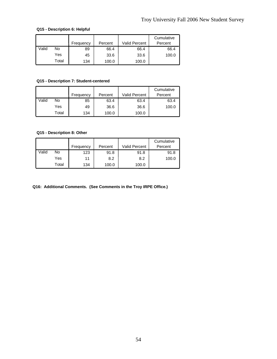### **Q15 - Description 6: Helpful**

|       |       |           |         |                      | Cumulative |
|-------|-------|-----------|---------|----------------------|------------|
|       |       | Frequency | Percent | <b>Valid Percent</b> | Percent    |
| Valid | No    | 89        | 66.4    | 66.4                 | 66.4       |
|       | Yes   | 45        | 33.6    | 33.6                 | 100.0      |
|       | Total | 134       | 100.0   | 100.0                |            |

### **Q15 - Description 7: Student-centered**

|       |       | Frequency | Percent | <b>Valid Percent</b> | Cumulative<br>Percent |
|-------|-------|-----------|---------|----------------------|-----------------------|
| Valid | No    | 85        | 63.4    | 63.4                 | 63.4                  |
|       | Yes   | 49        | 36.6    | 36.6                 | 100.0                 |
|       | Total | 134       | 100.0   | 100.0                |                       |

### **Q15 - Description 8: Other**

|       |       | Frequency | Percent | Valid Percent | Cumulative<br>Percent |
|-------|-------|-----------|---------|---------------|-----------------------|
| Valid | No    | 123       | 91.8    | 91.8          | 91.8                  |
|       | Yes   | 11        | 8.2     | 8.2           | 100.0                 |
|       | Total | 134       | 100.0   | 100.0         |                       |

**Q16: Additional Comments. (See Comments in the Troy IRPE Office.)**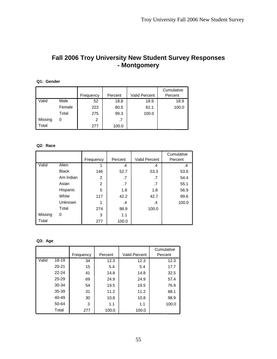## **Fall 2006 Troy University New Student Survey Responses - Montgomery**

### **Q1: Gender**

|         |        |           |         |                      | Cumulative |
|---------|--------|-----------|---------|----------------------|------------|
|         |        | Frequency | Percent | <b>Valid Percent</b> | Percent    |
| Valid   | Male   | 52        | 18.8    | 18.9                 | 18.9       |
|         | Female | 223       | 80.5    | 81.1                 | 100.0      |
|         | Total  | 275       | 99.3    | 100.0                |            |
| Missing | 0      | 2         | .7      |                      |            |
| Total   |        | 277       | 100.0   |                      |            |

### **Q2: Race**

|         |              |                |         |                      | Cumulative |
|---------|--------------|----------------|---------|----------------------|------------|
|         |              | Frequency      | Percent | <b>Valid Percent</b> | Percent    |
| Valid   | Alien        |                | $\cdot$ | .4                   | .4         |
|         | <b>Black</b> | 146            | 52.7    | 53.3                 | 53.6       |
|         | Am Indian    | 2              | .7      | .7                   | 54.4       |
|         | Asian        | $\overline{2}$ | .7      | .7                   | 55.1       |
|         | Hispanic     | 5              | 1.8     | 1.8                  | 56.9       |
|         | White        | 117            | 42.2    | 42.7                 | 99.6       |
|         | Unknown      |                | .4      | .4                   | 100.0      |
|         | Total        | 274            | 98.9    | 100.0                |            |
| Missing | 0            | 3              | 1.1     |                      |            |
| Total   |              | 277            | 100.0   |                      |            |

### **Q3: Age**

|       |           |           |         |                      | Cumulative |
|-------|-----------|-----------|---------|----------------------|------------|
|       |           | Frequency | Percent | <b>Valid Percent</b> | Percent    |
| Valid | 18-19     | 34        | 12.3    | 12.3                 | 12.3       |
|       | $20 - 21$ | 15        | 5.4     | 5.4                  | 17.7       |
|       | $22 - 24$ | 41        | 14.8    | 14.8                 | 32.5       |
|       | 25-29     | 69        | 24.9    | 24.9                 | 57.4       |
|       | 30-34     | 54        | 19.5    | 19.5                 | 76.9       |
|       | 35-39     | 31        | 11.2    | 11.2                 | 88.1       |
|       | 40-49     | 30        | 10.8    | 10.8                 | 98.9       |
|       | 50-64     | 3         | 1.1     | 1.1                  | 100.0      |
|       | Total     | 277       | 100.0   | 100.0                |            |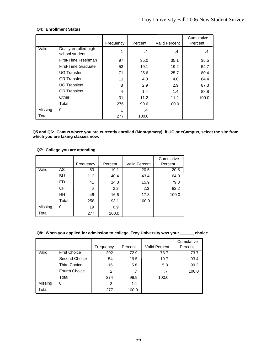### **Q4: Enrollment Status**

|         |                                        | Frequency | Percent | <b>Valid Percent</b> | Cumulative<br>Percent |
|---------|----------------------------------------|-----------|---------|----------------------|-----------------------|
| Valid   | Dually-enrolled high<br>school student |           | $\cdot$ | .4                   | .4                    |
|         | First-Time Freshman                    | 97        | 35.0    | 35.1                 | 35.5                  |
|         | First-Time Graduate                    | 53        | 19.1    | 19.2                 | 54.7                  |
|         | <b>UG Transfer</b>                     | 71        | 25.6    | 25.7                 | 80.4                  |
|         | <b>GR</b> Transfer                     | 11        | 4.0     | 4.0                  | 84.4                  |
|         | <b>UG Transient</b>                    | 8         | 2.9     | 2.9                  | 87.3                  |
|         | <b>GR Transient</b>                    | 4         | 1.4     | 1.4                  | 88.8                  |
|         | Other                                  | 31        | 11.2    | 11.2                 | 100.0                 |
|         | Total                                  | 276       | 99.6    | 100.0                |                       |
| Missing | 0                                      |           | .4      |                      |                       |
| Total   |                                        | 277       | 100.0   |                      |                       |

**Q5 and Q6: Camus where you are currently enrolled (Montgomery); if UC or eCampus, select the site from which you are taking classes now.** 

### **Q7: College you are attending**

|         |           |           |         |                      | Cumulative |
|---------|-----------|-----------|---------|----------------------|------------|
|         |           | Frequency | Percent | <b>Valid Percent</b> | Percent    |
| Valid   | AS        | 53        | 19.1    | 20.5                 | 20.5       |
|         | BU        | 112       | 40.4    | 43.4                 | 64.0       |
|         | ED.       | 41        | 14.8    | 15.9                 | 79.8       |
|         | <b>CF</b> | 6         | 2.2     | 2.3                  | 82.2       |
|         | HΗ        | 46        | 16.6    | 17.8                 | 100.0      |
|         | Total     | 258       | 93.1    | 100.0                |            |
| Missing | 0         | 19        | 6.9     |                      |            |
| Total   |           | 277       | 100.0   |                      |            |

### **Q8: When you applied for admission to college, Troy University was your \_\_\_\_\_\_ choice**

|         |                      |           |         |               | Cumulative |
|---------|----------------------|-----------|---------|---------------|------------|
|         |                      | Frequency | Percent | Valid Percent | Percent    |
| Valid   | <b>First Choice</b>  | 202       | 72.9    | 73.7          | 73.7       |
|         | Second Choice        | 54        | 19.5    | 19.7          | 93.4       |
|         | <b>Third Choice</b>  | 16        | 5.8     | 5.8           | 99.3       |
|         | <b>Fourth Choice</b> |           | .7      | .7            | 100.0      |
|         | Total                | 274       | 98.9    | 100.0         |            |
| Missing | 0                    | 3         | 1.1     |               |            |
| Total   |                      | 277       | 100.0   |               |            |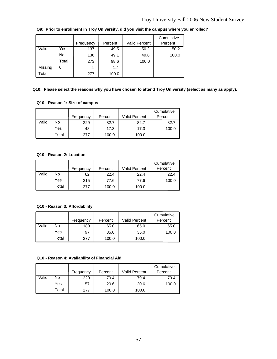|         |       | Frequency | Percent | <b>Valid Percent</b> | Cumulative<br>Percent |
|---------|-------|-----------|---------|----------------------|-----------------------|
| Valid   | Yes   | 137       | 49.5    | 50.2                 | 50.2                  |
|         | No.   | 136       | 49.1    | 49.8                 | 100.0                 |
|         | Total | 273       | 98.6    | 100.0                |                       |
| Missing | 0     | 4         | 1.4     |                      |                       |
| Total   |       | 277       | 100.0   |                      |                       |

**Q9: Prior to enrollment in Troy University, did you visit the campus where you enrolled?**

### **Q10: Please select the reasons why you have chosen to attend Troy University (select as many as apply).**

### **Q10 - Reason 1: Size of campus**

|       |       | Frequency | Percent | <b>Valid Percent</b> | Cumulative<br>Percent |
|-------|-------|-----------|---------|----------------------|-----------------------|
| Valid | No    | 229       | 82.7    | 82.7                 | 82.7                  |
|       | Yes   | 48        | 17.3    | 17.3                 | 100.0                 |
|       | Total | 277       | 100.0   | 100.0                |                       |

### **Q10 - Reason 2: Location**

|       |       |           |         |                      | Cumulative |
|-------|-------|-----------|---------|----------------------|------------|
|       |       | Frequency | Percent | <b>Valid Percent</b> | Percent    |
| Valid | No    | 62        | 22.4    | 22.4                 | 22.4       |
|       | Yes   | 215       | 77.6    | 77.6                 | 100.0      |
|       | Total | 277       | 100.0   | 100.0                |            |

### **Q10 - Reason 3: Affordability**

|       |       | Frequency | Percent | Valid Percent | Cumulative<br>Percent |
|-------|-------|-----------|---------|---------------|-----------------------|
| Valid | No    | 180       | 65.0    | 65.0          | 65.0                  |
|       | Yes   | 97        | 35.0    | 35.0          | 100.0                 |
|       | Total | 277       | 100.0   | 100.0         |                       |

#### **Q10 - Reason 4: Availability of Financial Aid**

|       |       |           |         |                      | Cumulative |
|-------|-------|-----------|---------|----------------------|------------|
|       |       | Frequency | Percent | <b>Valid Percent</b> | Percent    |
| Valid | No    | 220       | 79.4    | 79.4                 | 79.4       |
|       | Yes   | 57        | 20.6    | 20.6                 | 100.0      |
|       | Total | 277       | 100.0   | 100.0                |            |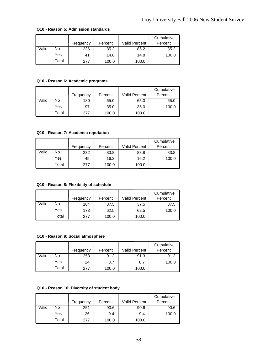|       |       | Frequency | Percent | Valid Percent | Cumulative<br>Percent |
|-------|-------|-----------|---------|---------------|-----------------------|
| Valid | No    | 236       | 85.2    | 85.2          | 85.2                  |
|       | Yes   | 41        | 14.8    | 14.8          | 100.0                 |
|       | Total | 277       | 100.0   | 100.0         |                       |

#### **Q10 - Reason 5: Admission standards**

### **Q10 - Reason 6: Academic programs**

|       |       | Frequency | Percent | <b>Valid Percent</b> | Cumulative<br>Percent |
|-------|-------|-----------|---------|----------------------|-----------------------|
| Valid | No    | 180       | 65.0    | 65.0                 | 65.0                  |
|       | Yes   | 97        | 35.0    | 35.0                 | 100.0                 |
|       | Total | 277       | 100.0   | 100.0                |                       |

### **Q10 - Reason 7: Academic reputation**

|       |       |           |         |                      | Cumulative |
|-------|-------|-----------|---------|----------------------|------------|
|       |       | Frequency | Percent | <b>Valid Percent</b> | Percent    |
| Valid | No    | 232       | 83.8    | 83.8                 | 83.8       |
|       | Yes   | 45        | 16.2    | 16.2                 | 100.0      |
|       | Total | 277       | 100.0   | 100.0                |            |

### **Q10 - Reason 8: Flexibility of schedule**

|       |       | Frequency | Percent | <b>Valid Percent</b> | Cumulative<br>Percent |
|-------|-------|-----------|---------|----------------------|-----------------------|
| Valid | No    | 104       | 37.5    | 37.5                 | 37.5                  |
|       | Yes   | 173       | 62.5    | 62.5                 | 100.0                 |
|       | Total | 277       | 100.0   | 100.0                |                       |

#### **Q10 - Reason 9: Social atmosphere**

|       |       | Frequency | Percent | <b>Valid Percent</b> | Cumulative<br>Percent |
|-------|-------|-----------|---------|----------------------|-----------------------|
| Valid | No    | 253       | 91.3    | 91.3                 | 91.3                  |
|       | Yes   | 24        | 8.7     | 8.7                  | 100.0                 |
|       | Total | 277       | 100.0   | 100.0                |                       |

#### **Q10 - Reason 10: Diversity of student body**

|       |       | Frequency | Percent | <b>Valid Percent</b> | Cumulative<br>Percent |
|-------|-------|-----------|---------|----------------------|-----------------------|
| Valid | No    | 251       | 90.6    | 90.6                 | 90.6                  |
|       | Yes   | 26        | 9.4     | 9.4                  | 100.0                 |
|       | Total | 277       | 100.0   | 100.0                |                       |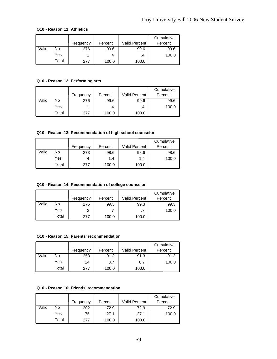### **Q10 - Reason 11: Athletics**

|       |       |           |         |                      | Cumulative |
|-------|-------|-----------|---------|----------------------|------------|
|       |       | Frequency | Percent | <b>Valid Percent</b> | Percent    |
| Valid | No    | 276       | 99.6    | 99.6                 | 99.6       |
|       | Yes   |           | .4      | .4                   | 100.0      |
|       | Total | 277       | 100.0   | 100.0                |            |

### **Q10 - Reason 12: Performing arts**

|       |       | Frequency | Percent | <b>Valid Percent</b> | Cumulative<br>Percent |
|-------|-------|-----------|---------|----------------------|-----------------------|
| Valid | No    | 276       | 99.6    | 99.6                 | 99.6                  |
|       | Yes   |           | .4      | .4                   | 100.0                 |
|       | Total | 277       | 100.0   | 100.0                |                       |

#### **Q10 - Reason 13: Recommendation of high school counselor**

|       |       |           |         |                      | Cumulative |
|-------|-------|-----------|---------|----------------------|------------|
|       |       | Frequency | Percent | <b>Valid Percent</b> | Percent    |
| Valid | No    | 273       | 98.6    | 98.6                 | 98.6       |
|       | Yes   |           | 1.4     | 1.4                  | 100.0      |
|       | Total | 277       | 100.0   | 100.0                |            |

### **Q10 - Reason 14: Recommendation of college counselor**

|       |       | Frequency | Percent | Valid Percent | Cumulative<br>Percent |
|-------|-------|-----------|---------|---------------|-----------------------|
|       |       |           |         |               |                       |
| Valid | No    | 275       | 99.3    | 99.3          | 99.3                  |
|       | Yes   |           | .7      |               | 100.0                 |
|       | Total | 277       | 100.0   | 100.0         |                       |

#### **Q10 - Reason 15: Parents' recommendation**

|       |       | Frequency | Percent | <b>Valid Percent</b> | Cumulative<br>Percent |
|-------|-------|-----------|---------|----------------------|-----------------------|
| Valid | No    | 253       | 91.3    | 91.3                 | 91.3                  |
|       | Yes   | 24        | 8.7     | 8.7                  | 100.0                 |
|       | Total | 277       | 100.0   | 100.0                |                       |

### **Q10 - Reason 16: Friends' recommendation**

|       |       |           | Percent | <b>Valid Percent</b> | Cumulative<br>Percent |
|-------|-------|-----------|---------|----------------------|-----------------------|
|       |       | Frequency |         |                      |                       |
| Valid | No    | 202       | 72.9    | 72.9                 | 72.9                  |
|       | Yes   | 75        | 27.1    | 27.1                 | 100.0                 |
|       | Total | 277       | 100.0   | 100.0                |                       |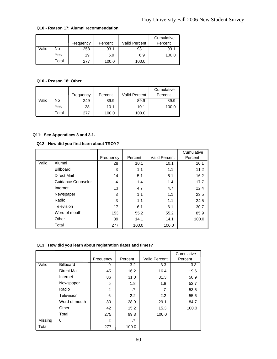|       |       | Frequency | Percent | Valid Percent | Cumulative<br>Percent |
|-------|-------|-----------|---------|---------------|-----------------------|
| Valid | No    | 258       | 93.1    | 93.1          | 93.1                  |
|       | Yes   | 19        | 6.9     | 6.9           | 100.0                 |
|       | Total | 277       | 100.0   | 100.0         |                       |

#### **Q10 - Reason 17: Alumni recommendation**

### **Q10 - Reason 18: Other**

|       |       | Frequency | Percent | <b>Valid Percent</b> | Cumulative<br>Percent |
|-------|-------|-----------|---------|----------------------|-----------------------|
| Valid | No    | 249       | 89.9    | 89.9                 | 89.9                  |
|       | Yes   | 28        | 10.1    | 10.1                 | 100.0                 |
|       | Total | 277       | 100.0   | 100.0                |                       |

### **Q11: See Appendices 3 and 3.1.**

#### **Q12: How did you first learn about TROY?**

|       |                    |           |         | Valid Percent | Cumulative |
|-------|--------------------|-----------|---------|---------------|------------|
|       |                    | Frequency | Percent |               | Percent    |
| Valid | Alumni             | 28        | 10.1    | 10.1          | 10.1       |
|       | <b>Billboard</b>   | 3         | 1.1     | 1.1           | 11.2       |
|       | Direct Mail        | 14        | 5.1     | 5.1           | 16.2       |
|       | Guidance Counselor | 4         | 1.4     | 1.4           | 17.7       |
|       | Internet           | 13        | 4.7     | 4.7           | 22.4       |
|       | Newspaper          | 3         | 1.1     | 1.1           | 23.5       |
|       | Radio              | 3         | 1.1     | 1.1           | 24.5       |
|       | Television         | 17        | 6.1     | 6.1           | 30.7       |
|       | Word of mouth      | 153       | 55.2    | 55.2          | 85.9       |
|       | Other              | 39        | 14.1    | 14.1          | 100.0      |
|       | Total              | 277       | 100.0   | 100.0         |            |

### **Q13: How did you learn about registration dates and times?**

|         |                  |           |         |                      | Cumulative       |
|---------|------------------|-----------|---------|----------------------|------------------|
|         |                  | Frequency | Percent | <b>Valid Percent</b> | Percent          |
| Valid   | <b>Billboard</b> | 9         | 3.2     | 3.3                  | 3.3 <sub>2</sub> |
|         | Direct Mail      | 45        | 16.2    | 16.4                 | 19.6             |
|         | Internet         | 86        | 31.0    | 31.3                 | 50.9             |
|         | Newspaper        | 5         | 1.8     | 1.8                  | 52.7             |
|         | Radio            | 2         | .7      | .7                   | 53.5             |
|         | Television       | 6         | 2.2     | 2.2                  | 55.6             |
|         | Word of mouth    | 80        | 28.9    | 29.1                 | 84.7             |
|         | Other            | 42        | 15.2    | 15.3                 | 100.0            |
|         | Total            | 275       | 99.3    | 100.0                |                  |
| Missing | 0                | 2         | .7      |                      |                  |
| Total   |                  | 277       | 100.0   |                      |                  |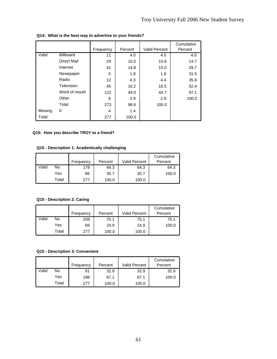|         |                  | Frequency | Percent | Valid Percent | Cumulative<br>Percent |
|---------|------------------|-----------|---------|---------------|-----------------------|
| Valid   | <b>Billboard</b> | 11        | 4.0     | 4.0           | 4.0                   |
|         | Direct Mail      | 29        | 10.5    | 10.6          | 14.7                  |
|         | Internet         | 41        | 14.8    | 15.0          | 29.7                  |
|         | Newspaper        | 5         | 1.8     | 1.8           | 31.5                  |
|         | Radio            | 12        | 4.3     | 4.4           | 35.9                  |
|         | Television       | 45        | 16.2    | 16.5          | 52.4                  |
|         | Word of mouth    | 122       | 44.0    | 44.7          | 97.1                  |
|         | Other            | 8         | 2.9     | 2.9           | 100.0                 |
|         | Total            | 273       | 98.6    | 100.0         |                       |
| Missing | 0                | 4         | 1.4     |               |                       |
| Total   |                  | 277       | 100.0   |               |                       |

### **Q14: What is the best way to advertise to your friends?**

### **Q15: How you describe TROY to a friend?**

### **Q15 - Description 1: Academically challenging**

|       |       | Frequency | Percent | <b>Valid Percent</b> | Cumulative<br>Percent |
|-------|-------|-----------|---------|----------------------|-----------------------|
| Valid | No    | 178       | 64.3    | 64.3                 | 64.3                  |
|       | Yes   | 99        | 35.7    | 35.7                 | 100.0                 |
|       | Total | 277       | 100.0   | 100.0                |                       |

### **Q15 - Description 2: Caring**

|       |       | Frequency | Percent | <b>Valid Percent</b> | Cumulative<br>Percent |
|-------|-------|-----------|---------|----------------------|-----------------------|
| Valid | No    | 208       | 75.1    | 75.1                 | 75.1                  |
|       | Yes   | 69        | 24.9    | 24.9                 | 100.0                 |
|       | Total | 277       | 100.0   | 100.0                |                       |

#### **Q15 - Description 3: Convenient**

|       |       | Frequency | Percent | <b>Valid Percent</b> | Cumulative<br>Percent |
|-------|-------|-----------|---------|----------------------|-----------------------|
| Valid | No    | 91        | 32.9    | 32.9                 | 32.9                  |
|       | Yes   | 186       | 67.1    | 67.1                 | 100.0                 |
|       | Total | 277       | 100.0   | 100.0                |                       |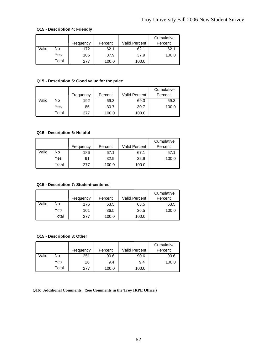### **Q15 - Description 4: Friendly**

|       |       |           |         |                      | Cumulative |
|-------|-------|-----------|---------|----------------------|------------|
|       |       | Frequency | Percent | <b>Valid Percent</b> | Percent    |
| Valid | No    | 172       | 62.1    | 62.1                 | 62.1       |
|       | Yes   | 105       | 37.9    | 37.9                 | 100.0      |
|       | Total | 277       | 100.0   | 100.0                |            |

### **Q15 - Description 5: Good value for the price**

|       |       | Frequency | Percent | <b>Valid Percent</b> | Cumulative<br>Percent |
|-------|-------|-----------|---------|----------------------|-----------------------|
| Valid | No    | 192       | 69.3    | 69.3                 | 69.3                  |
|       | Yes   | 85        | 30.7    | 30.7                 | 100.0                 |
|       | Total | 277       | 100.0   | 100.0                |                       |

### **Q15 - Description 6: Helpful**

|       |       | Frequency | Percent | <b>Valid Percent</b> | Cumulative<br>Percent |
|-------|-------|-----------|---------|----------------------|-----------------------|
| Valid | No    | 186       | 67.1    | 67.1                 | 67.1                  |
|       | Yes   | 91        | 32.9    | 32.9                 | 100.0                 |
|       | Total | 277       | 100.0   | 100.0                |                       |

### **Q15 - Description 7: Student-centered**

|       |       | Frequency | Percent | <b>Valid Percent</b> | Cumulative<br>Percent |
|-------|-------|-----------|---------|----------------------|-----------------------|
| Valid | No    | 176       | 63.5    | 63.5                 | 63.5                  |
|       | Yes   | 101       | 36.5    | 36.5                 | 100.0                 |
|       | Total | 277       | 100.0   | 100.0                |                       |

#### **Q15 - Description 8: Other**

|       |       | Frequency | Percent | <b>Valid Percent</b> | Cumulative<br>Percent |
|-------|-------|-----------|---------|----------------------|-----------------------|
| Valid | No    | 251       | 90.6    | 90.6                 | 90.6                  |
|       | Yes   | 26        | 9.4     | 9.4                  | 100.0                 |
|       | Total | 277       | 100.0   | 100.0                |                       |

**Q16: Additional Comments. (See Comments in the Troy IRPE Office.)**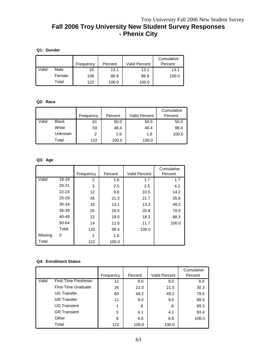# **Fall 2006 Troy University New Student Survey Responses - Phenix City**

### **Q1: Gender**

|       |        | Frequency | Percent | <b>Valid Percent</b> | Cumulative<br>Percent |
|-------|--------|-----------|---------|----------------------|-----------------------|
| Valid | Male   | 16        | 13.1    | 13.1                 | 13.1                  |
|       | Female | 106       | 86.9    | 86.9                 | 100.0                 |
|       | Total  | 122       | 100.0   | 100.0                |                       |

### **Q2: Race**

|       |                |           |         |               | Cumulative |
|-------|----------------|-----------|---------|---------------|------------|
|       |                | Frequency | Percent | Valid Percent | Percent    |
| Valid | <b>Black</b>   | 61        | 50.0    | 50.0          | 50.0       |
|       | White          | 59        | 48.4    | 48.4          | 98.4       |
|       | <b>Unknown</b> | 2         | 1.6     | 1.6           | 100.0      |
|       | Total          | 122       | 100.0   | 100.0         |            |

### **Q3: Age**

|         |           |           |         |                      | Cumulative |
|---------|-----------|-----------|---------|----------------------|------------|
|         |           | Frequency | Percent | <b>Valid Percent</b> | Percent    |
| Valid   | 18-19     | 2         | 1.6     | 1.7                  | 1.7        |
|         | $20 - 21$ | 3         | 2.5     | 2.5                  | 4.2        |
|         | $22 - 24$ | 12        | 9.8     | 10.0                 | 14.2       |
|         | $25 - 29$ | 26        | 21.3    | 21.7                 | 35.8       |
|         | 30-34     | 16        | 13.1    | 13.3                 | 49.2       |
|         | 35-39     | 25        | 20.5    | 20.8                 | 70.0       |
|         | 40-49     | 22        | 18.0    | 18.3                 | 88.3       |
|         | 50-64     | 14        | 11.5    | 11.7                 | 100.0      |
|         | Total     | 120       | 98.4    | 100.0                |            |
| Missing | 0         | 2         | 1.6     |                      |            |
| Total   |           | 122       | 100.0   |                      |            |

### **Q4: Enrollment Status**

|       |                            |           |         |               | Cumulative |
|-------|----------------------------|-----------|---------|---------------|------------|
|       |                            | Frequency | Percent | Valid Percent | Percent    |
| Valid | First-Time Freshman        | 11        | 9.0     | 9.0           | 9.0        |
|       | <b>First-Time Graduate</b> | 26        | 21.3    | 21.3          | 30.3       |
|       | <b>UG Transfer</b>         | 60        | 49.2    | 49.2          | 79.5       |
|       | <b>GR</b> Transfer         | 11        | 9.0     | 9.0           | 88.5       |
|       | <b>UG Transient</b>        | 1         | .8      | .8            | 89.3       |
|       | <b>GR Transient</b>        | 5         | 4.1     | 4.1           | 93.4       |
|       | Other                      | 8         | 6.6     | 6.6           | 100.0      |
|       | Total                      | 122       | 100.0   | 100.0         |            |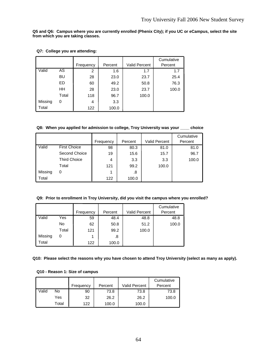**Q5 and Q6: Campus where you are currently enrolled (Phenix City); if you UC or eCampus, select the site from which you are taking classes.** 

|         |       |           |         |                      | Cumulative |
|---------|-------|-----------|---------|----------------------|------------|
|         |       | Frequency | Percent | <b>Valid Percent</b> | Percent    |
| Valid   | AS    | 2         | 1.6     | 1.7                  | 1.7        |
|         | BU    | 28        | 23.0    | 23.7                 | 25.4       |
|         | ED.   | 60        | 49.2    | 50.8                 | 76.3       |
|         | HΗ    | 28        | 23.0    | 23.7                 | 100.0      |
|         | Total | 118       | 96.7    | 100.0                |            |
| Missing | 0     | 4         | 3.3     |                      |            |
| Total   |       | 122       | 100.0   |                      |            |

### **Q7: College you are attending:**

**Q8: When you applied for admission to college, Troy University was your \_\_\_\_ choice**

|         |                     | Frequency | Percent | <b>Valid Percent</b> | Cumulative<br>Percent |
|---------|---------------------|-----------|---------|----------------------|-----------------------|
| Valid   | <b>First Choice</b> | 98        | 80.3    | 81.0                 | 81.0                  |
|         | Second Choice       | 19        | 15.6    | 15.7                 | 96.7                  |
|         | <b>Third Choice</b> | 4         | 3.3     | 3.3                  | 100.0                 |
|         | Total               | 121       | 99.2    | 100.0                |                       |
| Missing | 0                   | 1         | .8      |                      |                       |
| Total   |                     | 122       | 100.0   |                      |                       |

### **Q9: Prior to enrollment in Troy University, did you visit the campus where you enrolled?**

|         |       |           |         |                      | Cumulative |
|---------|-------|-----------|---------|----------------------|------------|
|         |       | Frequency | Percent | <b>Valid Percent</b> | Percent    |
| Valid   | Yes   | 59        | 48.4    | 48.8                 | 48.8       |
|         | No    | 62        | 50.8    | 51.2                 | 100.0      |
|         | Total | 121       | 99.2    | 100.0                |            |
| Missing | 0     |           | .8      |                      |            |
| Total   |       | 122       | 100.0   |                      |            |

#### **Q10: Please select the reasons why you have chosen to attend Troy University (select as many as apply).**

### **Q10 - Reason 1: Size of campus**

|       |       |           |         |                      | Cumulative |
|-------|-------|-----------|---------|----------------------|------------|
|       |       | Frequency | Percent | <b>Valid Percent</b> | Percent    |
| Valid | No    | 90        | 73.8    | 73.8                 | 73.8       |
|       | Yes   | 32        | 26.2    | 26.2                 | 100.0      |
|       | Total | 122       | 100.0   | 100.0                |            |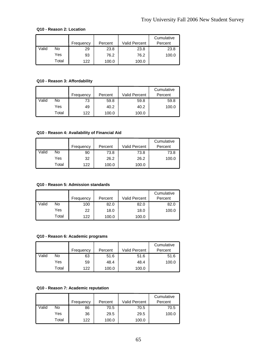#### **Q10 - Reason 2: Location**

|       |       | Frequency | Percent | <b>Valid Percent</b> | Cumulative<br>Percent |
|-------|-------|-----------|---------|----------------------|-----------------------|
| Valid | No    | 29        | 23.8    | 23.8                 | 23.8                  |
|       | Yes   | 93        | 76.2    | 76.2                 | 100.0                 |
|       | Total | 122       | 100.0   | 100.0                |                       |

**Q10 - Reason 3: Affordability**

|       |       |           |         |                      | Cumulative |
|-------|-------|-----------|---------|----------------------|------------|
|       |       | Frequency | Percent | <b>Valid Percent</b> | Percent    |
| Valid | No    | 73        | 59.8    | 59.8                 | 59.8       |
|       | Yes   | 49        | 40.2    | 40.2                 | 100.0      |
|       | Total | 122       | 100.0   | 100.0                |            |

### **Q10 - Reason 4: Availability of Financial Aid**

|       |       |           | Percent | <b>Valid Percent</b> | Cumulative<br>Percent |
|-------|-------|-----------|---------|----------------------|-----------------------|
|       |       | Frequency |         |                      |                       |
| Valid | No    | 90        | 73.8    | 73.8                 | 73.8                  |
|       | Yes   | 32        | 26.2    | 26.2                 | 100.0                 |
|       | Total | 122       | 100.0   | 100.0                |                       |

### **Q10 - Reason 5: Admission standards**

|       |       |           |         |                      | Cumulative |
|-------|-------|-----------|---------|----------------------|------------|
|       |       | Frequency | Percent | <b>Valid Percent</b> | Percent    |
| Valid | No    | 100       | 82.0    | 82.0                 | 82.0       |
|       | Yes   | 22        | 18.0    | 18.0                 | 100.0      |
|       | Total | 122       | 100.0   | 100.0                |            |

#### **Q10 - Reason 6: Academic programs**

|       |       | Frequency | Percent | <b>Valid Percent</b> | Cumulative<br>Percent |
|-------|-------|-----------|---------|----------------------|-----------------------|
| Valid | No.   | 63        | 51.6    | 51.6                 | 51.6                  |
|       | Yes   | 59        | 48.4    | 48.4                 | 100.0                 |
|       | Total | 122       | 100.0   | 100.0                |                       |

### **Q10 - Reason 7: Academic reputation**

|       |       | Frequency | Percent | Valid Percent | Cumulative<br>Percent |
|-------|-------|-----------|---------|---------------|-----------------------|
| Valid | No    | 86        | 70.5    | 70.5          | 70.5                  |
|       | Yes   | 36        | 29.5    | 29.5          | 100.0                 |
|       | Total | 122       | 100.0   | 100.0         |                       |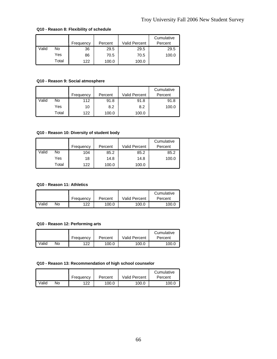|       |       | Frequency | Percent | Valid Percent | Cumulative<br>Percent |
|-------|-------|-----------|---------|---------------|-----------------------|
| Valid | No    | 36        | 29.5    | 29.5          | 29.5                  |
|       | Yes   | 86        | 70.5    | 70.5          | 100.0                 |
|       | Total | 122       | 100.0   | 100.0         |                       |

### **Q10 - Reason 8: Flexibility of schedule**

### **Q10 - Reason 9: Social atmosphere**

|       |       | Frequency | Percent | <b>Valid Percent</b> | Cumulative<br>Percent |
|-------|-------|-----------|---------|----------------------|-----------------------|
| Valid | No    | 112       | 91.8    | 91.8                 | 91.8                  |
|       | Yes   | 10        | 8.2     | 8.2                  | 100.0                 |
|       | Total | 122       | 100.0   | 100.0                |                       |

### **Q10 - Reason 10: Diversity of student body**

|       |       |           |         |                      | Cumulative |
|-------|-------|-----------|---------|----------------------|------------|
|       |       | Frequency | Percent | <b>Valid Percent</b> | Percent    |
| Valid | No    | 104       | 85.2    | 85.2                 | 85.2       |
|       | Yes   | 18        | 14.8    | 14.8                 | 100.0      |
|       | Total | 122       | 100.0   | 100.0                |            |

### **Q10 - Reason 11: Athletics**

|       |    |           |         |                      | Cumulative |
|-------|----|-----------|---------|----------------------|------------|
|       |    | Frequency | Percent | <b>Valid Percent</b> | Percent    |
| Valid | No | 122       | 100.0   | 100.0                | 100.0      |

### **Q10 - Reason 12: Performing arts**

|       |    |           |         |                      | Cumulative |
|-------|----|-----------|---------|----------------------|------------|
|       |    | Frequency | Percent | <b>Valid Percent</b> | Percent    |
| Valid | No | 122       | 100.0   | 100.0                | 100.0      |

#### **Q10 - Reason 13: Recommendation of high school counselor**

|       |    |           |         |                      | Cumulative |
|-------|----|-----------|---------|----------------------|------------|
|       |    | Frequency | Percent | <b>Valid Percent</b> | Percent    |
| Valid | No | 122       | 100.0   | 100.0                | 100.0      |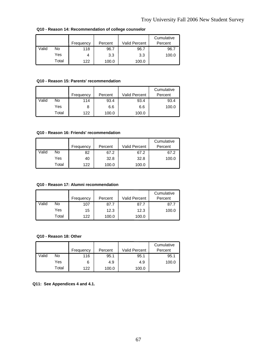|       |       |           |         |               | Cumulative |
|-------|-------|-----------|---------|---------------|------------|
|       |       | Frequency | Percent | Valid Percent | Percent    |
| Valid | No    | 118       | 96.7    | 96.7          | 96.7       |
|       | Yes   |           | 3.3     | 3.3           | 100.0      |
|       | Total | 122       | 100.0   | 100.0         |            |

**Q10 - Reason 14: Recommendation of college counselor**

### **Q10 - Reason 15: Parents' recommendation**

|       |       | Frequency | Percent | Valid Percent | Cumulative<br>Percent |
|-------|-------|-----------|---------|---------------|-----------------------|
| Valid | No    | 114       | 93.4    | 93.4          | 93.4                  |
|       | Yes   |           | 6.6     | 6.6           | 100.0                 |
|       | Total | 122       | 100.0   | 100.0         |                       |

### **Q10 - Reason 16: Friends' recommendation**

|       |       | Frequency | Percent | <b>Valid Percent</b> | Cumulative<br>Percent |
|-------|-------|-----------|---------|----------------------|-----------------------|
| Valid | No    | 82        | 67.2    | 67.2                 | 67.2                  |
|       | Yes   | 40        | 32.8    | 32.8                 | 100.0                 |
|       | Total | 122       | 100.0   | 100.0                |                       |

### **Q10 - Reason 17: Alumni recommendation**

|       |       | Frequency | Percent | <b>Valid Percent</b> | Cumulative<br>Percent |
|-------|-------|-----------|---------|----------------------|-----------------------|
| Valid | No    | 107       | 87.7    | 87.7                 | 87.7                  |
|       | Yes   | 15        | 12.3    | 12.3                 | 100.0                 |
|       | Total | 122       | 100.0   | 100.0                |                       |

#### **Q10 - Reason 18: Other**

|       |       |           | Percent | Valid Percent | Cumulative<br>Percent |
|-------|-------|-----------|---------|---------------|-----------------------|
|       |       | Frequency |         |               |                       |
| Valid | No    | 116       | 95.1    | 95.1          | 95.1                  |
|       | Yes   | 6         | 4.9     | 4.9           | 100.0                 |
|       | Total | 122       | 100.0   | 100.0         |                       |

**Q11: See Appendices 4 and 4.1.**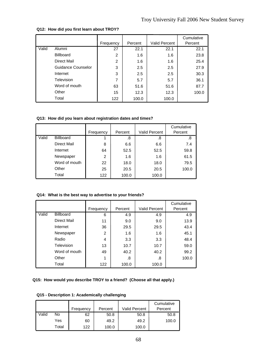|       |                    | Frequency | Percent | <b>Valid Percent</b> | Cumulative<br>Percent |
|-------|--------------------|-----------|---------|----------------------|-----------------------|
| Valid | Alumni             | 27        | 22.1    | 22.1                 | 22.1                  |
|       | <b>Billboard</b>   | 2         | 1.6     | 1.6                  | 23.8                  |
|       | Direct Mail        | 2         | 1.6     | 1.6                  | 25.4                  |
|       | Guidance Counselor | 3         | 2.5     | 2.5                  | 27.9                  |
|       | Internet           | 3         | 2.5     | 2.5                  | 30.3                  |
|       | Television         | 7         | 5.7     | 5.7                  | 36.1                  |
|       | Word of mouth      | 63        | 51.6    | 51.6                 | 87.7                  |
|       | Other              | 15        | 12.3    | 12.3                 | 100.0                 |
|       | Total              | 122       | 100.0   | 100.0                |                       |

#### **Q12: How did you first learn about TROY?**

### **Q13: How did you learn about registration dates and times?**

|       |                    | Frequency | Percent | <b>Valid Percent</b> | Cumulative<br>Percent |
|-------|--------------------|-----------|---------|----------------------|-----------------------|
| Valid | <b>Billboard</b>   |           | .8      | .8                   | .8                    |
|       | <b>Direct Mail</b> | 8         | 6.6     | 6.6                  | 7.4                   |
|       | Internet           | 64        | 52.5    | 52.5                 | 59.8                  |
|       | Newspaper          | 2         | 1.6     | 1.6                  | 61.5                  |
|       | Word of mouth      | 22        | 18.0    | 18.0                 | 79.5                  |
|       | Other              | 25        | 20.5    | 20.5                 | 100.0                 |
|       | Total              | 122       | 100.0   | 100.0                |                       |

### **Q14: What is the best way to advertise to your friends?**

|       |                  | Frequency | Percent | <b>Valid Percent</b> | Cumulative<br>Percent |
|-------|------------------|-----------|---------|----------------------|-----------------------|
|       |                  |           |         |                      |                       |
| Valid | <b>Billboard</b> | 6         | 4.9     | 4.9                  | 4.9                   |
|       | Direct Mail      | 11        | 9.0     | 9.0                  | 13.9                  |
|       | Internet         | 36        | 29.5    | 29.5                 | 43.4                  |
|       | Newspaper        | 2         | 1.6     | 1.6                  | 45.1                  |
|       | Radio            | 4         | 3.3     | 3.3                  | 48.4                  |
|       | Television       | 13        | 10.7    | 10.7                 | 59.0                  |
|       | Word of mouth    | 49        | 40.2    | 40.2                 | 99.2                  |
|       | Other            | 1         | .8      | .8                   | 100.0                 |
|       | Total            | 122       | 100.0   | 100.0                |                       |

### **Q15: How would you describe TROY to a friend? (Choose all that apply.)**

### **Q15 - Description 1: Academically challenging**

|       |       | Frequency | Percent | <b>Valid Percent</b> | Cumulative<br>Percent |
|-------|-------|-----------|---------|----------------------|-----------------------|
| Valid | No    | 62        | 50.8    | 50.8                 | 50.8                  |
|       | Yes   | 60        | 49.2    | 49.2                 | 100.0                 |
|       | Total | 122       | 100.0   | 100.0                |                       |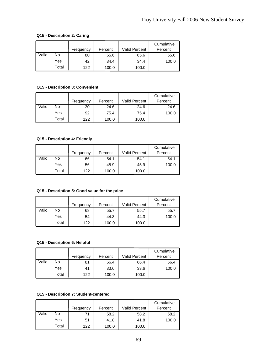### **Q15 - Description 2: Caring**

|       |       | Frequency | Percent | Valid Percent | Cumulative<br>Percent |
|-------|-------|-----------|---------|---------------|-----------------------|
| Valid | No    | 80        | 65.6    | 65.6          | 65.6                  |
|       | Yes   | 42        | 34.4    | 34.4          | 100.0                 |
|       | Total | 122       | 100.0   | 100.0         |                       |

### **Q15 - Description 3: Convenient**

|       |       | Frequency | Percent | Valid Percent | Cumulative<br>Percent |
|-------|-------|-----------|---------|---------------|-----------------------|
| Valid | No    | 30        | 24.6    | 24.6          | 24.6                  |
|       | Yes   | 92        | 75.4    | 75.4          | 100.0                 |
|       | Total | 122       | 100.0   | 100.0         |                       |

#### **Q15 - Description 4: Friendly**

|       |       |           |         |               | Cumulative |
|-------|-------|-----------|---------|---------------|------------|
|       |       | Frequency | Percent | Valid Percent | Percent    |
| Valid | No    | 66        | 54.1    | 54.1          | 54.1       |
|       | Yes   | 56        | 45.9    | 45.9          | 100.0      |
|       | Total | 122       | 100.0   | 100.0         |            |

### **Q15 - Description 5: Good value for the price**

|       |       | Frequency | Percent | Valid Percent | Cumulative<br>Percent |
|-------|-------|-----------|---------|---------------|-----------------------|
| Valid | No    | 68        | 55.7    | 55.7          | 55.7                  |
|       | Yes   | 54        | 44.3    | 44.3          | 100.0                 |
|       | Total | 122       | 100.0   | 100.0         |                       |

#### **Q15 - Description 6: Helpful**

|       |       | Frequency | Percent | <b>Valid Percent</b> | Cumulative<br>Percent |
|-------|-------|-----------|---------|----------------------|-----------------------|
| Valid | No    | 81        | 66.4    | 66.4                 | 66.4                  |
|       | Yes   | 41        | 33.6    | 33.6                 | 100.0                 |
|       | Total | 122       | 100.0   | 100.0                |                       |

### **Q15 - Description 7: Student-centered**

|       |       | Frequency | Percent | <b>Valid Percent</b> | Cumulative<br>Percent |
|-------|-------|-----------|---------|----------------------|-----------------------|
| Valid | No    | 71        | 58.2    | 58.2                 | 58.2                  |
|       | Yes   | 51        | 41.8    | 41.8                 | 100.0                 |
|       | Total | 122       | 100.0   | 100.0                |                       |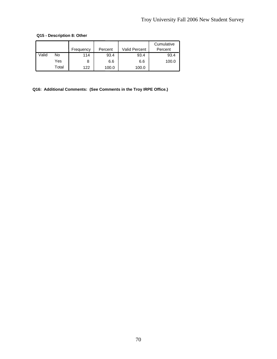### **Q15 - Description 8: Other**

|       |       | Frequency | Percent | <b>Valid Percent</b> | Cumulative<br>Percent |
|-------|-------|-----------|---------|----------------------|-----------------------|
| Valid | No    | 114       | 93.4    | 93.4                 | 93.4                  |
|       | Yes   |           | 6.6     | 6.6                  | 100.0                 |
|       | Total | 122       | 100.0   | 100.0                |                       |

**Q16: Additional Comments: (See Comments in the Troy IRPE Office.)**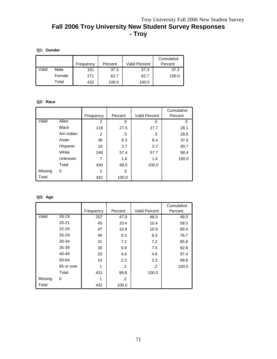# Troy University Fall 2006 New Student Survey **Fall 2006 Troy University New Student Survey Responses - Troy**

# **Q1: Gender**

|       |        | Frequency | Percent | <b>Valid Percent</b> | Cumulative<br>Percent |
|-------|--------|-----------|---------|----------------------|-----------------------|
| Valid | Male   | 161       | 37.3    | 37.3                 | 37.3                  |
|       | Female | 271       | 62.7    | 62.7                 | 100.0                 |
|       | Total  | 432       | 100.0   | 100.0                |                       |

# **Q2: Race**

|         |              |                |         |                      | Cumulative |
|---------|--------------|----------------|---------|----------------------|------------|
|         |              | Frequency      | Percent | <b>Valid Percent</b> | Percent    |
| Valid   | <b>Alien</b> | $\overline{2}$ | .5      | .5                   | .5         |
|         | <b>Black</b> | 119            | 27.5    | 27.7                 | 28.1       |
|         | Am Indian    | 2              | .5      | .5                   | 28.6       |
|         | Asian        | 36             | 8.3     | 8.4                  | 37.0       |
|         | Hispanic     | 16             | 3.7     | 3.7                  | 40.7       |
|         | White        | 248            | 57.4    | 57.7                 | 98.4       |
|         | Unknown      | 7              | 1.6     | 1.6                  | 100.0      |
|         | Total        | 430            | 99.5    | 100.0                |            |
| Missing | 0            | 2              | .5      |                      |            |
| Total   |              | 432            | 100.0   |                      |            |

# **Q3: Age**

|         |            |           |         |                      | Cumulative |
|---------|------------|-----------|---------|----------------------|------------|
|         |            | Frequency | Percent | <b>Valid Percent</b> | Percent    |
| Valid   | 18-19      | 207       | 47.9    | 48.0                 | 48.0       |
|         | $20 - 21$  | 45        | 10.4    | 10.4                 | 58.5       |
|         | $22 - 24$  | 47        | 10.9    | 10.9                 | 69.4       |
|         | 25-29      | 40        | 9.3     | 9.3                  | 78.7       |
|         | 30-34      | 31        | 7.2     | 7.2                  | 85.8       |
|         | 35-39      | 30        | 6.9     | 7.0                  | 92.8       |
|         | 40-49      | 20        | 4.6     | 4.6                  | 97.4       |
|         | 50-64      | 10        | 2.3     | 2.3                  | 99.8       |
|         | 65 or over |           | .2      | .2                   | 100.0      |
|         | Total      | 431       | 99.8    | 100.0                |            |
| Missing | 0          | 1         | .2      |                      |            |
| Total   |            | 432       | 100.0   |                      |            |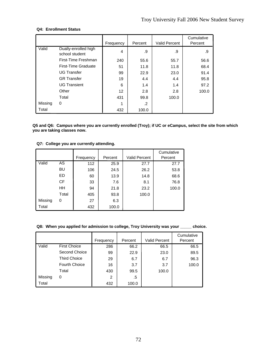# **Q4: Enrollment Status**

|         |                                        | Frequency | Percent | <b>Valid Percent</b> | Cumulative<br>Percent |
|---------|----------------------------------------|-----------|---------|----------------------|-----------------------|
| Valid   | Dually-enrolled high<br>school student | 4         | .9      | .9                   | .9                    |
|         | First-Time Freshman                    | 240       | 55.6    | 55.7                 | 56.6                  |
|         | First-Time Graduate                    | 51        | 11.8    | 11.8                 | 68.4                  |
|         | <b>UG Transfer</b>                     |           | 22.9    | 23.0                 | 91.4                  |
|         | <b>GR</b> Transfer                     | 19        | 4.4     | 4.4                  | 95.8                  |
|         | <b>UG Transient</b>                    | 6         | 1.4     | 1.4                  | 97.2                  |
|         | Other                                  | 12        | 2.8     | 2.8                  | 100.0                 |
|         | Total                                  | 431       | 99.8    | 100.0                |                       |
| Missing | 0                                      | 1         | .2      |                      |                       |
| Total   |                                        | 432       | 100.0   |                      |                       |

**Q5 and Q6: Campus where you are currently enrolled (Troy); if UC or eCampus, select the site from which you are taking classes now.** 

## **Q7: College you are currently attending.**

|         |           |           |         |                      | Cumulative |
|---------|-----------|-----------|---------|----------------------|------------|
|         |           | Frequency | Percent | <b>Valid Percent</b> | Percent    |
| Valid   | AS        | 112       | 25.9    | 27.7                 | 27.7       |
|         | BU        | 106       | 24.5    | 26.2                 | 53.8       |
|         | ED        | 60        | 13.9    | 14.8                 | 68.6       |
|         | <b>CF</b> | 33        | 7.6     | 8.1                  | 76.8       |
|         | <b>HH</b> | 94        | 21.8    | 23.2                 | 100.0      |
|         | Total     | 405       | 93.8    | 100.0                |            |
| Missing | 0         | 27        | 6.3     |                      |            |
| Total   |           | 432       | 100.0   |                      |            |

#### **Q8: When you applied for admission to college, Troy University was your \_\_\_\_\_ choice.**

|         |                      | Frequency | Percent | Valid Percent | Cumulative<br>Percent |
|---------|----------------------|-----------|---------|---------------|-----------------------|
| Valid   | <b>First Choice</b>  | 286       | 66.2    | 66.5          | 66.5                  |
|         | Second Choice        | 99        | 22.9    | 23.0          | 89.5                  |
|         | <b>Third Choice</b>  | 29        | 6.7     | 6.7           | 96.3                  |
|         | <b>Fourth Choice</b> | 16        | 3.7     | 3.7           | 100.0                 |
|         | Total                | 430       | 99.5    | 100.0         |                       |
| Missing | 0                    | 2         | .5      |               |                       |
| Total   |                      | 432       | 100.0   |               |                       |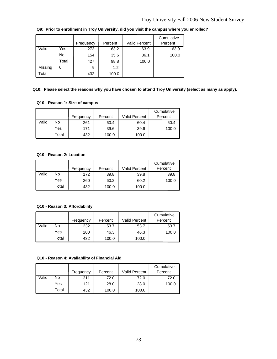|         |       | Frequency | Percent | <b>Valid Percent</b> | Cumulative<br>Percent |
|---------|-------|-----------|---------|----------------------|-----------------------|
| Valid   | Yes   | 273       | 63.2    | 63.9                 | 63.9                  |
|         | No    | 154       | 35.6    | 36.1                 | 100.0                 |
|         | Total | 427       | 98.8    | 100.0                |                       |
| Missing | 0     | 5         | 1.2     |                      |                       |
| Total   |       | 432       | 100.0   |                      |                       |

**Q9: Prior to enrollment in Troy University, did you visit the campus where you enrolled?**

# **Q10: Please select the reasons why you have chosen to attend Troy University (select as many as apply).**

# **Q10 - Reason 1: Size of campus**

|       |       |           | Percent | <b>Valid Percent</b> | Cumulative<br>Percent |
|-------|-------|-----------|---------|----------------------|-----------------------|
|       |       | Frequency |         |                      |                       |
| Valid | No    | 261       | 60.4    | 60.4                 | 60.4                  |
|       | Yes   | 171       | 39.6    | 39.6                 | 100.0                 |
|       | Total | 432       | 100.0   | 100.0                |                       |

# **Q10 - Reason 2: Location**

|       |       |           |         |                      | Cumulative |
|-------|-------|-----------|---------|----------------------|------------|
|       |       | Frequency | Percent | <b>Valid Percent</b> | Percent    |
| Valid | No    | 172       | 39.8    | 39.8                 | 39.8       |
|       | Yes   | 260       | 60.2    | 60.2                 | 100.0      |
|       | Total | 432       | 100.0   | 100.0                |            |

#### **Q10 - Reason 3: Affordability**

|       |       | Frequency | Percent | Valid Percent | Cumulative<br>Percent |
|-------|-------|-----------|---------|---------------|-----------------------|
| Valid | No    | 232       | 53.7    | 53.7          | 53.7                  |
|       | Yes   | 200       | 46.3    | 46.3          | 100.0                 |
|       | Total | 432       | 100.0   | 100.0         |                       |

#### **Q10 - Reason 4: Availability of Financial Aid**

|       |       |           |         |                      | Cumulative |
|-------|-------|-----------|---------|----------------------|------------|
|       |       | Frequency | Percent | <b>Valid Percent</b> | Percent    |
| Valid | No    | 311       | 72.0    | 72.0                 | 72.0       |
|       | Yes   | 121       | 28.0    | 28.0                 | 100.0      |
|       | Total | 432       | 100.0   | 100.0                |            |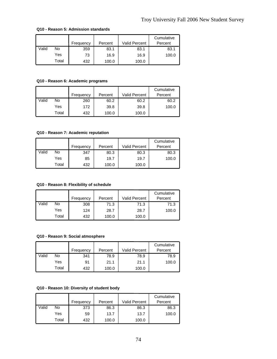|       |       | Frequency | Percent | Valid Percent | Cumulative<br>Percent |
|-------|-------|-----------|---------|---------------|-----------------------|
| Valid | No    | 359       | 83.1    | 83.1          | 83.1                  |
|       | Yes   | 73        | 16.9    | 16.9          | 100.0                 |
|       | Total | 432       | 100.0   | 100.0         |                       |

#### **Q10 - Reason 5: Admission standards**

# **Q10 - Reason 6: Academic programs**

|       |       | Frequency | Percent | <b>Valid Percent</b> | Cumulative<br>Percent |
|-------|-------|-----------|---------|----------------------|-----------------------|
| Valid | No    | 260       | 60.2    | 60.2                 | 60.2                  |
|       | Yes   | 172       | 39.8    | 39.8                 | 100.0                 |
|       | Total | 432       | 100.0   | 100.0                |                       |

# **Q10 - Reason 7: Academic reputation**

|       |       | Frequency | Percent | <b>Valid Percent</b> | Cumulative<br>Percent |
|-------|-------|-----------|---------|----------------------|-----------------------|
| Valid | No    | 347       | 80.3    | 80.3                 | 80.3                  |
|       | Yes   | 85        | 19.7    | 19.7                 | 100.0                 |
|       | Total | 432       | 100.0   | 100.0                |                       |

# **Q10 - Reason 8: Flexibility of schedule**

|       |       | Frequency | Percent | <b>Valid Percent</b> | Cumulative<br>Percent |
|-------|-------|-----------|---------|----------------------|-----------------------|
| Valid | No    | 308       | 71.3    | 71.3                 | 71.3                  |
|       | Yes   | 124       | 28.7    | 28.7                 | 100.0                 |
|       | Total | 432       | 100.0   | 100.0                |                       |

#### **Q10 - Reason 9: Social atmosphere**

|       |       | Frequency | Percent | <b>Valid Percent</b> | Cumulative<br>Percent |
|-------|-------|-----------|---------|----------------------|-----------------------|
| Valid | No    | 341       | 78.9    | 78.9                 | 78.9                  |
|       | Yes   | 91        | 21.1    | 21.1                 | 100.0                 |
|       | Total | 432       | 100.0   | 100.0                |                       |

# **Q10 - Reason 10: Diversity of student body**

|       |       |           |         |                      | Cumulative |
|-------|-------|-----------|---------|----------------------|------------|
|       |       | Frequency | Percent | <b>Valid Percent</b> | Percent    |
| Valid | No    | 373       | 86.3    | 86.3                 | 86.3       |
|       | Yes   | 59        | 13.7    | 13.7                 | 100.0      |
|       | Total | 432       | 100.0   | 100.0                |            |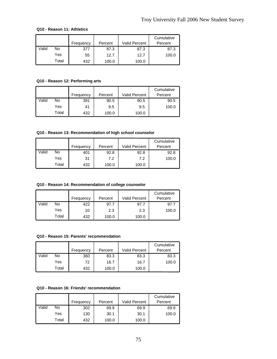# **Q10 - Reason 11: Athletics**

|       |       |           |         |                      | Cumulative |
|-------|-------|-----------|---------|----------------------|------------|
|       |       | Frequency | Percent | <b>Valid Percent</b> | Percent    |
| Valid | No    | 377       | 87.3    | 87.3                 | 87.3       |
|       | Yes   | 55        | 12.7    | 12.7                 | 100.0      |
|       | Total | 432       | 100.0   | 100.0                |            |

# **Q10 - Reason 12: Performing arts**

|       |       | Frequency | Percent | <b>Valid Percent</b> | Cumulative<br>Percent |
|-------|-------|-----------|---------|----------------------|-----------------------|
| Valid | No    | 391       | 90.5    | 90.5                 | 90.5                  |
|       | Yes   | 41        | 9.5     | 9.5                  | 100.0                 |
|       | Total | 432       | 100.0   | 100.0                |                       |

#### **Q10 - Reason 13: Recommendation of high school counselor**

|       |       |           |         |                      | Cumulative |
|-------|-------|-----------|---------|----------------------|------------|
|       |       | Frequency | Percent | <b>Valid Percent</b> | Percent    |
| Valid | No    | 401       | 92.8    | 92.8                 | 92.8       |
|       | Yes   | 31        | 7.2     | 7.2                  | 100.0      |
|       | Total | 432       | 100.0   | 100.0                |            |

# **Q10 - Reason 14: Recommendation of college counselor**

|       |       | Frequency | Percent | Valid Percent | Cumulative<br>Percent |
|-------|-------|-----------|---------|---------------|-----------------------|
| Valid | No    | 422       | 97.7    | 97.7          | 97.7                  |
|       | Yes   | 10        | 2.3     | 2.3           | 100.0                 |
|       | Total | 432       | 100.0   | 100.0         |                       |

#### **Q10 - Reason 15: Parents' recommendation**

|       |       | Frequency | Percent | <b>Valid Percent</b> | Cumulative<br>Percent |
|-------|-------|-----------|---------|----------------------|-----------------------|
| Valid | No    | 360       | 83.3    | 83.3                 | 83.3                  |
|       | Yes   | 72        | 16.7    | 16.7                 | 100.0                 |
|       | Total | 432       | 100.0   | 100.0                |                       |

# **Q10 - Reason 16: Friends' recommendation**

|       |       |           |         |               | Cumulative |
|-------|-------|-----------|---------|---------------|------------|
|       |       | Frequency | Percent | Valid Percent | Percent    |
| Valid | No    | 302       | 69.9    | 69.9          | 69.9       |
|       | Yes   | 130       | 30.1    | 30.1          | 100.0      |
|       | Total | 432       | 100.0   | 100.0         |            |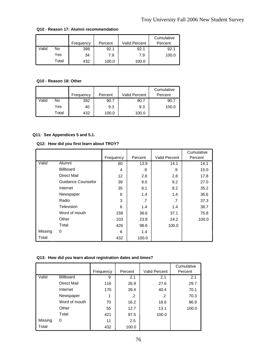|       |       | Frequency | Percent | <b>Valid Percent</b> | Cumulative<br>Percent |
|-------|-------|-----------|---------|----------------------|-----------------------|
| Valid | No    | 398       | 92.1    | 92.1                 | 92.1                  |
|       | Yes   | 34        | 7.9     | 7.9                  | 100.0                 |
|       | Total | 432       | 100.0   | 100.0                |                       |

#### **Q10 - Reason 17: Alumni recommendation**

# **Q10 - Reason 18: Other**

|       |       | Frequency | Percent | <b>Valid Percent</b> | Cumulative<br>Percent |
|-------|-------|-----------|---------|----------------------|-----------------------|
| Valid | No    | 392       | 90.7    | 90.7                 | 90.7                  |
|       | Yes   | 40        | 9.3     | 9.3                  | 100.0                 |
|       | Total | 432       | 100.0   | 100.0                |                       |

# **Q11: See Appendices 5 and 5.1.**

# **Q12: How did you first learn about TROY?**

|         |                    |           | Percent | <b>Valid Percent</b> | Cumulative<br>Percent |
|---------|--------------------|-----------|---------|----------------------|-----------------------|
|         |                    | Frequency |         |                      |                       |
| Valid   | Alumni             | 60        | 13.9    | 14.1                 | 14.1                  |
|         | <b>Billboard</b>   | 4         | .9      | .9                   | 15.0                  |
|         | Direct Mail        | 12        | 2.8     | 2.8                  | 17.8                  |
|         | Guidance Counselor | 39        | 9.0     | 9.2                  | 27.0                  |
|         | Internet           | 35        | 8.1     | 8.2                  | 35.2                  |
|         | Newspaper          | 6         | 1.4     | 1.4                  | 36.6                  |
|         | Radio              | 3         | .7      | .7                   | 37.3                  |
|         | Television         | 6         | 1.4     | 1.4                  | 38.7                  |
|         | Word of mouth      | 158       | 36.6    | 37.1                 | 75.8                  |
|         | Other              | 103       | 23.8    | 24.2                 | 100.0                 |
|         | Total              | 426       | 98.6    | 100.0                |                       |
| Missing | 0                  | 6         | 1.4     |                      |                       |
| Total   |                    | 432       | 100.0   |                      |                       |

# **Q13: How did you learn about registration dates and times?**

|         |                  |           |         |                      | Cumulative |
|---------|------------------|-----------|---------|----------------------|------------|
|         |                  | Frequency | Percent | <b>Valid Percent</b> | Percent    |
| Valid   | <b>Billboard</b> | 9         | 2.1     | 2.1                  | 2.1        |
|         | Direct Mail      | 116       | 26.9    | 27.6                 | 29.7       |
|         | Internet         | 170       | 39.4    | 40.4                 | 70.1       |
|         | Newspaper        |           | .2      | .2                   | 70.3       |
|         | Word of mouth    | 70        | 16.2    | 16.6                 | 86.9       |
|         | Other            | 55        | 12.7    | 13.1                 | 100.0      |
|         | Total            | 421       | 97.5    | 100.0                |            |
| Missing | 0                | 11        | 2.5     |                      |            |
| Total   |                  | 432       | 100.0   |                      |            |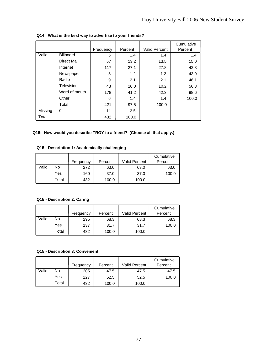|         |                  |           |         |                      | Cumulative |
|---------|------------------|-----------|---------|----------------------|------------|
|         |                  | Frequency | Percent | <b>Valid Percent</b> | Percent    |
| Valid   | <b>Billboard</b> | 6         | 1.4     | 1.4                  | 1.4        |
|         | Direct Mail      | 57        | 13.2    | 13.5                 | 15.0       |
|         | Internet         | 117       | 27.1    | 27.8                 | 42.8       |
|         | Newspaper        | 5         | 1.2     | 1.2                  | 43.9       |
|         | Radio            | 9         | 2.1     | 2.1                  | 46.1       |
|         | Television       | 43        | 10.0    | 10.2                 | 56.3       |
|         | Word of mouth    | 178       | 41.2    | 42.3                 | 98.6       |
|         | Other            | 6         | 1.4     | 1.4                  | 100.0      |
|         | Total            | 421       | 97.5    | 100.0                |            |
| Missing | 0                | 11        | 2.5     |                      |            |
| Total   |                  | 432       | 100.0   |                      |            |

**Q14: What is the best way to advertise to your friends?**

# **Q15: How would you describe TROY to a friend? (Choose all that apply.)**

# **Q15 - Description 1: Academically challenging**

|       |       | Frequency | Percent | <b>Valid Percent</b> | Cumulative<br>Percent |
|-------|-------|-----------|---------|----------------------|-----------------------|
| Valid | No    | 272       | 63.0    | 63.0                 | 63.0                  |
|       | Yes   | 160       | 37.0    | 37.0                 | 100.0                 |
|       | Total | 432       | 100.0   | 100.0                |                       |

# **Q15 - Description 2: Caring**

|       |       |           |         | <b>Valid Percent</b> | Cumulative<br>Percent |
|-------|-------|-----------|---------|----------------------|-----------------------|
|       |       | Frequency | Percent |                      |                       |
| Valid | No    | 295       | 68.3    | 68.3                 | 68.3                  |
|       | Yes   | 137       | 31.7    | 31.7                 | 100.0                 |
|       | Total | 432       | 100.0   | 100.0                |                       |

#### **Q15 - Description 3: Convenient**

|       |       | Frequency | Percent | Valid Percent | Cumulative<br>Percent |
|-------|-------|-----------|---------|---------------|-----------------------|
| Valid | No    | 205       | 47.5    | 47.5          | 47.5                  |
|       | Yes   | 227       | 52.5    | 52.5          | 100.0                 |
|       | Total | 432       | 100.0   | 100.0         |                       |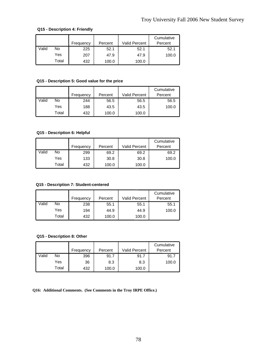# **Q15 - Description 4: Friendly**

|       |       |           |         |                      | Cumulative |
|-------|-------|-----------|---------|----------------------|------------|
|       |       | Frequency | Percent | <b>Valid Percent</b> | Percent    |
| Valid | No    | 225       | 52.1    | 52.1                 | 52.1       |
|       | Yes   | 207       | 47.9    | 47.9                 | 100.0      |
|       | Total | 432       | 100.0   | 100.0                |            |

# **Q15 - Description 5: Good value for the price**

|       |       | Frequency | Percent | <b>Valid Percent</b> | Cumulative<br>Percent |
|-------|-------|-----------|---------|----------------------|-----------------------|
| Valid | No    | 244       | 56.5    | 56.5                 | 56.5                  |
|       | Yes   | 188       | 43.5    | 43.5                 | 100.0                 |
|       | Total | 432       | 100.0   | 100.0                |                       |

# **Q15 - Description 6: Helpful**

|       |       | Frequency | Percent | <b>Valid Percent</b> | Cumulative<br>Percent |
|-------|-------|-----------|---------|----------------------|-----------------------|
| Valid | No    | 299       | 69.2    | 69.2                 | 69.2                  |
|       | Yes   | 133       | 30.8    | 30.8                 | 100.0                 |
|       | Total | 432       | 100.0   | 100.0                |                       |

# **Q15 - Description 7: Student-centered**

|       |       | Frequency | Percent | <b>Valid Percent</b> | Cumulative<br>Percent |
|-------|-------|-----------|---------|----------------------|-----------------------|
| Valid | No    | 238       | 55.1    | 55.1                 | 55.1                  |
|       | Yes   | 194       | 44.9    | 44.9                 | 100.0                 |
|       | Total | 432       | 100.0   | 100.0                |                       |

#### **Q15 - Description 8: Other**

|       |       | Frequency | Percent | <b>Valid Percent</b> | Cumulative<br>Percent |
|-------|-------|-----------|---------|----------------------|-----------------------|
| Valid | No    | 396       | 91.7    | 91.7                 | 91.7                  |
|       | Yes   | 36        | 8.3     | 8.3                  | 100.0                 |
|       | Total | 432       | 100.0   | 100.0                |                       |

**Q16: Additional Comments. (See Comments in the Troy IRPE Office.)**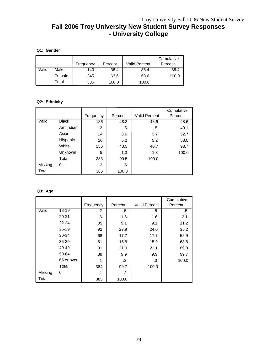# **Fall 2006 Troy University New Student Survey Responses - University College**

# **Q1: Gender**

|       |        | Frequency | Percent | <b>Valid Percent</b> | Cumulative<br>Percent |
|-------|--------|-----------|---------|----------------------|-----------------------|
| Valid | Male   | 140       | 36.4    | 36.4                 | 36.4                  |
|       | Female | 245       | 63.6    | 63.6                 | 100.0                 |
|       | Total  | 385       | 100.0   | 100.0                |                       |

# **Q2: Ethnicity**

|         |              |                |         |                      | Cumulative |
|---------|--------------|----------------|---------|----------------------|------------|
|         |              | Frequency      | Percent | <b>Valid Percent</b> | Percent    |
| Valid   | <b>Black</b> | 186            | 48.3    | 48.6                 | 48.6       |
|         | Am Indian    | 2              | .5      | .5                   | 49.1       |
|         | Asian        | 14             | 3.6     | 3.7                  | 52.7       |
|         | Hispanic     | 20             | 5.2     | 5.2                  | 58.0       |
|         | White        | 156            | 40.5    | 40.7                 | 98.7       |
|         | Unknown      | 5              | 1.3     | 1.3                  | 100.0      |
|         | Total        | 383            | 99.5    | 100.0                |            |
| Missing | 0            | $\overline{c}$ | .5      |                      |            |
| Total   |              | 385            | 100.0   |                      |            |

# **Q3: Age**

|         |            |                |         |                      | Cumulative |
|---------|------------|----------------|---------|----------------------|------------|
|         |            | Frequency      | Percent | <b>Valid Percent</b> | Percent    |
| Valid   | 18-19      | $\overline{2}$ | .5      | .5                   | .5         |
|         | $20 - 21$  | 6              | 1.6     | 1.6                  | 2.1        |
|         | $22 - 24$  | 35             | 9.1     | 9.1                  | 11.2       |
|         | $25 - 29$  | 92             | 23.9    | 24.0                 | 35.2       |
|         | 30-34      | 68             | 17.7    | 17.7                 | 52.9       |
|         | 35-39      | 61             | 15.8    | 15.9                 | 68.8       |
|         | 40-49      | 81             | 21.0    | 21.1                 | 89.8       |
|         | 50-64      | 38             | 9.9     | 9.9                  | 99.7       |
|         | 65 or over |                | .3      | .3                   | 100.0      |
|         | Total      | 384            | 99.7    | 100.0                |            |
| Missing | 0          | 1              | .3      |                      |            |
| Total   |            | 385            | 100.0   |                      |            |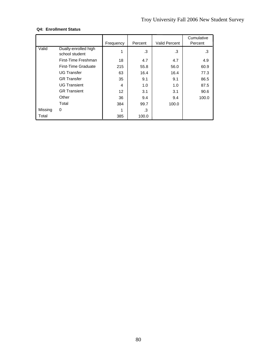# **Q4: Enrollment Status**

|         |                                        | Frequency | Percent | <b>Valid Percent</b> | Cumulative<br>Percent |
|---------|----------------------------------------|-----------|---------|----------------------|-----------------------|
| Valid   | Dually-enrolled high<br>school student | 1         | .3      | .3                   | .3                    |
|         | First-Time Freshman                    | 18        | 4.7     | 4.7                  | 4.9                   |
|         | First-Time Graduate                    | 215       | 55.8    | 56.0                 | 60.9                  |
|         | <b>UG Transfer</b>                     | 63        | 16.4    | 16.4                 | 77.3                  |
|         | <b>GR</b> Transfer                     | 35        | 9.1     | 9.1                  | 86.5                  |
|         | <b>UG Transient</b>                    | 4         | 1.0     | 1.0                  | 87.5                  |
|         | <b>GR Transient</b>                    | 12        | 3.1     | 3.1                  | 90.6                  |
|         | Other                                  | 36        | 9.4     | 9.4                  | 100.0                 |
|         | Total                                  | 384       | 99.7    | 100.0                |                       |
| Missing | 0                                      | 1         | .3      |                      |                       |
| Total   |                                        | 385       | 100.0   |                      |                       |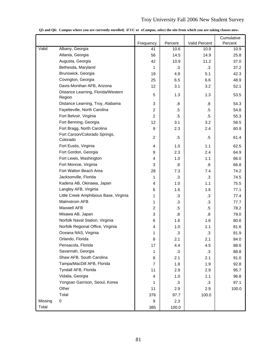# Troy University Fall 2006 New Student Survey

|         |                                              |                |                   |                   | Cumulative |
|---------|----------------------------------------------|----------------|-------------------|-------------------|------------|
|         |                                              | Frequency      | Percent           | Valid Percent     | Percent    |
| Valid   | Albany, Georgia                              | 41             | 10.6              | 10.9              | 10.9       |
|         | Atlanta, Georgia                             | 56             | 14.5              | 14.9              | 25.8       |
|         | Augusta, Georgia                             | 42             | 10.9              | 11.2              | 37.0       |
|         | Bethesda, Maryland                           | 1              | .3                | $\cdot$ 3         | 37.2       |
|         | Brunswick, Georgia                           | 19             | 4.9               | 5.1               | 42.3       |
|         | Covington, Georgia                           | 25             | 6.5               | 6.6               | 48.9       |
|         | Davis-Monthan AFB, Arizona                   | 12             | 3.1               | 3.2               | 52.1       |
|         | Distance Learning, Florida/Western<br>Region | 5              | 1.3               | 1.3               | 53.5       |
|         | Distance Learning, Troy, Alabama             | 3              | .8                | .8                | 54.3       |
|         | Fayetteville, North Carolina                 | $\overline{c}$ | .5                | $.5\,$            | 54.8       |
|         | Fort Belvoir, Virginia                       | $\overline{c}$ | .5                | $.5\,$            | 55.3       |
|         | Fort Benning, Georgia                        | 12             | 3.1               | 3.2               | 58.5       |
|         | Fort Bragg, North Carolina                   | 9              | 2.3               | 2.4               | 60.9       |
|         | Fort Carson/Colorado Springs,<br>Colorado    | $\overline{c}$ | .5                | $.5\,$            | 61.4       |
|         | Fort Eustis, Virginia                        | $\overline{4}$ | 1.0               | 1.1               | 62.5       |
|         | Fort Gordon, Georgia                         | 9              | 2.3               | 2.4               | 64.9       |
|         | Fort Lewis, Washington                       | 4              | 1.0               | 1.1               | 66.0       |
|         | Fort Monroe, Virginia                        | 3              | 8.                | $\boldsymbol{.8}$ | 66.8       |
|         | Fort Walton Beach Area                       | 28             | 7.3               | 7.4               | 74.2       |
|         | Jacksonville, Florida                        | 1              | .3                | $\cdot$ 3         | 74.5       |
|         | Kadena AB, Okinawa, Japan                    | 4              | 1.0               | 1.1               | 75.5       |
|         | Langley AFB, Virginia                        | 6              | 1.6               | 1.6               | 77.1       |
|         | Little Creek Amphibious Base, Virginia       | 1              | .3                | $\cdot$ 3         | 77.4       |
|         | <b>Malmstrom AFB</b>                         | 1              | .3                | .3                | 77.7       |
|         | <b>Maxwell AFB</b>                           | $\overline{c}$ | .5                | $.5\,$            | 78.2       |
|         | Misawa AB, Japan                             | 3              | $\boldsymbol{.8}$ | $\boldsymbol{.8}$ | 79.0       |
|         | Norfolk Naval Station, Virginia              | 6              | 1.6               | 1.6               | 80.6       |
|         | Norfolk Regional Office, Virginia            | 4              | 1.0               | 1.1               | 81.6       |
|         | Oceana NAS, Virginia                         | 1              | .3                | $\cdot$ 3         | 81.9       |
|         | Orlando, Florida                             | 8              | 2.1               | 2.1               | 84.0       |
|         | Pensacola, Florida                           | 17             | 4.4               | 4.5               | 88.6       |
|         | Savannah, Georgia                            | 1              | $\cdot$ 3         | $\cdot$ 3         | 88.8       |
|         | Shaw AFB, South Carolina                     | 8              | 2.1               | 2.1               | 91.0       |
|         | Tampa/MacDill AFB, Florida                   | 7              | 1.8               | 1.9               | 92.8       |
|         | Tyndall AFB, Florida                         | 11             | 2.9               | 2.9               | 95.7       |
|         | Vidalia, Georgia                             | 4              | 1.0               | 1.1               | 96.8       |
|         | Yongsan Garrison, Seoul, Korea               | 1              | .3                | $\cdot$ 3         | 97.1       |
|         | Other                                        | 11             | 2.9               | 2.9               | 100.0      |
|         | Total                                        | 376            | 97.7              | 100.0             |            |
| Missing | 0                                            | 9              | 2.3               |                   |            |
| Total   |                                              |                |                   |                   |            |
|         |                                              | 385            | 100.0             |                   |            |

**Q5 and Q6: Campus where you are currently enrolled; if UC or eCampus, select the site from which you are taking classes now.**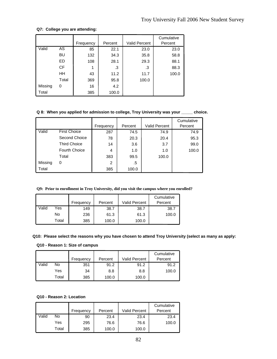# **Q7: College you are attending:**

|         |           |           |         |                      | Cumulative |
|---------|-----------|-----------|---------|----------------------|------------|
|         |           | Frequency | Percent | <b>Valid Percent</b> | Percent    |
| Valid   | AS        | 85        | 22.1    | 23.0                 | 23.0       |
|         | BU        | 132       | 34.3    | 35.8                 | 58.8       |
|         | <b>ED</b> | 108       | 28.1    | 29.3                 | 88.1       |
|         | <b>CF</b> | 1         | .3      | .3                   | 88.3       |
|         | HΗ        | 43        | 11.2    | 11.7                 | 100.0      |
|         | Total     | 369       | 95.8    | 100.0                |            |
| Missing | 0         | 16        | 4.2     |                      |            |
| Total   |           | 385       | 100.0   |                      |            |

**Q 8: When you applied for admission to college, Troy University was your \_\_\_\_\_ choice.**

|         |                      |           |         |               | Cumulative |
|---------|----------------------|-----------|---------|---------------|------------|
|         |                      | Frequency | Percent | Valid Percent | Percent    |
| Valid   | <b>First Choice</b>  | 287       | 74.5    | 74.9          | 74.9       |
|         | Second Choice        | 78        | 20.3    | 20.4          | 95.3       |
|         | <b>Third Choice</b>  | 14        | 3.6     | 3.7           | 99.0       |
|         | <b>Fourth Choice</b> | 4         | 1.0     | 1.0           | 100.0      |
|         | Total                | 383       | 99.5    | 100.0         |            |
| Missing | 0                    | 2         | .5      |               |            |
| Total   |                      | 385       | 100.0   |               |            |

# **Q9: Prior to enrollment in Troy University, did you visit the campus where you enrolled?**

|       |       | Frequency | Percent | Valid Percent | Cumulative<br>Percent |
|-------|-------|-----------|---------|---------------|-----------------------|
| Valid | Yes   | 149       | 38.7    | 38.7          | 38.7                  |
|       | No    | 236       | 61.3    | 61.3          | 100.0                 |
|       | Total | 385       | 100.0   | 100.0         |                       |

#### **Q10: Please select the reasons why you have chosen to attend Troy University (select as many as apply:**

### **Q10 - Reason 1: Size of campus**

|       |       | Frequency | Percent | <b>Valid Percent</b> | Cumulative<br>Percent |
|-------|-------|-----------|---------|----------------------|-----------------------|
| Valid | No    | 351       | 91.2    | 91.2                 | 91.2                  |
|       | Yes   | 34        | 8.8     | 8.8                  | 100.0                 |
|       | Total | 385       | 100.0   | 100.0                |                       |

# **Q10 - Reason 2: Location**

|       |       |           |         |               | Cumulative |
|-------|-------|-----------|---------|---------------|------------|
|       |       | Frequency | Percent | Valid Percent | Percent    |
| Valid | No    | 90        | 23.4    | 23.4          | 23.4       |
|       | Yes   | 295       | 76.6    | 76.6          | 100.0      |
|       | Total | 385       | 100.0   | 100.0         |            |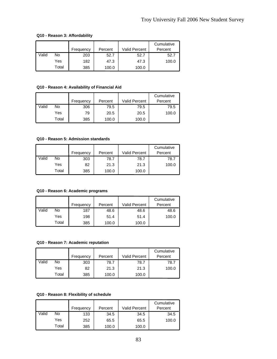# **Q10 - Reason 3: Affordability**

|       |       | Frequency | Percent | <b>Valid Percent</b> | Cumulative<br>Percent |
|-------|-------|-----------|---------|----------------------|-----------------------|
| Valid | No    | 203       | 52.7    | 52.7                 | 52.7                  |
|       | Yes   | 182       | 47.3    | 47.3                 | 100.0                 |
|       | Total | 385       | 100.0   | 100.0                |                       |

# **Q10 - Reason 4: Availability of Financial Aid**

|       |       | Frequency | Percent | Valid Percent | Cumulative<br>Percent |
|-------|-------|-----------|---------|---------------|-----------------------|
| Valid | No    | 306       | 79.5    | 79.5          | 79.5                  |
|       | Yes   | 79        | 20.5    | 20.5          | 100.0                 |
|       | Total | 385       | 100.0   | 100.0         |                       |

#### **Q10 - Reason 5: Admission standards**

|       |       |           |         |                      | Cumulative |
|-------|-------|-----------|---------|----------------------|------------|
|       |       | Frequency | Percent | <b>Valid Percent</b> | Percent    |
| Valid | No    | 303       | 78.7    | 78.7                 | 78.7       |
|       | Yes   | 82        | 21.3    | 21.3                 | 100.0      |
|       | Total | 385       | 100.0   | 100.0                |            |

#### **Q10 - Reason 6: Academic programs**

|       |       | Frequency | Percent | <b>Valid Percent</b> | Cumulative<br>Percent |
|-------|-------|-----------|---------|----------------------|-----------------------|
| Valid | No    | 187       | 48.6    | 48.6                 | 48.6                  |
|       | Yes   | 198       | 51.4    | 51.4                 | 100.0                 |
|       | Total | 385       | 100.0   | 100.0                |                       |

# **Q10 - Reason 7: Academic reputation**

|       |       | Frequency | Percent | <b>Valid Percent</b> | Cumulative<br>Percent |
|-------|-------|-----------|---------|----------------------|-----------------------|
| Valid | No    | 303       | 78.7    | 78.7                 | 78.7                  |
|       | Yes   | 82        | 21.3    | 21.3                 | 100.0                 |
|       | Total | 385       | 100.0   | 100.0                |                       |

# **Q10 - Reason 8: Flexibility of schedule**

|       |       | Frequency | Percent | <b>Valid Percent</b> | Cumulative<br>Percent |
|-------|-------|-----------|---------|----------------------|-----------------------|
|       |       |           |         |                      |                       |
| Valid | No    | 133       | 34.5    | 34.5                 | 34.5                  |
|       | Yes   | 252       | 65.5    | 65.5                 | 100.0                 |
|       | Total | 385       | 100.0   | 100.0                |                       |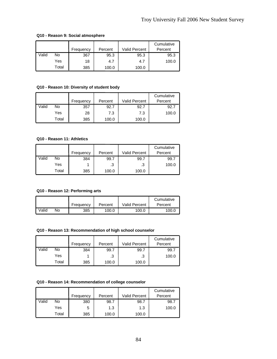# **Q10 - Reason 9: Social atmosphere**

|       |       | Frequency | Percent | <b>Valid Percent</b> | Cumulative<br>Percent |
|-------|-------|-----------|---------|----------------------|-----------------------|
| Valid | No    | 367       | 95.3    | 95.3                 | 95.3                  |
|       | Yes   | 18        | 4.7     | 4.7                  | 100.0                 |
|       | Total | 385       | 100.0   | 100.0                |                       |

# **Q10 - Reason 10: Diversity of student body**

|       |       | Frequency | Percent | Valid Percent | Cumulative<br>Percent |
|-------|-------|-----------|---------|---------------|-----------------------|
| Valid | No    | 357       | 92.7    | 92.7          | 92.7                  |
|       | Yes   | 28        | 7.3     | 7.3           | 100.0                 |
|       | Total | 385       | 100.0   | 100.0         |                       |

# **Q10 - Reason 11: Athletics**

|       |       |           |         |                      | Cumulative |
|-------|-------|-----------|---------|----------------------|------------|
|       |       | Frequency | Percent | <b>Valid Percent</b> | Percent    |
| Valid | No    | 384       | 99.7    | 99.7                 | 99.7       |
|       | Yes   |           | .3      | .3                   | 100.0      |
|       | Total | 385       | 100.0   | 100.0                |            |

#### **Q10 - Reason 12: Performing arts**

|       |    |           |         |                      | Cumulative |
|-------|----|-----------|---------|----------------------|------------|
|       |    | Frequency | Percent | <b>Valid Percent</b> | Percent    |
| Valid | No | 385       | 100.0   | 100.0                | 100.0      |

# **Q10 - Reason 13: Recommendation of high school counselor**

|       |       | Frequency | Percent | <b>Valid Percent</b> | Cumulative<br>Percent |
|-------|-------|-----------|---------|----------------------|-----------------------|
| Valid | No    | 384       | 99.7    | 99.7                 | 99.7                  |
|       | Yes   |           | .3      | .3                   | 100.0                 |
|       | Total | 385       | 100.0   | 100.0                |                       |

# **Q10 - Reason 14: Recommendation of college counselor**

|       |       |           |         |                      | Cumulative |
|-------|-------|-----------|---------|----------------------|------------|
|       |       | Frequency | Percent | <b>Valid Percent</b> | Percent    |
| Valid | No    | 380       | 98.7    | 98.7                 | 98.7       |
|       | Yes   | 5         | 1.3     | 1.3                  | 100.0      |
|       | Total | 385       | 100.0   | 100.0                |            |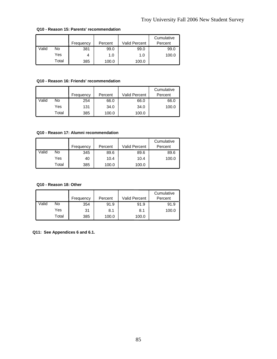|       |       | Frequency | Percent | <b>Valid Percent</b> | Cumulative<br>Percent |
|-------|-------|-----------|---------|----------------------|-----------------------|
| Valid | No    | 381       | 99.0    | 99.0                 | 99.0                  |
|       | Yes   |           | 1.0     | 1.0                  | 100.0                 |
|       | Total | 385       | 100.0   | 100.0                |                       |

#### **Q10 - Reason 15: Parents' recommendation**

## **Q10 - Reason 16: Friends' recommendation**

|       |       | Frequency | Percent | <b>Valid Percent</b> | Cumulative<br>Percent |
|-------|-------|-----------|---------|----------------------|-----------------------|
| Valid | No    | 254       | 66.0    | 66.0                 | 66.0                  |
|       | Yes   | 131       | 34.0    | 34.0                 | 100.0                 |
|       | Total | 385       | 100.0   | 100.0                |                       |

#### **Q10 - Reason 17: Alumni recommendation**

|       |       |           |         |               | Cumulative |
|-------|-------|-----------|---------|---------------|------------|
|       |       | Frequency | Percent | Valid Percent | Percent    |
| Valid | No    | 345       | 89.6    | 89.6          | 89.6       |
|       | Yes   | 40        | 10.4    | 10.4          | 100.0      |
|       | Total | 385       | 100.0   | 100.0         |            |

# **Q10 - Reason 18: Other**

|       |       | Frequency | Percent | Valid Percent | Cumulative<br>Percent |
|-------|-------|-----------|---------|---------------|-----------------------|
| Valid | No    | 354       | 91.9    | 91.9          | 91.9                  |
|       | Yes   | 31        | 8.1     | 8.1           | 100.0                 |
|       | Total | 385       | 100.0   | 100.0         |                       |

**Q11: See Appendices 6 and 6.1.**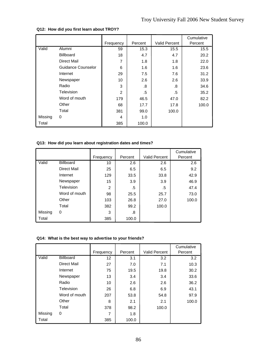|         |                    | Frequency | Percent | <b>Valid Percent</b> | Cumulative<br>Percent |
|---------|--------------------|-----------|---------|----------------------|-----------------------|
| Valid   | Alumni             | 59        | 15.3    | 15.5                 | 15.5                  |
|         | <b>Billboard</b>   | 18        | 4.7     | 4.7                  | 20.2                  |
|         | Direct Mail        | 7         | 1.8     | 1.8                  | 22.0                  |
|         | Guidance Counselor | 6         | 1.6     | 1.6                  | 23.6                  |
|         | Internet           | 29        | 7.5     | 7.6                  | 31.2                  |
|         | Newspaper          | 10        | 2.6     | 2.6                  | 33.9                  |
|         | Radio              | 3         | .8      | .8                   | 34.6                  |
|         | Television         | 2         | .5      | .5                   | 35.2                  |
|         | Word of mouth      | 179       | 46.5    | 47.0                 | 82.2                  |
|         | Other              | 68        | 17.7    | 17.8                 | 100.0                 |
|         | Total              | 381       | 99.0    | 100.0                |                       |
| Missing | 0                  | 4         | 1.0     |                      |                       |
| Total   |                    | 385       | 100.0   |                      |                       |

# **Q12: How did you first learn about TROY?**

# **Q13: How did you learn about registration dates and times?**

|         |                  | Frequency | Percent | <b>Valid Percent</b> | Cumulative<br>Percent |
|---------|------------------|-----------|---------|----------------------|-----------------------|
| Valid   | <b>Billboard</b> | 10        | 2.6     | 2.6                  | 2.6                   |
|         | Direct Mail      | 25        | 6.5     | 6.5                  | 9.2                   |
|         | Internet         | 129       | 33.5    | 33.8                 | 42.9                  |
|         | Newspaper        | 15        | 3.9     | 3.9                  | 46.9                  |
|         | Television       | 2         | .5      | .5                   | 47.4                  |
|         | Word of mouth    | 98        | 25.5    | 25.7                 | 73.0                  |
|         | Other            | 103       | 26.8    | 27.0                 | 100.0                 |
|         | Total            | 382       | 99.2    | 100.0                |                       |
| Missing | 0                | 3         | .8      |                      |                       |
| Total   |                  | 385       | 100.0   |                      |                       |

#### **Q14: What is the best way to advertise to your friends?**

|         |                    |           |         |                      | Cumulative |
|---------|--------------------|-----------|---------|----------------------|------------|
|         |                    | Frequency | Percent | <b>Valid Percent</b> | Percent    |
| Valid   | <b>Billboard</b>   | 12        | 3.1     | 3.2                  | 3.2        |
|         | <b>Direct Mail</b> | 27        | 7.0     | 7.1                  | 10.3       |
|         | Internet           | 75        | 19.5    | 19.8                 | 30.2       |
|         | Newspaper          | 13        | 3.4     | 3.4                  | 33.6       |
|         | Radio              | 10        | 2.6     | 2.6                  | 36.2       |
|         | Television         | 26        | 6.8     | 6.9                  | 43.1       |
|         | Word of mouth      | 207       | 53.8    | 54.8                 | 97.9       |
|         | Other              | 8         | 2.1     | 2.1                  | 100.0      |
|         | Total              | 378       | 98.2    | 100.0                |            |
| Missing | 0                  | 7         | 1.8     |                      |            |
| Total   |                    | 385       | 100.0   |                      |            |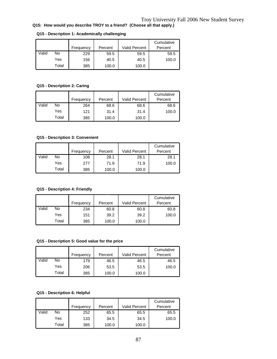# **Q15: How would you describe TROY to a friend? (Choose all that apply.)**

|       |       | Frequency | Percent | Valid Percent | Cumulative<br>Percent |
|-------|-------|-----------|---------|---------------|-----------------------|
| Valid | No    | 229       | 59.5    | 59.5          | 59.5                  |
|       | Yes   | 156       | 40.5    | 40.5          | 100.0                 |
|       | Total | 385       | 100.0   | 100.0         |                       |

#### **Q15 - Description 1: Academically challenging**

# **Q15 - Description 2: Caring**

|       |       |           |         |                      | Cumulative |
|-------|-------|-----------|---------|----------------------|------------|
|       |       | Frequency | Percent | <b>Valid Percent</b> | Percent    |
| Valid | No    | 264       | 68.6    | 68.6                 | 68.6       |
|       | Yes   | 121       | 31.4    | 31.4                 | 100.0      |
|       | Total | 385       | 100.0   | 100.0                |            |

# **Q15 - Description 3: Convenient**

|       |       | Frequency | Percent | <b>Valid Percent</b> | Cumulative<br>Percent |
|-------|-------|-----------|---------|----------------------|-----------------------|
|       |       |           |         |                      |                       |
| Valid | No    | 108       | 28.1    | 28.1                 | 28.1                  |
|       | Yes   | 277       | 71.9    | 71.9                 | 100.0                 |
|       | Total | 385       | 100.0   | 100.0                |                       |

# **Q15 - Description 4: Friendly**

|       |       | Frequency | Percent | Valid Percent | Cumulative<br>Percent |
|-------|-------|-----------|---------|---------------|-----------------------|
| Valid | No    | 234       | 60.8    | 60.8          | 60.8                  |
|       | Yes   | 151       | 39.2    | 39.2          | 100.0                 |
|       | Total | 385       | 100.0   | 100.0         |                       |

## **Q15 - Description 5: Good value for the price**

|       |       |           |         |                      | Cumulative |
|-------|-------|-----------|---------|----------------------|------------|
|       |       | Frequency | Percent | <b>Valid Percent</b> | Percent    |
| Valid | No    | 179       | 46.5    | 46.5                 | 46.5       |
|       | Yes   | 206       | 53.5    | 53.5                 | 100.0      |
|       | Total | 385       | 100.0   | 100.0                |            |

# **Q15 - Description 6: Helpful**

|       |       | Frequency | Percent | Valid Percent | Cumulative<br>Percent |
|-------|-------|-----------|---------|---------------|-----------------------|
| Valid | No    | 252       | 65.5    | 65.5          | 65.5                  |
|       | Yes   | 133       | 34.5    | 34.5          | 100.0                 |
|       | Total | 385       | 100.0   | 100.0         |                       |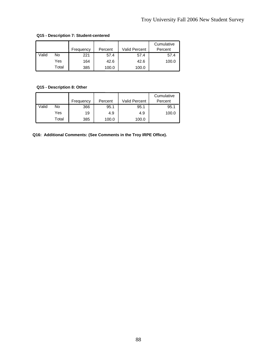|       |       | Frequency | Percent | <b>Valid Percent</b> | Cumulative<br>Percent |
|-------|-------|-----------|---------|----------------------|-----------------------|
| Valid | No    | 221       | 57.4    | 57.4                 | 57.4                  |
|       | Yes   | 164       | 42.6    | 42.6                 | 100.0                 |
|       | Total | 385       | 100.0   | 100.0                |                       |

# **Q15 - Description 7: Student-centered**

# **Q15 - Description 8: Other**

|       |       | Frequency | Percent | Valid Percent | Cumulative<br>Percent |
|-------|-------|-----------|---------|---------------|-----------------------|
| Valid | No    | 366       | 95.1    | 95.1          | 95.1                  |
|       | Yes   | 19        | 4.9     | 4.9           | 100.0                 |
|       | Total | 385       | 100.0   | 100.0         |                       |

**Q16: Additional Comments: (See Comments in the Troy IRPE Office).**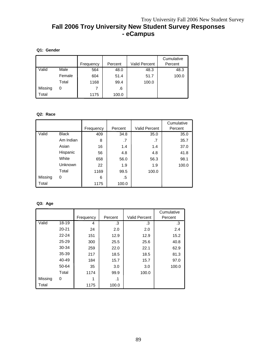# **Fall 2006 Troy University New Student Survey Responses - eCampus**

# **Q1: Gender**

|         |        |           |         |                      | Cumulative |
|---------|--------|-----------|---------|----------------------|------------|
|         |        | Frequency | Percent | <b>Valid Percent</b> | Percent    |
| Valid   | Male   | 564       | 48.0    | 48.3                 | 48.3       |
|         | Female | 604       | 51.4    | 51.7                 | 100.0      |
|         | Total  | 1168      | 99.4    | 100.0                |            |
| Missing | 0      |           | .6      |                      |            |
| Total   |        | 1175      | 100.0   |                      |            |

#### **Q2: Race**

|         |              |           |         |                      | Cumulative |
|---------|--------------|-----------|---------|----------------------|------------|
|         |              | Frequency | Percent | <b>Valid Percent</b> | Percent    |
| Valid   | <b>Black</b> | 409       | 34.8    | 35.0                 | 35.0       |
|         | Am Indian    | 8         | .7      | .7                   | 35.7       |
|         | Asian        | 16        | 1.4     | 1.4                  | 37.0       |
|         | Hispanic     | 56        | 4.8     | 4.8                  | 41.8       |
|         | White        | 658       | 56.0    | 56.3                 | 98.1       |
|         | Unknown      | 22        | 1.9     | 1.9                  | 100.0      |
|         | Total        | 1169      | 99.5    | 100.0                |            |
| Missing | 0            | 6         | .5      |                      |            |
| Total   |              | 1175      | 100.0   |                      |            |

# **Q3: Age**

|         |           | Frequency | Percent | <b>Valid Percent</b> | Cumulative<br>Percent |
|---------|-----------|-----------|---------|----------------------|-----------------------|
| Valid   | 18-19     | 4         | .3      | .3                   | .3                    |
|         | $20 - 21$ | 24        | 2.0     | 2.0                  | 2.4                   |
|         | $22 - 24$ | 151       | 12.9    | 12.9                 | 15.2                  |
|         | 25-29     | 300       | 25.5    | 25.6                 | 40.8                  |
|         | 30-34     | 259       | 22.0    | 22.1                 | 62.9                  |
|         | 35-39     | 217       | 18.5    | 18.5                 | 81.3                  |
|         | 40-49     | 184       | 15.7    | 15.7                 | 97.0                  |
|         | 50-64     | 35        | 3.0     | 3.0                  | 100.0                 |
|         | Total     | 1174      | 99.9    | 100.0                |                       |
| Missing | 0         |           | .1      |                      |                       |
| Total   |           | 1175      | 100.0   |                      |                       |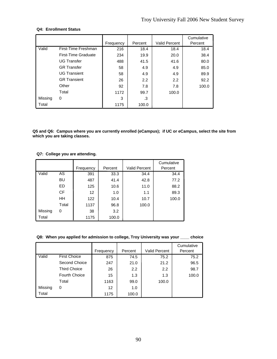## **Q4: Enrollment Status**

|         |                     | Frequency | Percent | <b>Valid Percent</b> | Cumulative<br>Percent |
|---------|---------------------|-----------|---------|----------------------|-----------------------|
| Valid   | First-Time Freshman | 216       | 18.4    | 18.4                 | 18.4                  |
|         | First-Time Graduate | 234       | 19.9    | 20.0                 | 38.4                  |
|         | <b>UG Transfer</b>  | 488       | 41.5    | 41.6                 | 80.0                  |
|         | <b>GR Transfer</b>  | 58        | 4.9     | 4.9                  | 85.0                  |
|         | <b>UG Transient</b> | 58        | 4.9     | 4.9                  | 89.9                  |
|         | <b>GR</b> Transient | 26        | 2.2     | 2.2                  | 92.2                  |
|         | Other               | 92        | 7.8     | 7.8                  | 100.0                 |
|         | Total               | 1172      | 99.7    | 100.0                |                       |
| Missing | 0                   | 3         | .3      |                      |                       |
| Total   |                     | 1175      | 100.0   |                      |                       |

**Q5 and Q6: Campus where you are currently enrolled (eCampus); if UC or eCampus, select the site from which you are taking classes.** 

#### **Q7: College you are attending.**

|         |           | Frequency | Percent | <b>Valid Percent</b> | Cumulative<br>Percent |
|---------|-----------|-----------|---------|----------------------|-----------------------|
| Valid   | AS        | 391       | 33.3    | 34.4                 | 34.4                  |
|         | BU        | 487       | 41.4    | 42.8                 | 77.2                  |
|         | ED        | 125       | 10.6    | 11.0                 | 88.2                  |
|         | <b>CF</b> | 12        | 1.0     | 1.1                  | 89.3                  |
|         | HH        | 122       | 10.4    | 10.7                 | 100.0                 |
|         | Total     | 1137      | 96.8    | 100.0                |                       |
| Missing | 0         | 38        | 3.2     |                      |                       |
| Total   |           | 1175      | 100.0   |                      |                       |

#### **Q8: When you applied for admission to college, Troy University was your \_\_\_\_ choice**

|         |                     |           |         |                      | Cumulative |
|---------|---------------------|-----------|---------|----------------------|------------|
|         |                     | Frequency | Percent | <b>Valid Percent</b> | Percent    |
| Valid   | <b>First Choice</b> | 875       | 74.5    | 75.2                 | 75.2       |
|         | Second Choice       | 247       | 21.0    | 21.2                 | 96.5       |
|         | <b>Third Choice</b> | 26        | 2.2     | 2.2                  | 98.7       |
|         | Fourth Choice       | 15        | 1.3     | 1.3                  | 100.0      |
|         | Total               | 1163      | 99.0    | 100.0                |            |
| Missing | 0                   | 12        | 1.0     |                      |            |
| Total   |                     | 1175      | 100.0   |                      |            |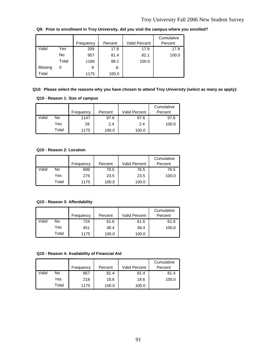|         |       | Frequency | Percent | <b>Valid Percent</b> | Cumulative<br>Percent |
|---------|-------|-----------|---------|----------------------|-----------------------|
| Valid   | Yes   | 209       | 17.8    | 17.9                 | 17.9                  |
|         | No    | 957       | 81.4    | 82.1                 | 100.0                 |
|         | Total | 1166      | 99.2    | 100.0                |                       |
| Missing | 0     | 9         | .8      |                      |                       |
| Total   |       | 1175      | 100.0   |                      |                       |

**Q9: Prior to enrollment in Troy University, did you visit the campus where you enrolled?**

#### **Q10: Please select the reasons why you have chosen to attend Troy University (select as many as apply):**

#### **Q10 - Reason 1: Size of campus**

|       |       |           |         |                      | Cumulative |
|-------|-------|-----------|---------|----------------------|------------|
|       |       | Frequency | Percent | <b>Valid Percent</b> | Percent    |
| Valid | No    | 1147      | 97.6    | 97.6                 | 97.6       |
|       | Yes   | 28        | 2.4     | 2.4                  | 100.0      |
|       | Total | 1175      | 100.0   | 100.0                |            |

#### **Q10 - Reason 2: Location**

|       |       | Frequency | Percent | <b>Valid Percent</b> | Cumulative<br>Percent |
|-------|-------|-----------|---------|----------------------|-----------------------|
| Valid | No    | 899       | 76.5    | 76.5                 | 76.5                  |
|       | Yes   | 276       | 23.5    | 23.5                 | 100.0                 |
|       | Total | 1175      | 100.0   | 100.0                |                       |

**Q10 - Reason 3: Affordability**

|       |       |           |         |                      | Cumulative |
|-------|-------|-----------|---------|----------------------|------------|
|       |       | Frequency | Percent | <b>Valid Percent</b> | Percent    |
| Valid | No    | 724       | 61.6    | 61.6                 | 61.6       |
|       | Yes   | 451       | 38.4    | 38.4                 | 100.0      |
|       | Total | 1175      | 100.0   | 100.0                |            |

## **Q10 - Reason 4: Availability of Financial Aid**

|       |       | Frequency | Percent | <b>Valid Percent</b> | Cumulative<br>Percent |
|-------|-------|-----------|---------|----------------------|-----------------------|
| Valid | No    | 957       | 81.4    | 81.4                 | 81.4                  |
|       | Yes   | 218       | 18.6    | 18.6                 | 100.0                 |
|       | Total | 1175      | 100.0   | 100.0                |                       |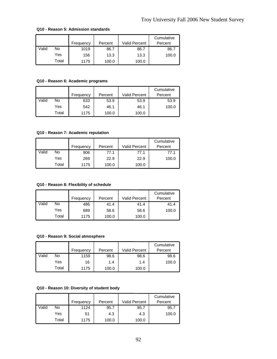|       |       | Frequency | Percent | Valid Percent | Cumulative<br>Percent |
|-------|-------|-----------|---------|---------------|-----------------------|
| Valid | No    | 1019      | 86.7    | 86.7          | 86.7                  |
|       | Yes   | 156       | 13.3    | 13.3          | 100.0                 |
|       | Total | 1175      | 100.0   | 100.0         |                       |

#### **Q10 - Reason 5: Admission standards**

# **Q10 - Reason 6: Academic programs**

|       |       | Frequency | Percent | <b>Valid Percent</b> | Cumulative<br>Percent |
|-------|-------|-----------|---------|----------------------|-----------------------|
| Valid | No    | 633       | 53.9    | 53.9                 | 53.9                  |
|       | Yes   | 542       | 46.1    | 46.1                 | 100.0                 |
|       | Total | 1175      | 100.0   | 100.0                |                       |

# **Q10 - Reason 7: Academic reputation**

|       |       |           |         |                      | Cumulative |
|-------|-------|-----------|---------|----------------------|------------|
|       |       | Frequency | Percent | <b>Valid Percent</b> | Percent    |
| Valid | No    | 906       | 77.1    | 77.1                 | 77.1       |
|       | Yes   | 269       | 22.9    | 22.9                 | 100.0      |
|       | Total | 1175      | 100.0   | 100.0                |            |

# **Q10 - Reason 8: Flexibility of schedule**

|       |       | Frequency | Percent | <b>Valid Percent</b> | Cumulative<br>Percent |
|-------|-------|-----------|---------|----------------------|-----------------------|
| Valid | No    | 486       | 41.4    | 41.4                 | 41.4                  |
|       | Yes   | 689       | 58.6    | 58.6                 | 100.0                 |
|       | Total | 1175      | 100.0   | 100.0                |                       |

#### **Q10 - Reason 9: Social atmosphere**

|       |       | Frequency | Percent | <b>Valid Percent</b> | Cumulative<br>Percent |
|-------|-------|-----------|---------|----------------------|-----------------------|
| Valid | No    | 1159      | 98.6    | 98.6                 | 98.6                  |
|       | Yes   | 16        | 1.4     | 1.4                  | 100.0                 |
|       | Total | 1175      | 100.0   | 100.0                |                       |

# **Q10 - Reason 10: Diversity of student body**

|       |       | Frequency | Percent | <b>Valid Percent</b> | Cumulative<br>Percent |
|-------|-------|-----------|---------|----------------------|-----------------------|
|       |       |           |         |                      |                       |
| Valid | No    | 1124      | 95.7    | 95.7                 | 95.7                  |
|       | Yes   | 51        | 4.3     | 4.3                  | 100.0                 |
|       | Total | 1175      | 100.0   | 100.0                |                       |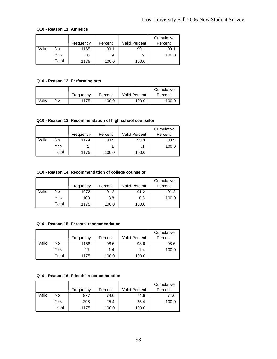## **Q10 - Reason 11: Athletics**

|       |       |           |         |                      | Cumulative |
|-------|-------|-----------|---------|----------------------|------------|
|       |       | Frequency | Percent | <b>Valid Percent</b> | Percent    |
| Valid | No    | 1165      | 99.1    | 99.1                 | 99.1       |
|       | Yes   | 10        | .9      | .9                   | 100.0      |
|       | Total | 1175      | 100.0   | 100.0                |            |

# **Q10 - Reason 12: Performing arts**

|       |    |           |         |                      | Cumulative |
|-------|----|-----------|---------|----------------------|------------|
|       |    | Frequency | Percent | <b>Valid Percent</b> | Percent    |
| Valid | No | 1175      | 100.0   | 100.0                | 100.0      |

# **Q10 - Reason 13: Recommendation of high school counselor**

|       |       | Frequency | Percent | <b>Valid Percent</b> | Cumulative<br>Percent |
|-------|-------|-----------|---------|----------------------|-----------------------|
| Valid | No    | 1174      | 99.9    | 99.9                 | 99.9                  |
|       | Yes   |           |         |                      | 100.0                 |
|       | Total | 1175      | 100.0   | 100.0                |                       |

## **Q10 - Reason 14: Recommendation of college counselor**

|       |       | Frequency | Percent | <b>Valid Percent</b> | Cumulative<br>Percent |
|-------|-------|-----------|---------|----------------------|-----------------------|
| Valid | No    | 1072      | 91.2    | 91.2                 | 91.2                  |
|       | Yes   | 103       | 8.8     | 8.8                  | 100.0                 |
|       | Total | 1175      | 100.0   | 100.0                |                       |

#### **Q10 - Reason 15: Parents' recommendation**

|       |       | Frequency | Percent | <b>Valid Percent</b> | Cumulative<br>Percent |
|-------|-------|-----------|---------|----------------------|-----------------------|
| Valid | No    | 1158      | 98.6    | 98.6                 | 98.6                  |
|       | Yes   | 17        | 1.4     | 1.4                  | 100.0                 |
|       | Total | 1175      | 100.0   | 100.0                |                       |

## **Q10 - Reason 16: Friends' recommendation**

|       |       | Frequency | Percent | <b>Valid Percent</b> | Cumulative<br>Percent |
|-------|-------|-----------|---------|----------------------|-----------------------|
| Valid | No    | 877       | 74.6    | 74.6                 | 74.6                  |
|       | Yes   | 298       | 25.4    | 25.4                 | 100.0                 |
|       | Total | 1175      | 100.0   | 100.0                |                       |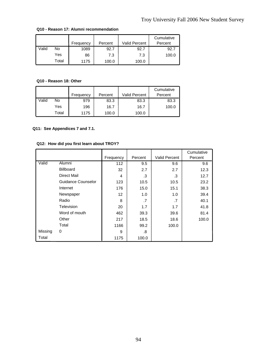|       |       |           |         |               | Cumulative |
|-------|-------|-----------|---------|---------------|------------|
|       |       | Frequency | Percent | Valid Percent | Percent    |
| Valid | No    | 1089      | 92.7    | 92.7          | 92.7       |
|       | Yes   | 86        | 7.3     | 7.3           | 100.0      |
|       | Total | 1175      | 100.0   | 100.0         |            |

#### **Q10 - Reason 17: Alumni recommendation**

# **Q10 - Reason 18: Other**

|       |       | Frequency | Percent | <b>Valid Percent</b> | Cumulative<br>Percent |
|-------|-------|-----------|---------|----------------------|-----------------------|
| Valid | No    | 979       | 83.3    | 83.3                 | 83.3                  |
|       | Yes   | 196       | 16.7    | 16.7                 | 100.0                 |
|       | Total | 1175      | 100.0   | 100.0                |                       |

# **Q11: See Appendices 7 and 7.1.**

# **Q12: How did you first learn about TROY?**

|         |                    |                   |         |                      | Cumulative |
|---------|--------------------|-------------------|---------|----------------------|------------|
|         |                    | Frequency         | Percent | <b>Valid Percent</b> | Percent    |
| Valid   | Alumni             | 112               | 9.5     | 9.6                  | 9.6        |
|         | <b>Billboard</b>   | 32                | 2.7     | 2.7                  | 12.3       |
|         | Direct Mail        | 4                 | .3      | .3                   | 12.7       |
|         | Guidance Counselor | 123               | 10.5    | 10.5                 | 23.2       |
|         | Internet           | 176               | 15.0    | 15.1                 | 38.3       |
|         | Newspaper          | $12 \overline{ }$ | 1.0     | 1.0                  | 39.4       |
|         | Radio              | 8                 | .7      | .7                   | 40.1       |
|         | Television         | 20                | 1.7     | 1.7                  | 41.8       |
|         | Word of mouth      | 462               | 39.3    | 39.6                 | 81.4       |
|         | Other              | 217               | 18.5    | 18.6                 | 100.0      |
|         | Total              | 1166              | 99.2    | 100.0                |            |
| Missing | 0                  | 9                 | .8      |                      |            |
| Total   |                    | 1175              | 100.0   |                      |            |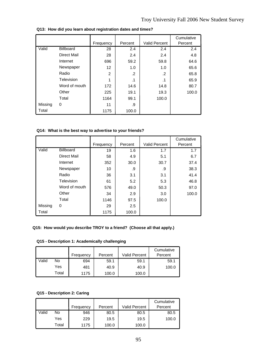|         |                    | Frequency      | Percent | Valid Percent | Cumulative<br>Percent |
|---------|--------------------|----------------|---------|---------------|-----------------------|
| Valid   | <b>Billboard</b>   | 28             | 2.4     | 2.4           | 2.4                   |
|         | <b>Direct Mail</b> | 28             | 2.4     | 2.4           | 4.8                   |
|         | Internet           | 696            | 59.2    | 59.8          | 64.6                  |
|         | Newspaper          | 12             | 1.0     | 1.0           | 65.6                  |
|         | Radio              | $\overline{2}$ | .2      | .2            | 65.8                  |
|         | Television         | 1              | .1      | .1            | 65.9                  |
|         | Word of mouth      | 172            | 14.6    | 14.8          | 80.7                  |
|         | Other              | 225            | 19.1    | 19.3          | 100.0                 |
|         | Total              | 1164           | 99.1    | 100.0         |                       |
| Missing | 0                  | 11             | .9      |               |                       |
| Total   |                    | 1175           | 100.0   |               |                       |

**Q13: How did you learn about registration dates and times?**

# **Q14: What is the best way to advertise to your friends?**

|         |               | Frequency | Percent | <b>Valid Percent</b> | Cumulative<br>Percent |
|---------|---------------|-----------|---------|----------------------|-----------------------|
| Valid   | Billboard     | 19        | 1.6     | 1.7                  | 1.7                   |
|         | Direct Mail   | 58        | 4.9     | 5.1                  | 6.7                   |
|         | Internet      | 352       | 30.0    | 30.7                 | 37.4                  |
|         | Newspaper     | 10        | .9      | .9                   | 38.3                  |
|         | Radio         | 36        | 3.1     | 3.1                  | 41.4                  |
|         | Television    | 61        | 5.2     | 5.3                  | 46.8                  |
|         | Word of mouth | 576       | 49.0    | 50.3                 | 97.0                  |
|         | Other         | 34        | 2.9     | 3.0                  | 100.0                 |
|         | Total         | 1146      | 97.5    | 100.0                |                       |
| Missing | 0             | 29        | 2.5     |                      |                       |
| Total   |               | 1175      | 100.0   |                      |                       |

# **Q15: How would you describe TROY to a friend? (Choose all that apply.)**

# **Q15 - Description 1: Academically challenging**

|       |       | Frequency | Percent | <b>Valid Percent</b> | Cumulative<br>Percent |
|-------|-------|-----------|---------|----------------------|-----------------------|
| Valid | No    | 694       | 59.1    | 59.1                 | 59.1                  |
|       | Yes   | 481       | 40.9    | 40.9                 | 100.0                 |
|       | Total | 1175      | 100.0   | 100.0                |                       |

# **Q15 - Description 2: Caring**

|       |       |           |         |               | Cumulative |
|-------|-------|-----------|---------|---------------|------------|
|       |       | Frequency | Percent | Valid Percent | Percent    |
| Valid | No    | 946       | 80.5    | 80.5          | 80.5       |
|       | Yes   | 229       | 19.5    | 19.5          | 100.0      |
|       | Total | 1175      | 100.0   | 100.0         |            |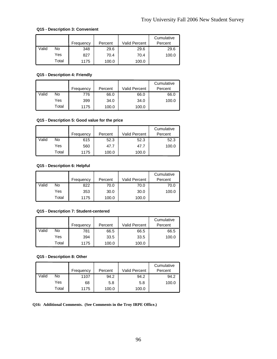# **Q15 - Description 3: Convenient**

|       |       |           |         |                      | Cumulative |
|-------|-------|-----------|---------|----------------------|------------|
|       |       | Frequency | Percent | <b>Valid Percent</b> | Percent    |
| Valid | No    | 348       | 29.6    | 29.6                 | 29.6       |
|       | Yes   | 827       | 70.4    | 70.4                 | 100.0      |
|       | Total | 1175      | 100.0   | 100.0                |            |

# **Q15 - Description 4: Friendly**

|       |       |           |         |                      | Cumulative |
|-------|-------|-----------|---------|----------------------|------------|
|       |       | Frequency | Percent | <b>Valid Percent</b> | Percent    |
| Valid | No    | 776       | 66.0    | 66.0                 | 66.0       |
|       | Yes   | 399       | 34.0    | 34.0                 | 100.0      |
|       | Total | 1175      | 100.0   | 100.0                |            |

# **Q15 - Description 5: Good value for the price**

|       |       | Frequency | Percent | <b>Valid Percent</b> | Cumulative<br>Percent |
|-------|-------|-----------|---------|----------------------|-----------------------|
| Valid | No    | 615       | 52.3    | 52.3                 | 52.3                  |
|       | Yes   | 560       | 47.7    | 47.7                 | 100.0                 |
|       | Total | 1175      | 100.0   | 100.0                |                       |

# **Q15 - Description 6: Helpful**

|       |       |           |         |                      | Cumulative |
|-------|-------|-----------|---------|----------------------|------------|
|       |       | Frequency | Percent | <b>Valid Percent</b> | Percent    |
| Valid | No    | 822       | 70.0    | 70.0                 | 70.0       |
|       | Yes   | 353       | 30.0    | 30.0                 | 100.0      |
|       | Total | 1175      | 100.0   | 100.0                |            |

#### **Q15 - Description 7: Student-centered**

|       |       | Frequency | Percent | <b>Valid Percent</b> | Cumulative<br>Percent |
|-------|-------|-----------|---------|----------------------|-----------------------|
| Valid | No    | 781       | 66.5    | 66.5                 | 66.5                  |
|       | Yes   | 394       | 33.5    | 33.5                 | 100.0                 |
|       | Total | 1175      | 100.0   | 100.0                |                       |

### **Q15 - Description 8: Other**

|       |       |           |         |                      | Cumulative |
|-------|-------|-----------|---------|----------------------|------------|
|       |       | Frequency | Percent | <b>Valid Percent</b> | Percent    |
| Valid | No    | 1107      | 94.2    | 94.2                 | 94.2       |
|       | Yes   | 68        | 5.8     | 5.8                  | 100.0      |
|       | Total | 1175      | 100.0   | 100.0                |            |

**Q16: Additional Comments. (See Comments in the Troy IRPE Office.)**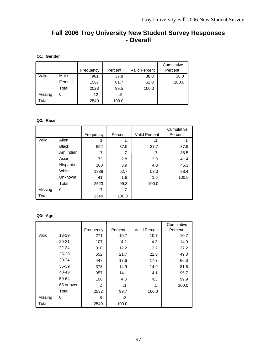# **Fall 2006 Troy University New Student Survey Responses - Overall**

# **Q1: Gender**

|         |        |           |         |                      | Cumulative |
|---------|--------|-----------|---------|----------------------|------------|
|         |        | Frequency | Percent | <b>Valid Percent</b> | Percent    |
| Valid   | Male   | 961       | 37.8    | 38.0                 | 38.0       |
|         | Female | 1567      | 61.7    | 62.0                 | 100.0      |
|         | Total  | 2528      | 99.5    | 100.0                |            |
| Missing | 0      | 12        | .5      |                      |            |
| Total   |        | 2540      | 100.0   |                      |            |

# **Q2: Race**

|         |              |           |           |                      | Cumulative |
|---------|--------------|-----------|-----------|----------------------|------------|
|         |              | Frequency | Percent   | <b>Valid Percent</b> | Percent    |
| Valid   | Alien        | 3         | $\cdot$ 1 | .1                   | .1         |
|         | <b>Black</b> | 952       | 37.5      | 37.7                 | 37.9       |
|         | Am Indian    | 17        | .7        | .7                   | 38.5       |
|         | Asian        | 72        | 2.8       | 2.9                  | 41.4       |
|         | Hispanic     | 100       | 3.9       | 4.0                  | 45.3       |
|         | White        | 1338      | 52.7      | 53.0                 | 98.4       |
|         | Unknown      | 41        | 1.6       | 1.6                  | 100.0      |
|         | Total        | 2523      | 99.3      | 100.0                |            |
| Missing | 0            | 17        | .7        |                      |            |
| Total   |              | 2540      | 100.0     |                      |            |

# **Q3: Age**

|         |            |                |         |                      | Cumulative |
|---------|------------|----------------|---------|----------------------|------------|
|         |            | Frequency      | Percent | <b>Valid Percent</b> | Percent    |
| Valid   | 18-19      | 271            | 10.7    | 10.7                 | 10.7       |
|         | $20 - 21$  | 107            | 4.2     | 4.2                  | 14.9       |
|         | $22 - 24$  | 310            | 12.2    | 12.2                 | 27.2       |
|         | 25-29      | 552            | 21.7    | 21.8                 | 49.0       |
|         | 30-34      | 447            | 17.6    | 17.7                 | 66.6       |
|         | 35-39      | 378            | 14.9    | 14.9                 | 81.6       |
|         | 40-49      | 357            | 14.1    | 14.1                 | 95.7       |
|         | 50-64      | 108            | 4.3     | 4.3                  | 99.9       |
|         | 65 or over | $\overline{2}$ | .1      | .1                   | 100.0      |
|         | Total      | 2532           | 99.7    | 100.0                |            |
| Missing | 0          | 8              | .3      |                      |            |
| Total   |            | 2540           | 100.0   |                      |            |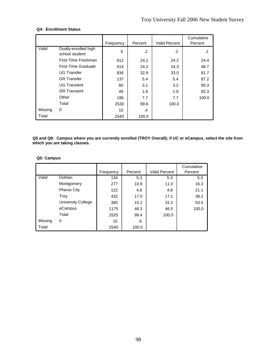# **Q4: Enrollment Status**

|         |                                        | Frequency | Percent | <b>Valid Percent</b> | Cumulative<br>Percent |
|---------|----------------------------------------|-----------|---------|----------------------|-----------------------|
| Valid   | Dually-enrolled high<br>school student | 6         | .2      | .2                   | $\cdot$ 2             |
|         | First-Time Freshman                    | 612       | 24.1    | 24.2                 | 24.4                  |
|         | First-Time Graduate                    | 614       | 24.2    | 24.3                 | 48.7                  |
|         | <b>UG Transfer</b>                     | 836       | 32.9    | 33.0                 | 81.7                  |
|         | <b>GR</b> Transfer                     | 137       | 5.4     | 5.4                  | 87.2                  |
|         | <b>UG Transient</b>                    | 80        | 3.1     | 3.2                  | 90.3                  |
|         | <b>GR Transient</b>                    | 49        | 1.9     | 1.9                  | 92.3                  |
|         | Other                                  | 196       | 7.7     | 7.7                  | 100.0                 |
|         | Total                                  | 2530      | 99.6    | 100.0                |                       |
| Missing | 0                                      | 10        | .4      |                      |                       |
| Total   |                                        | 2540      | 100.0   |                      |                       |

**Q5 and Q6: Campus where you are currently enrolled (TROY Overall); if UC or eCampus, select the site from which you are taking classes.** 

# **Q5: Campus**

|         |                    |           |         |               | Cumulative |
|---------|--------------------|-----------|---------|---------------|------------|
|         |                    | Frequency | Percent | Valid Percent | Percent    |
| Valid   | Dothan             | 134       | 5.3     | 5.3           | 5.3        |
|         | Montgomery         | 277       | 10.9    | 11.0          | 16.3       |
|         | <b>Phenix City</b> | 122       | 4.8     | 4.8           | 21.1       |
|         | Troy               | 432       | 17.0    | 17.1          | 38.2       |
|         | University College | 385       | 15.2    | 15.2          | 53.5       |
|         | eCampus            | 1175      | 46.3    | 46.5          | 100.0      |
|         | Total              | 2525      | 99.4    | 100.0         |            |
| Missing | 0                  | 15        | .6      |               |            |
| Total   |                    | 2540      | 100.0   |               |            |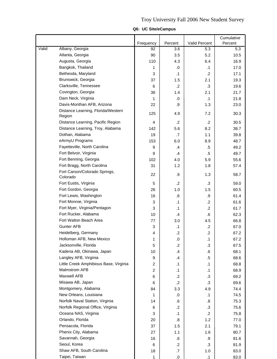|       | Troy University Fall 2006 New Student Survey |           |              |               |                       |  |  |  |  |
|-------|----------------------------------------------|-----------|--------------|---------------|-----------------------|--|--|--|--|
|       | Q6: UC Site/eCampus                          |           |              |               |                       |  |  |  |  |
|       |                                              | Frequency | Percent      | Valid Percent | Cumulative<br>Percent |  |  |  |  |
| Valid | Albany, Georgia                              | 92        | 3.6          | 5.3           | 5.3                   |  |  |  |  |
|       | Atlanta, Georgia                             | 90        | 3.5          | 5.2           | 10.5                  |  |  |  |  |
|       | Augusta, Georgia                             | 110       | 4.3          | 6.4           | 16.9                  |  |  |  |  |
|       | Bangkok, Thailand                            | 1         | .0           | $\cdot$ 1     | 17.0                  |  |  |  |  |
|       | Bethesda, Maryland                           | 3         | $\cdot$ 1    | $\cdot$       | 17.1                  |  |  |  |  |
|       | Brunswick, Georgia                           | 37        | 1.5          | 2.1           | 19.3                  |  |  |  |  |
|       | Clarksville, Tennessee                       | 6         | $\cdot$      | .3            | 19.6                  |  |  |  |  |
|       | Covington, Georgia                           | 36        | 1.4          | 2.1           | 21.7                  |  |  |  |  |
|       | Dam Neck, Virginia                           |           | .0           | $\cdot$ 1     | 21.8                  |  |  |  |  |
|       | Davis-Monthan AFB, Arizona                   | 22        | .9           | 1.3           | 23.0                  |  |  |  |  |
|       | Distance Learning, Florida/Western<br>Region | 125       | 4.9          | 7.2           | 30.3                  |  |  |  |  |
|       | Distance Learning, Pacific Region            | 4         | $\cdot$      | $\cdot$       | 30.5                  |  |  |  |  |
|       | Distance Learning, Troy, Alabama             | 142       | 5.6          | 8.2           | 38.7                  |  |  |  |  |
|       | Dothan, Alabama                              | 19        | .7           | 1.1           | 39.8                  |  |  |  |  |
|       | eArmyU Programs                              | 153       | 6.0          | 8.9           | 48.7                  |  |  |  |  |
|       | Fayetteville, North Carolina                 | 9         | $\mathbf{A}$ | .5            | 49.2                  |  |  |  |  |
|       | Fort Belvoir, Virginia                       | 9         | $\cdot$      | .5            | 49.7                  |  |  |  |  |
|       | Fort Benning, Georgia                        | 102       | 4.0          | 5.9           | 55.6                  |  |  |  |  |

|       |                                              |                         |                   |                      | Cumulative |
|-------|----------------------------------------------|-------------------------|-------------------|----------------------|------------|
| Valid | Albany, Georgia                              | Frequency               | Percent           | <b>Valid Percent</b> | Percent    |
|       | Atlanta, Georgia                             | 92<br>90                | 3.6               | 5.3<br>5.2           | 5.3        |
|       |                                              |                         | 3.5               |                      | 10.5       |
|       | Augusta, Georgia                             | 110                     | 4.3               | 6.4                  | 16.9       |
|       | Bangkok, Thailand                            | 1                       | .0                | $\cdot$ 1            | 17.0       |
|       | Bethesda, Maryland                           | 3                       | $\cdot$ 1         | $\cdot$              | 17.1       |
|       | Brunswick, Georgia                           | 37                      | 1.5               | 2.1                  | 19.3       |
|       | Clarksville, Tennessee                       | 6                       | $\cdot$           | $\cdot$ 3            | 19.6       |
|       | Covington, Georgia                           | 36                      | 1.4               | 2.1                  | 21.7       |
|       | Dam Neck, Virginia                           | $\mathbf{1}$            | .0                | $\cdot$ 1            | 21.8       |
|       | Davis-Monthan AFB, Arizona                   | 22                      | .9                | 1.3                  | 23.0       |
|       | Distance Learning, Florida/Western<br>Region | 125                     | 4.9               | 7.2                  | 30.3       |
|       | Distance Learning, Pacific Region            | 4                       | $\cdot$           | $\cdot$              | 30.5       |
|       | Distance Learning, Troy, Alabama             | 142                     | 5.6               | 8.2                  | 38.7       |
|       | Dothan, Alabama                              | 19                      | $\cdot$ 7         | 1.1                  | 39.8       |
|       | eArmyU Programs                              | 153                     | 6.0               | 8.9                  | 48.7       |
|       | Fayetteville, North Carolina                 | 9                       | .4                | .5                   | 49.2       |
|       | Fort Belvoir, Virginia                       | 9                       | .4                | $.5\,$               | 49.7       |
|       | Fort Benning, Georgia                        | 102                     | 4.0               | 5.9                  | 55.6       |
|       | Fort Bragg, North Carolina                   | 31                      | 1.2               | 1.8                  | 57.4       |
|       | Fort Carson/Colorado Springs,<br>Colorado    | 22                      | .9                | 1.3                  | 58.7       |
|       | Fort Eustis, Virginia                        | 5                       | $\cdot$ .2        | $\cdot$ 3            | 59.0       |
|       | Fort Gordon, Georgia                         | 26                      | 1.0               | 1.5                  | 60.5       |
|       | Fort Lewis, Washington                       | 16                      | .6                | .9                   | 61.4       |
|       | Fort Monroe, Virginia                        | 3                       | $\cdot$ 1         | $\cdot$              | 61.6       |
|       | Fort Myer, Virginia/Pentagon                 | 3                       | $\cdot$ 1         | $\overline{2}$       | 61.7       |
|       | Fort Rucker, Alabama                         | 10                      | $\mathcal{A}$     | 6.6                  | 62.3       |
|       | Fort Walton Beach Area                       | 77                      | 3.0               | 4.5                  | 66.8       |
|       | <b>Gunter AFB</b>                            | 3                       | $\cdot$ 1         | $\cdot$              | 67.0       |
|       | Heidelberg, Germany                          | $\overline{4}$          | $\cdot$           | $\cdot$ .2           | 67.2       |
|       | Holloman AFB, New Mexico                     | 1                       | $\cdot 0$         | $\cdot$ 1            | 67.2       |
|       | Jacksonville, Florida                        | 5                       | $\cdot$           | .3                   | 67.5       |
|       | Kadena AB, Okinawa, Japan                    | 10                      | $\mathbf{.4}$     | 6.6                  | 68.1       |
|       | Langley AFB, Virginia                        | 9                       | $\mathcal{A}$     | $.5\,$               | 68.6       |
|       | Little Creek Amphibious Base, Virginia       | 2                       | $\cdot$ 1         | $\cdot$ 1            | 68.8       |
|       | Malmstrom AFB                                | $\overline{\mathbf{c}}$ | $\cdot$ 1         | $\cdot$ 1            | 68.9       |
|       | Maxwell AFB                                  | 6                       | $\cdot$ .2        | $\cdot$ 3            | 69.2       |
|       | Misawa AB, Japan                             | 6                       | $\cdot$           | $\cdot$ 3            | 69.6       |
|       | Montgomery, Alabama                          | 84                      | 3.3               | 4.9                  | 74.4       |
|       | New Orleans, Louisiana                       | 1                       | .0                | $\cdot$ 1            | 74.5       |
|       | Norfolk Naval Station, Virginia              | 14                      |                   |                      | 75.3       |
|       | Norfolk Regional Office, Virginia            | 6                       | .6<br>.2          | .8<br>.3             | 75.6       |
|       | Oceana NAS, Virginia                         | 3                       | $\cdot$ 1         | $\cdot$              | 75.8       |
|       | Orlando, Florida                             |                         |                   |                      |            |
|       |                                              | 20                      | $\boldsymbol{.8}$ | 1.2                  | 77.0       |
|       | Pensacola, Florida                           | 37                      | 1.5               | 2.1                  | 79.1       |
|       | Phenix City, Alabama                         | 27                      | 1.1               | 1.6                  | 80.7       |
|       | Savannah, Georgia                            | 16                      | .6                | .9                   | 81.6       |
|       | Seoul, Korea                                 | 6                       | $\cdot$ .2        | $\cdot$ 3            | 81.9       |
|       | Shaw AFB, South Carolina                     | 18                      | $\cdot$ 7         | 1.0                  | 83.0       |
|       | Taipei, Taiwan                               |                         | 0.                |                      | 83.0       |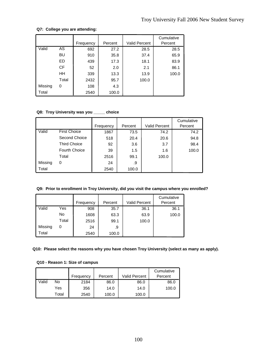# **Q7: College you are attending:**

|         |           |           |         |                      | Cumulative |
|---------|-----------|-----------|---------|----------------------|------------|
|         |           | Frequency | Percent | <b>Valid Percent</b> | Percent    |
| Valid   | AS        | 692       | 27.2    | 28.5                 | 28.5       |
|         | BU        | 910       | 35.8    | 37.4                 | 65.9       |
|         | ED        | 439       | 17.3    | 18.1                 | 83.9       |
|         | <b>CF</b> | 52        | 2.0     | 2.1                  | 86.1       |
|         | HH        | 339       | 13.3    | 13.9                 | 100.0      |
|         | Total     | 2432      | 95.7    | 100.0                |            |
| Missing | 0         | 108       | 4.3     |                      |            |
| Total   |           | 2540      | 100.0   |                      |            |

# **Q8: Troy University was you \_\_\_\_\_ choice**

|         |                      |           |         |                      | Cumulative |
|---------|----------------------|-----------|---------|----------------------|------------|
|         |                      | Frequency | Percent | <b>Valid Percent</b> | Percent    |
| Valid   | <b>First Choice</b>  | 1867      | 73.5    | 74.2                 | 74.2       |
|         | Second Choice        | 518       | 20.4    | 20.6                 | 94.8       |
|         | <b>Third Choice</b>  | 92        | 3.6     | 3.7                  | 98.4       |
|         | <b>Fourth Choice</b> | 39        | 1.5     | 1.6                  | 100.0      |
|         | Total                | 2516      | 99.1    | 100.0                |            |
| Missing | 0                    | 24        | .9      |                      |            |
| Total   |                      | 2540      | 100.0   |                      |            |

# **Q9: Prior to enrollment in Troy University, did you visit the campus where you enrolled?**

|         |       | Frequency | Percent | <b>Valid Percent</b> | Cumulative<br>Percent |
|---------|-------|-----------|---------|----------------------|-----------------------|
| Valid   | Yes   | 908       | 35.7    | 36.1                 | 36.1                  |
|         | No    | 1608      | 63.3    | 63.9                 | 100.0                 |
|         | Total | 2516      | 99.1    | 100.0                |                       |
| Missing | 0     | 24        | .9      |                      |                       |
| Total   |       | 2540      | 100.0   |                      |                       |

**Q10: Please select the reasons why you have chosen Troy University (select as many as apply).** 

# **Q10 - Reason 1: Size of campus**

|       |       |           |         |                      | Cumulative |
|-------|-------|-----------|---------|----------------------|------------|
|       |       | Frequency | Percent | <b>Valid Percent</b> | Percent    |
| Valid | No    | 2184      | 86.0    | 86.0                 | 86.0       |
|       | Yes   | 356       | 14.0    | 14.0                 | 100.0      |
|       | Total | 2540      | 100.0   | 100.0                |            |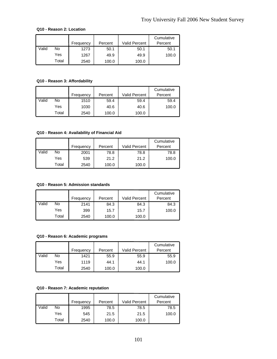#### **Q10 - Reason 2: Location**

|       |       |           |         |                      | Cumulative |
|-------|-------|-----------|---------|----------------------|------------|
|       |       | Frequency | Percent | <b>Valid Percent</b> | Percent    |
| Valid | No    | 1273      | 50.1    | 50.1                 | 50.1       |
|       | Yes   | 1267      | 49.9    | 49.9                 | 100.0      |
|       | Total | 2540      | 100.0   | 100.0                |            |

# **Q10 - Reason 3: Affordability**

|       |       | Frequency | Percent | <b>Valid Percent</b> | Cumulative<br>Percent |
|-------|-------|-----------|---------|----------------------|-----------------------|
| Valid | No    | 1510      | 59.4    | 59.4                 | 59.4                  |
|       | Yes   | 1030      | 40.6    | 40.6                 | 100.0                 |
|       | Total | 2540      | 100.0   | 100.0                |                       |

# **Q10 - Reason 4: Availability of Financial Aid**

|       |       |           |         |               | Cumulative |
|-------|-------|-----------|---------|---------------|------------|
|       |       | Frequency | Percent | Valid Percent | Percent    |
| Valid | No    | 2001      | 78.8    | 78.8          | 78.8       |
|       | Yes   | 539       | 21.2    | 21.2          | 100.0      |
|       | Total | 2540      | 100.0   | 100.0         |            |

# **Q10 - Reason 5: Admission standards**

|       |       | Frequency | Percent | <b>Valid Percent</b> | Cumulative<br>Percent |
|-------|-------|-----------|---------|----------------------|-----------------------|
| Valid | No    | 2141      | 84.3    | 84.3                 | 84.3                  |
|       | Yes   | 399       | 15.7    | 15.7                 | 100.0                 |
|       | Total | 2540      | 100.0   | 100.0                |                       |

#### **Q10 - Reason 6: Academic programs**

|       |       | Frequency | Percent | <b>Valid Percent</b> | Cumulative<br>Percent |
|-------|-------|-----------|---------|----------------------|-----------------------|
| Valid | No    | 1421      | 55.9    | 55.9                 | 55.9                  |
|       | Yes   | 1119      | 44.1    | 44.1                 | 100.0                 |
|       | Total | 2540      | 100.0   | 100.0                |                       |

# **Q10 - Reason 7: Academic reputation**

|       |       | Frequency | Percent | Valid Percent | Cumulative<br>Percent |
|-------|-------|-----------|---------|---------------|-----------------------|
| Valid | No    | 1995      | 78.5    | 78.5          | 78.5                  |
|       | Yes   | 545       | 21.5    | 21.5          | 100.0                 |
|       | Total | 2540      | 100.0   | 100.0         |                       |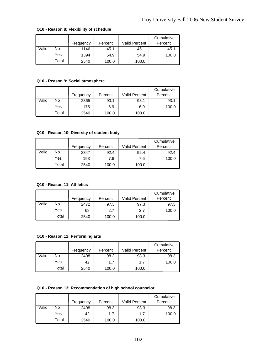|       |       | Frequency | Percent | Valid Percent | Cumulative<br>Percent |
|-------|-------|-----------|---------|---------------|-----------------------|
| Valid | No    | 1146      | 45.1    | 45.1          | 45.1                  |
|       | Yes   | 1394      | 54.9    | 54.9          | 100.0                 |
|       | Total | 2540      | 100.0   | 100.0         |                       |

#### **Q10 - Reason 8: Flexibility of schedule**

#### **Q10 - Reason 9: Social atmosphere**

|       |       | Frequency | Percent | Valid Percent | Cumulative<br>Percent |
|-------|-------|-----------|---------|---------------|-----------------------|
| Valid | No    | 2365      | 93.1    | 93.1          | 93.1                  |
|       | Yes   | 175       | 6.9     | 6.9           | 100.0                 |
|       | Total | 2540      | 100.0   | 100.0         |                       |

# **Q10 - Reason 10: Diversity of student body**

|       |       |           |         |                      | Cumulative |
|-------|-------|-----------|---------|----------------------|------------|
|       |       | Frequency | Percent | <b>Valid Percent</b> | Percent    |
| Valid | No    | 2347      | 92.4    | 92.4                 | 92.4       |
|       | Yes   | 193       | 7.6     | 7.6                  | 100.0      |
|       | Total | 2540      | 100.0   | 100.0                |            |

## **Q10 - Reason 11: Athletics**

|       |       |           |         |                      | Cumulative |
|-------|-------|-----------|---------|----------------------|------------|
|       |       | Frequency | Percent | <b>Valid Percent</b> | Percent    |
| Valid | No    | 2472      | 97.3    | 97.3                 | 97.3       |
|       | Yes   | 68        | 2.7     | 2.7                  | 100.0      |
|       | Total | 2540      | 100.0   | 100.0                |            |

#### **Q10 - Reason 12: Performing arts**

|       |       | Frequency | Percent | <b>Valid Percent</b> | Cumulative<br>Percent |
|-------|-------|-----------|---------|----------------------|-----------------------|
| Valid | No    | 2498      | 98.3    | 98.3                 | 98.3                  |
|       | Yes   | 42        | 1.7     | 1.7                  | 100.0                 |
|       | Total | 2540      | 100.0   | 100.0                |                       |

#### **Q10 - Reason 13: Recommendation of high school counselor**

|       |       |           |         |               | Cumulative |
|-------|-------|-----------|---------|---------------|------------|
|       |       | Frequency | Percent | Valid Percent | Percent    |
| Valid | No    | 2498      | 98.3    | 98.3          | 98.3       |
|       | Yes   | 42        | 1.7     | 1.7           | 100.0      |
|       | Total | 2540      | 100.0   | 100.0         |            |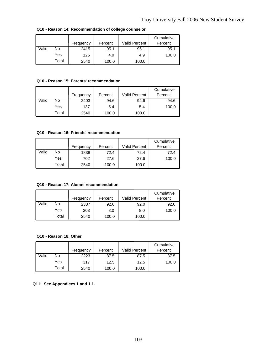|       |       |           |         |                      | Cumulative |
|-------|-------|-----------|---------|----------------------|------------|
|       |       | Frequency | Percent | <b>Valid Percent</b> | Percent    |
| Valid | No    | 2415      | 95.1    | 95.1                 | 95.1       |
|       | Yes   | 125       | 4.9     | 4.9                  | 100.0      |
|       | Total | 2540      | 100.0   | 100.0                |            |

**Q10 - Reason 14: Recommendation of college counselor**

## **Q10 - Reason 15: Parents' recommendation**

|       |       | Frequency | Percent | <b>Valid Percent</b> | Cumulative<br>Percent |
|-------|-------|-----------|---------|----------------------|-----------------------|
| Valid | No    | 2403      | 94.6    | 94.6                 | 94.6                  |
|       | Yes   | 137       | 5.4     | 5.4                  | 100.0                 |
|       | Total | 2540      | 100.0   | 100.0                |                       |

#### **Q10 - Reason 16: Friends' recommendation**

|       |       | Frequency | Percent | <b>Valid Percent</b> | Cumulative<br>Percent |
|-------|-------|-----------|---------|----------------------|-----------------------|
| Valid | No    | 1838      | 72.4    | 72.4                 | 72.4                  |
|       | Yes   | 702       | 27.6    | 27.6                 | 100.0                 |
|       | Total | 2540      | 100.0   | 100.0                |                       |

## **Q10 - Reason 17: Alumni recommendation**

|       |       | Frequency | Percent | <b>Valid Percent</b> | Cumulative<br>Percent |
|-------|-------|-----------|---------|----------------------|-----------------------|
| Valid | No    | 2337      | 92.0    | 92.0                 | 92.0                  |
|       | Yes   | 203       | 8.0     | 8.0                  | 100.0                 |
|       | Total | 2540      | 100.0   | 100.0                |                       |

## **Q10 - Reason 18: Other**

|       |       | Frequency | Percent | Valid Percent | Cumulative<br>Percent |
|-------|-------|-----------|---------|---------------|-----------------------|
| Valid | No    | 2223      | 87.5    | 87.5          | 87.5                  |
|       | Yes   | 317       | 12.5    | 12.5          | 100.0                 |
|       | Total | 2540      | 100.0   | 100.0         |                       |

**Q11: See Appendices 1 and 1.1.**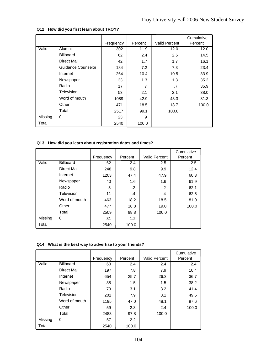|         |                    | Frequency | Percent | <b>Valid Percent</b> | Cumulative<br>Percent |
|---------|--------------------|-----------|---------|----------------------|-----------------------|
| Valid   | Alumni             | 302       | 11.9    | 12.0                 | 12.0                  |
|         | <b>Billboard</b>   | 62        | 2.4     | $2.5\,$              | 14.5                  |
|         | Direct Mail        | 42        | 1.7     | 1.7                  | 16.1                  |
|         | Guidance Counselor | 184       | 7.2     | 7.3                  | 23.4                  |
|         | Internet           | 264       | 10.4    | 10.5                 | 33.9                  |
|         | Newspaper          | 33        | 1.3     | 1.3                  | 35.2                  |
|         | Radio              | 17        | .7      | .7                   | 35.9                  |
|         | Television         | 53        | 2.1     | 2.1                  | 38.0                  |
|         | Word of mouth      | 1089      | 42.9    | 43.3                 | 81.3                  |
|         | Other              | 471       | 18.5    | 18.7                 | 100.0                 |
|         | Total              | 2517      | 99.1    | 100.0                |                       |
| Missing | 0                  | 23        | .9      |                      |                       |
| Total   |                    | 2540      | 100.0   |                      |                       |

# **Q12: How did you first learn about TROY?**

# **Q13: How did you learn about registration dates and times?**

|         |               |           |            |                      | Cumulative |
|---------|---------------|-----------|------------|----------------------|------------|
|         |               | Frequency | Percent    | <b>Valid Percent</b> | Percent    |
| Valid   | Billboard     | 62        | 2.4        | 2.5                  | 2.5        |
|         | Direct Mail   | 248       | 9.8        | 9.9                  | 12.4       |
|         | Internet      | 1203      | 47.4       | 47.9                 | 60.3       |
|         | Newspaper     | 40        | 1.6        | 1.6                  | 61.9       |
|         | Radio         | 5         | $\cdot$ .2 | .2                   | 62.1       |
|         | Television    | 11        | .4         | .4                   | 62.5       |
|         | Word of mouth | 463       | 18.2       | 18.5                 | 81.0       |
|         | Other         | 477       | 18.8       | 19.0                 | 100.0      |
|         | Total         | 2509      | 98.8       | 100.0                |            |
| Missing | 0             | 31        | 1.2        |                      |            |
| Total   |               | 2540      | 100.0      |                      |            |

# **Q14: What is the best way to advertise to your friends?**

|         |                  | Frequency | Percent          | <b>Valid Percent</b> | Cumulative<br>Percent |
|---------|------------------|-----------|------------------|----------------------|-----------------------|
| Valid   | <b>Billboard</b> | 60        | 2.4              | 2.4                  | 2.4                   |
|         | Direct Mail      | 197       | 7.8              | 7.9                  | 10.4                  |
|         | Internet         | 654       | 25.7             | 26.3                 | 36.7                  |
|         | Newspaper        | 38        | 1.5              | 1.5                  | 38.2                  |
|         | Radio            | 79        | 3.1              | 3.2                  | 41.4                  |
|         | Television       | 201       | 7.9              | 8.1                  | 49.5                  |
|         | Word of mouth    | 1195      | 47.0             | 48.1                 | 97.6                  |
|         | Other            | 59        | 2.3              | 2.4                  | 100.0                 |
|         | Total            | 2483      | 97.8             | 100.0                |                       |
| Missing | 0                | 57        | $2.2\phantom{0}$ |                      |                       |
| Total   |                  | 2540      | 100.0            |                      |                       |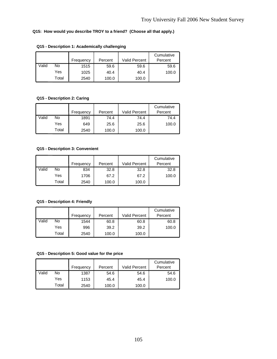# **Q15: How would you describe TROY to a friend? (Choose all that apply.)**

|       |       | Frequency | Percent | <b>Valid Percent</b> | Cumulative<br>Percent |
|-------|-------|-----------|---------|----------------------|-----------------------|
| Valid | No    | 1515      | 59.6    | 59.6                 | 59.6                  |
|       | Yes   | 1025      | 40.4    | 40.4                 | 100.0                 |
|       | Total | 2540      | 100.0   | 100.0                |                       |

# **Q15 - Description 1: Academically challenging**

# **Q15 - Description 2: Caring**

|       |       | Frequency | Percent | <b>Valid Percent</b> | Cumulative<br>Percent |
|-------|-------|-----------|---------|----------------------|-----------------------|
| Valid | No    | 1891      | 74.4    | 74.4                 | 74.4                  |
|       | Yes   | 649       | 25.6    | 25.6                 | 100.0                 |
|       | Total | 2540      | 100.0   | 100.0                |                       |

#### **Q15 - Description 3: Convenient**

|       |       |           |         |                      | Cumulative |
|-------|-------|-----------|---------|----------------------|------------|
|       |       | Frequency | Percent | <b>Valid Percent</b> | Percent    |
| Valid | No    | 834       | 32.8    | 32.8                 | 32.8       |
|       | Yes   | 1706      | 67.2    | 67.2                 | 100.0      |
|       | Total | 2540      | 100.0   | 100.0                |            |

# **Q15 - Description 4: Friendly**

|       |       |           |         |               | Cumulative |
|-------|-------|-----------|---------|---------------|------------|
|       |       | Frequency | Percent | Valid Percent | Percent    |
| Valid | No    | 1544      | 60.8    | 60.8          | 60.8       |
|       | Yes   | 996       | 39.2    | 39.2          | 100.0      |
|       | Total | 2540      | 100.0   | 100.0         |            |

## **Q15 - Description 5: Good value for the price**

|       |       | Frequency | Percent | Valid Percent | Cumulative<br>Percent |
|-------|-------|-----------|---------|---------------|-----------------------|
| Valid | No    | 1387      | 54.6    | 54.6          | 54.6                  |
|       | Yes   | 1153      | 45.4    | 45.4          | 100.0                 |
|       | Total | 2540      | 100.0   | 100.0         |                       |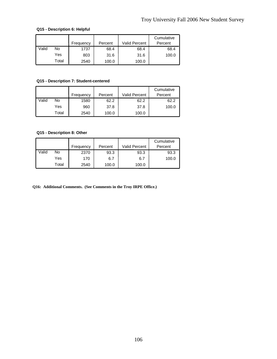# **Q15 - Description 6: Helpful**

|       |       |           |         |                      | Cumulative |
|-------|-------|-----------|---------|----------------------|------------|
|       |       | Frequency | Percent | <b>Valid Percent</b> | Percent    |
| Valid | No    | 1737      | 68.4    | 68.4                 | 68.4       |
|       | Yes   | 803       | 31.6    | 31.6                 | 100.0      |
|       | Total | 2540      | 100.0   | 100.0                |            |

# **Q15 - Description 7: Student-centered**

|       |       | Frequency | Percent | <b>Valid Percent</b> | Cumulative<br>Percent |
|-------|-------|-----------|---------|----------------------|-----------------------|
| Valid | No    | 1580      | 62.2    | 62.2                 | 62.2                  |
|       | Yes   | 960       | 37.8    | 37.8                 | 100.0                 |
|       | Total | 2540      | 100.0   | 100.0                |                       |

# **Q15 - Description 8: Other**

|       |       |           |         |               | Cumulative |
|-------|-------|-----------|---------|---------------|------------|
|       |       | Frequency | Percent | Valid Percent | Percent    |
| Valid | No    | 2370      | 93.3    | 93.3          | 93.3       |
|       | Yes   | 170       | 6.7     | 6.7           | 100.0      |
|       | Total | 2540      | 100.0   | 100.0         |            |

**Q16: Additional Comments. (See Comments in the Troy IRPE Office.)**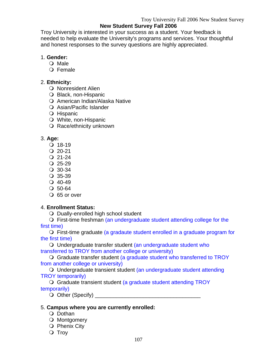### **New Student Survey Fall 2006**

Troy University is interested in your success as a student. Your feedback is needed to help evaluate the University's programs and services. Your thoughtful and honest responses to the survey questions are highly appreciated.

### 1. **Gender:**

- O Male
- O Female

### 2. **Ethnicity:**

- O Nonresident Alien
- O Black, non-Hispanic
- O American Indian/Alaska Native
- O Asian/Pacific Islander
- O Hispanic
- White, non-Hispanic
- O Race/ethnicity unknown

### 3. **Age:**

- $Q$  18-19
- $Q$  20-21
- $Q$  21-24
- $Q$  25-29
- 30-34
- $Q$  35-39
- $Q$  40-49
- $O$  50-64
- O 65 or over

### 4. **Enrollment Status:**

O Dually-enrolled high school student

 First-time freshman (an undergraduate student attending college for the first time)

 First-time graduate (a gradaute student enrolled in a graduate program for the first time)

 Undergraduate transfer student (an undergraduate student who transferred to TROY from another college or university)

 Graduate transfer student (a graduate student who transferred to TROY from another college or university)

 Undergraduate transient student (an undergraduate student attending TROY temporarily)

 Graduate transient student (a graduate student attending TROY temporarily)

Other (Specify) \_\_\_\_\_\_\_\_\_\_\_\_\_\_\_\_\_\_\_\_\_\_\_\_\_\_\_\_\_\_\_\_\_\_\_

### 5. **Campus where you are currently enrolled:**

- O Dothan
- O Montgomery
- $\bigcirc$  Phenix City
- O Trov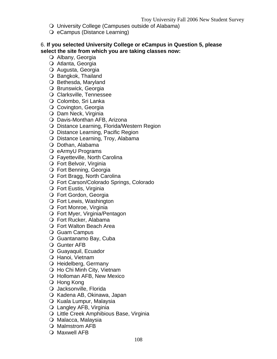- University College (Campuses outside of Alabama)
- O eCampus (Distance Learning)

#### 6. **If you selected University College or eCampus in Question 5, please select the site from which you are taking classes now:**

- O Albany, Georgia
- O Atlanta, Georgia
- Augusta, Georgia
- O Bangkok, Thailand
- O Bethesda, Maryland
- O Brunswick, Georgia
- Clarksville, Tennessee
- O Colombo, Sri Lanka
- O Covington, Georgia
- O Dam Neck, Virginia
- O Davis-Monthan AFB, Arizona
- O Distance Learning, Florida/Western Region
- O Distance Learning, Pacific Region
- O Distance Learning, Troy, Alabama
- O Dothan, Alabama
- O eArmyU Programs
- Fayetteville, North Carolina
- Fort Belvoir, Virginia
- Fort Benning, Georgia
- Fort Bragg, North Carolina
- Fort Carson/Colorado Springs, Colorado
- Fort Eustis, Virginia
- Fort Gordon, Georgia
- O Fort Lewis, Washington
- Fort Monroe, Virginia
- Fort Myer, Virginia/Pentagon
- Fort Rucker, Alabama
- Fort Walton Beach Area
- O Guam Campus
- Guantanamo Bay, Cuba
- Gunter AFB
- Guayaquil, Ecuador
- O Hanoi, Vietnam
- O Heidelberg, Germany
- Ho Chi Minh City, Vietnam
- O Holloman AFB, New Mexico
- O Hong Kong
- O Jacksonville, Florida
- O Kadena AB, Okinawa, Japan
- O Kuala Lumpur, Malaysia
- Langley AFB, Virginia
- O Little Creek Amphibious Base, Virginia
- O Malacca, Malaysia
- Malmstrom AFB
- O Maxwell AFB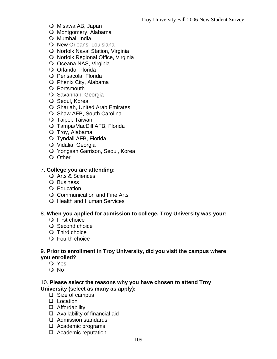- O Misawa AB, Japan
- O Montgomery, Alabama
- O Mumbai, India
- O New Orleans, Louisiana
- O Norfolk Naval Station, Virginia
- O Norfolk Regional Office, Virginia
- O Oceana NAS, Virginia
- O Orlando, Florida
- O Pensacola, Florida
- O Phenix City, Alabama
- Portsmouth
- O Savannah, Georgia
- O Seoul, Korea
- O Sharjah, United Arab Emirates
- O Shaw AFB, South Carolina
- O Taipei, Taiwan
- Tampa/MacDill AFB, Florida
- O Troy, Alabama
- Tyndall AFB, Florida
- O Vidalia, Georgia
- Yongsan Garrison, Seoul, Korea
- O Other

#### 7. **College you are attending:**

- O Arts & Sciences
- O Business
- O Education
- O Communication and Fine Arts
- O Health and Human Services

#### 8. **When you applied for admission to college, Troy University was your:**

- O First choice
- O Second choice
- O Third choice
- Fourth choice

#### 9. **Prior to enrollment in Troy University, did you visit the campus where you enrolled?**

- Yes
- O No

#### 10. **Please select the reasons why you have chosen to attend Troy University (select as many as apply):**

- $\Box$  Size of campus
- □ Location
- **Q** Affordability
- □ Availability of financial aid
- □ Admission standards
- $\Box$  Academic programs
- □ Academic reputation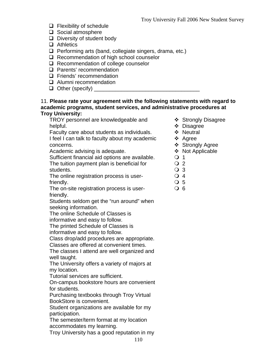- $\Box$  Flexibility of schedule
- $\Box$  Social atmosphere
- $\Box$  Diversity of student body
- □ Athletics
- $\Box$  Performing arts (band, collegiate singers, drama, etc.)
- $\Box$  Recommendation of high school counselor
- $\Box$  Recommendation of college counselor
- **Q** Parents' recommendation
- $\Box$  Friends' recommendation
- **Q** Alumni recommendation
- Other (specify) \_\_\_\_\_\_\_\_\_\_\_\_\_\_\_\_\_\_\_\_\_\_\_\_\_\_\_\_\_\_\_\_\_\_\_

#### 11. **Please rate your agreement with the following statements with regard to academic programs, student services, and administrative procedures at Troy University:**

TROY personnel are knowledgeable and helpful.

Faculty care about students as individuals.

I feel I can talk to faculty about my academic concerns.

Academic advising is adequate.

Sufficient financial aid options are available. The tuition payment plan is beneficial for students.

The online registration process is userfriendly.

The on-site registration process is userfriendly.

Students seldom get the "run around" when seeking information.

The online Schedule of Classes is

informative and easy to follow.

The printed Schedule of Classes is informative and easy to follow.

Class drop/add procedures are appropriate.

Classes are offered at convenient times.

The classes I attend are well organized and well taught.

The University offers a variety of majors at my location.

Tutorial services are sufficient.

On-campus bookstore hours are convenient for students.

Purchasing textbooks through Troy Virtual BookStore is convenient.

Student organizations are available for my participation.

The semester/term format at my location accommodates my learning.

Troy University has a good reputation in my

- ❖ Strongly Disagree
- Disagree
- ❖ Neutral
- ❖ Agree
- ❖ Strongly Agree
- ❖ Not Applicable
- $\overline{O}$  1
- $\Omega$  2
- O 3
- O 4
- O 5
- $Q<sub>6</sub>$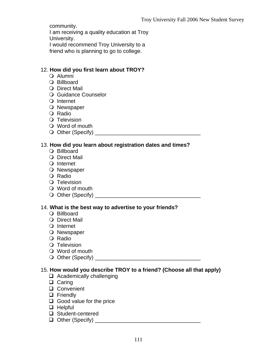community.

I am receiving a quality education at Troy University.

I would recommend Troy University to a

friend who is planning to go to college.

### 12. **How did you first learn about TROY?**

- Alumni
- O Billboard
- O Direct Mail
- O Guidance Counselor
- Q Internet
- O Newspaper
- O Radio
- O Television
- Word of mouth
- Other (Specify) \_\_\_\_\_\_\_\_\_\_\_\_\_\_\_\_\_\_\_\_\_\_\_\_\_\_\_\_\_\_\_\_\_\_\_

#### 13. **How did you learn about registration dates and times?**

- Billboard
- O Direct Mail
- Q Internet
- O Newspaper
- O Radio
- O Television
- Word of mouth
- Other (Specify) \_\_\_\_\_\_\_\_\_\_\_\_\_\_\_\_\_\_\_\_\_\_\_\_\_\_\_\_\_\_\_\_\_\_\_

### 14. **What is the best way to advertise to your friends?**

- Billboard
- O Direct Mail
- O Internet
- O Newspaper
- O Radio
- O Television
- Word of mouth
- Other (Specify) \_\_\_\_\_\_\_\_\_\_\_\_\_\_\_\_\_\_\_\_\_\_\_\_\_\_\_\_\_\_\_\_\_\_\_

### 15. **How would you describe TROY to a friend? (Choose all that apply)**

- $\Box$  Academically challenging
- $\Box$  Caring
- □ Convenient
- **D** Friendly
- Good value for the price
- $\Box$  Helpful
- □ Student-centered
- Other (Specify) \_\_\_\_\_\_\_\_\_\_\_\_\_\_\_\_\_\_\_\_\_\_\_\_\_\_\_\_\_\_\_\_\_\_\_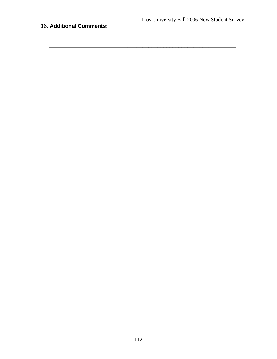<u> 1989 - Johann John Harry Harry Harry Harry Harry Harry Harry Harry Harry Harry Harry Harry Harry Harry Harry</u> <u> 2000 - 2000 - 2000 - 2000 - 2000 - 2000 - 2000 - 2000 - 2000 - 2000 - 2000 - 2000 - 2000 - 2000 - 2000 - 200</u>

### 16. Additional Comments:

112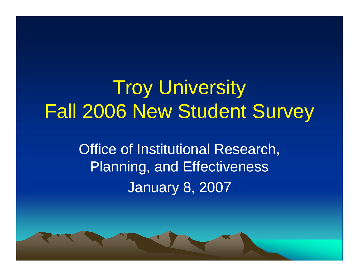## **Troy University** Fall 2006 New Student Surve y

**Office of Institutional Research,** Planning, and Effectiveness January 8, 2007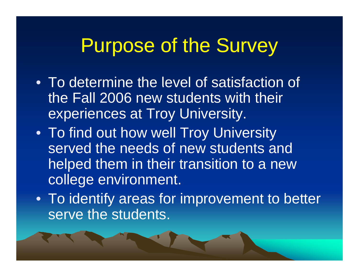## Purpose of the Survey

- To determine the level of satisfaction of the Fall 2006 new students with their experiences at Troy University.
- To find out how well Troy University served the needs of new students and helped them in their transition to a new college environment.
- To identify areas for improvement to better serve the students.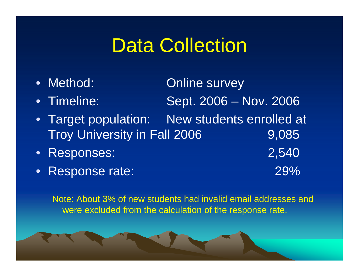## Data Collection

- $\bullet$ Method: **Online survey** • Timeline: Sept. 2006 – Nov. 2006 •Target population: New students enrolled at
- Troy University in Fall 2006 9,085
- $\bullet$ Responses: 2,540
- •Response rate: 29%

Note: About 3% of new students had invalid email addresses and were excluded from the calculation of the response rate.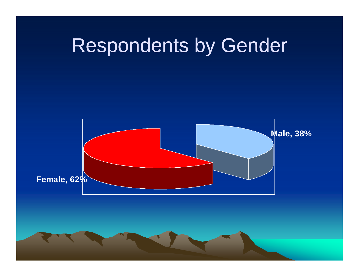

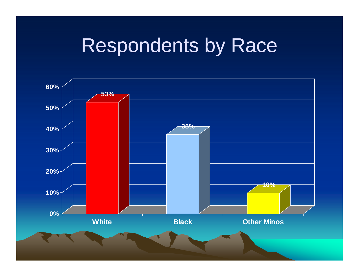## Respondents by Race

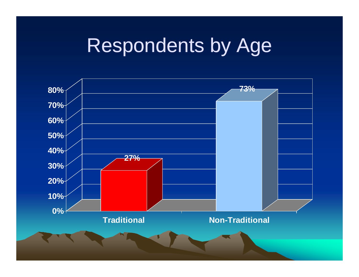# Respondents by Age

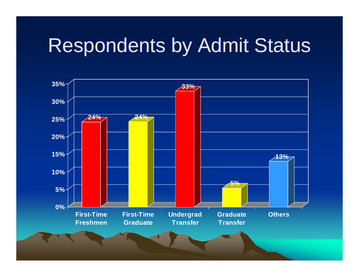# Respondents by Admit Status

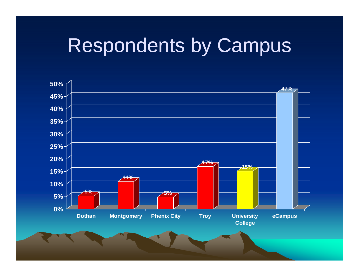# **Respondents by Campus**

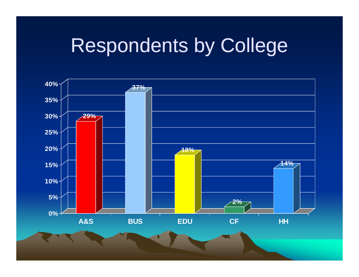# Respondents by College

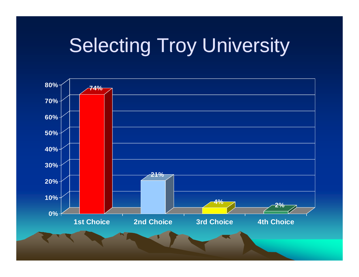# **Selecting Troy University**

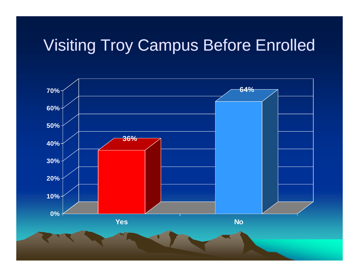## **Visiting Troy Campus Before Enrolled**

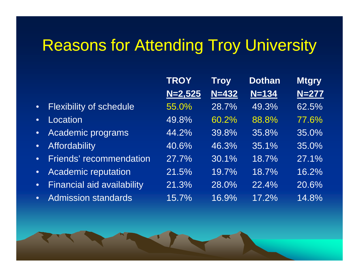## Reasons for Attending Troy University

- •Flexibility of schedule
- •**Location**
- •Academic programs
- •**Affordability**
- •• Friends' recommendation
- •Academic reputation
- •Financial aid availability
- •Admission standards

|                     | <b>TROY</b> | <b>Troy</b> | <b>Dothan</b> | <b>Mtgry</b> |
|---------------------|-------------|-------------|---------------|--------------|
|                     | $N=2,525$   | $N = 432$   | $N = 134$     | $N = 277$    |
| ity of schedule     | 55.0%       | 28.7%       | 49.3%         | $62.5\%$     |
| n.                  | 49.8%       | 60.2%       | 88.8%         | 77.6%        |
| nic programs        | 44.2%       | 39.8%       | 35.8%         | 35.0%        |
| <b>bility</b>       | 40.6%       | 46.3%       | 35.1%         | 35.0%        |
| ' recommendation    | 27.7%       | 30.1%       | 18.7%         | 27.1%        |
| nic reputation      | 21.5%       | 19.7%       | 18.7%         | 16.2%        |
| al aid availability | 21.3%       | 28.0%       | 22.4%         | 20.6%        |
| ion standards       | 15.7%       | 16.9%       | 17.2%         | 14.8%        |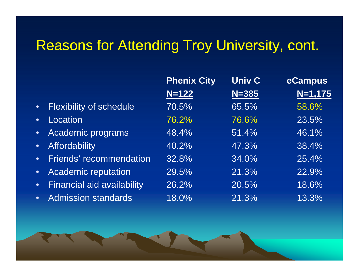## Reasons for Attending Troy University, cont.

|           |                                   | <b>Phenix City</b> | <b>Univ C</b> | eCampus   |
|-----------|-----------------------------------|--------------------|---------------|-----------|
|           |                                   | $N = 122$          | $N = 385$     | $N=1,175$ |
| $\bullet$ | <b>Flexibility of schedule</b>    | 70.5%              | 65.5%         | 58.6%     |
| $\bullet$ | Location <sup>'</sup>             | 76.2%              | 76.6%         | 23.5%     |
|           | Academic programs                 | 48.4%              | 51.4%         | 46.1%     |
| $\bullet$ | Affordability                     | 40.2%              | 47.3%         | 38.4%     |
| $\bullet$ | <b>Friends' recommendation</b>    | 32.8%              | 34.0%         | 25.4%     |
| $\bullet$ | <b>Academic reputation</b>        | 29.5%              | 21.3%         | 22.9%     |
| $\bullet$ | <b>Financial aid availability</b> | 26.2%              | 20.5%         | 18.6%     |
| $\bullet$ | <b>Admission standards</b>        | 18.0%              | 21.3%         | 13.3%     |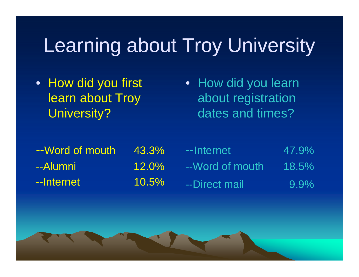# Learning about Troy University

• How did you first learn about Troy University?

• How did you learn about registration dates and times?

| --Word of mouth | 43.3%    |
|-----------------|----------|
| --Alumni        | $12.0\%$ |
| --Internet      | 10.5%    |

| $\frac{0}{0}$ | --Internet       | 47.9%   |
|---------------|------------------|---------|
| $\%$          | --Word of mouth. | 18.5%   |
| $\%$          | --Direct mail    | $9.9\%$ |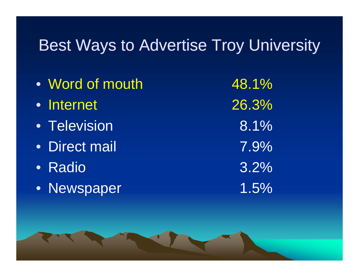## Best Ways to Advertise Troy University

• Word of mouth 48.1% • Internet 26.3%• Television  $8.1\%$ • Direct mail 7.9%• Radio 3.2%• Newspaper 1.5%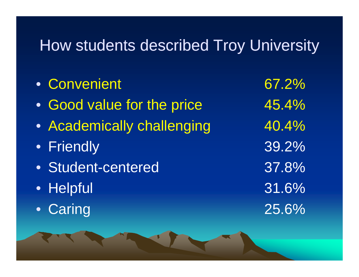## How students described Troy University

| • Convenient               |  |
|----------------------------|--|
| • Good value for the price |  |
| • Academically challenging |  |
| · Friendly                 |  |
| · Student-centered         |  |
| • Helpful                  |  |
| • Caring                   |  |
|                            |  |

67.2% 45.4% 40.4% 39.2% 37.8% 31.6% 25.6%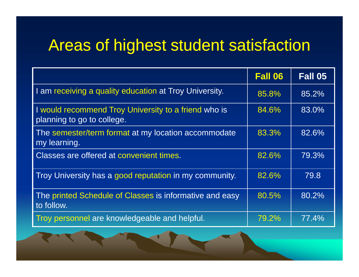## Areas of highest student satisfaction

|                                                                                    | <b>Fall 06</b> | Fall 05 |
|------------------------------------------------------------------------------------|----------------|---------|
| I am receiving a quality education at Troy University.                             | 85.8%          | 85.2%   |
| I would recommend Troy University to a friend who is<br>planning to go to college. | 84.6%          | 83.0%   |
| The semester/term format at my location accommodate<br>my learning.                | 83.3%          | 82.6%   |
| Classes are offered at convenient times.                                           | 82.6%          | 79.3%   |
| Troy University has a good reputation in my community.                             | 82.6%          | 79.8    |
| The printed Schedule of Classes is informative and easy<br>to follow.              | 80.5%          | 80.2%   |
| Troy personnel are knowledgeable and helpful.                                      | 79.2%          | 77.4%   |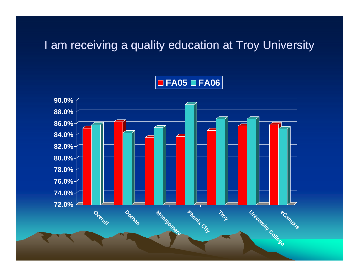### I am receiving a quality education at Troy University

### $\blacksquare$  FA05  $\blacksquare$  FA06

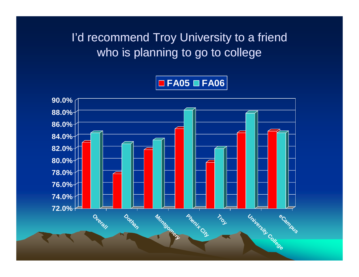I'd recommend Troy University to a friend who is planning to go to college



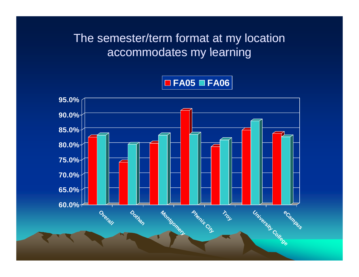### The semester/term format at my location accommodates my learning

### $\Box$  FA05  $\Box$  FA06

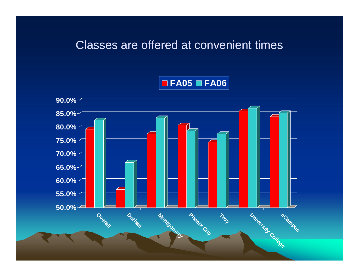### Classes are offered at convenient times



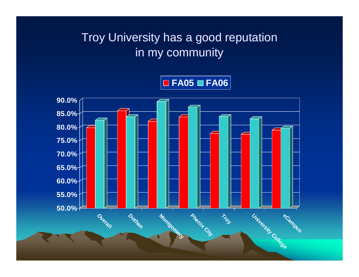## Troy University has a good reputation in my community

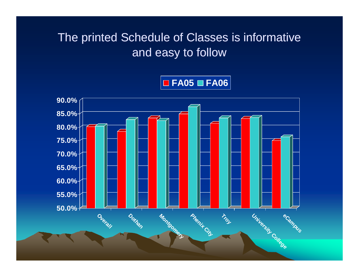### The printed Schedule of Classes is informative and easy to follow



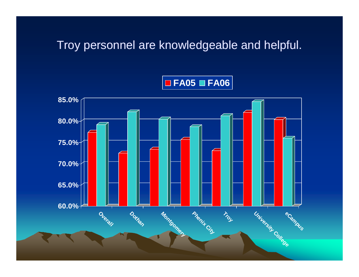### Troy personnel are knowledgeable and helpful.

### $\Box$  FA05  $\Box$  FA06

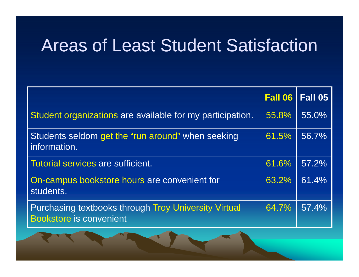## Areas of Least Student Satisfaction

|                                                                                               | <b>Fall 06</b> | Fall 05 |
|-----------------------------------------------------------------------------------------------|----------------|---------|
| Student organizations are available for my participation.                                     | 55.8%          | 55.0%   |
| Students seldom get the "run around" when seeking<br>information.                             | 61.5%          | 56.7%   |
| Tutorial services are sufficient.                                                             | 61.6%          | 57.2%   |
| On-campus bookstore hours are convenient for<br>students.                                     | 63.2%          | 61.4%   |
| <b>Purchasing textbooks through Troy University Virtual</b><br><b>Bookstore is convenient</b> | 64.7%          | 57.4%   |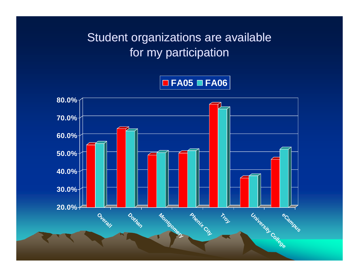Student organizations are available for my participation

 $\Box$  FA05  $\Box$  FA06

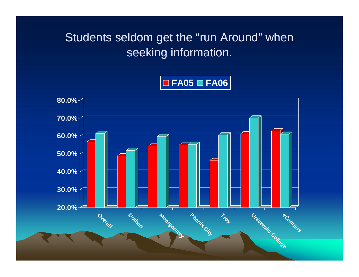Students seldom get the "run Around" when seeking information.



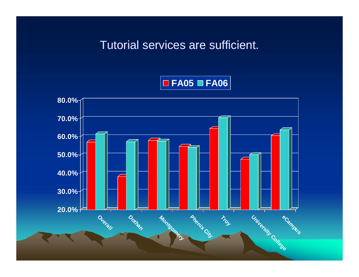### Tutorial services are sufficient.



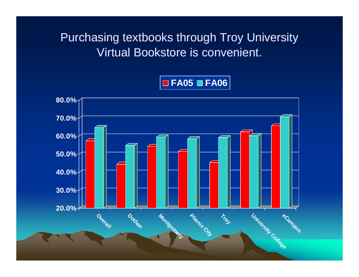**Purchasing textbooks through Troy University** Virtual Bookstore is convenient.



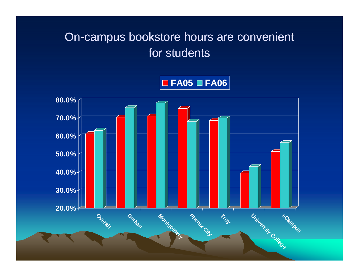## On-campus bookstore hours are convenient for students

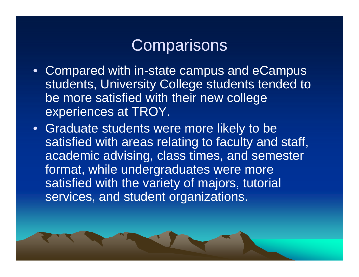## Com parisons

- Compared with in-state campus and eCampus students, University College students tended to be more satisfied with their new college experiences at TROY.
- Graduate students were more likely to be satisfied with areas relating to faculty and staff, academic advising, class times, and semester format, while undergraduates were more satisfied with the variety of majors, tutorial services, and student organizations.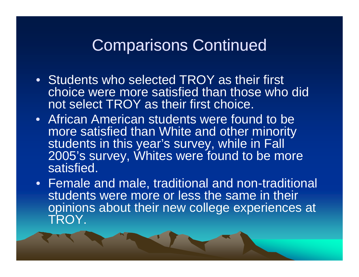## Comparisons Continued

- Students who selected TROY as their first choice were more satisfied than those who did not select TROY as their first choice.
- African American students were found to be more satisfied than White and other minority students in this year's survey, while in Fall 2005's survey, Whites were found to be more satisfied.
- Female and male, traditional and non-traditional students were more or less the same in their opinions about their new college experiences at TROY.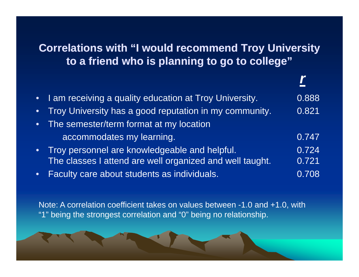#### **Correlations with "I would recommend Troy University I to a friend who is planning to go to college"**

| I am receiving a quality education at Troy University.   | 0.888 |
|----------------------------------------------------------|-------|
| Troy University has a good reputation in my community.   | 0.821 |
| The semester/term format at my location                  |       |
| accommodates my learning.                                | 0.747 |
| Troy personnel are knowledgeable and helpful.            | 0.724 |
| The classes I attend are well organized and well taught. | 0.721 |
| Faculty care about students as individuals.              | 0.708 |

Note: A correlation coefficient takes on values between -1.0 and +1.0, with "1" being the strongest correlation and "0" being no relationship.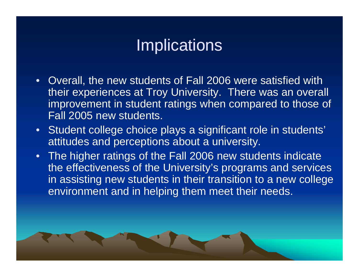# **Implications**

- $\bullet$  Overall, the new students of Fall 2006 were satisfied with their experiences at Troy University. There was an overall improvement in student ratings when compared to those of Fall 2005 new students.
- Student college choice plays a significant role in students' attitudes and perceptions about a university.
- The higher ratings of the Fall 2006 new students indicate the effectiveness of the University's programs and services in assisting new students in their transition to a new college environment and in helping them meet their needs.